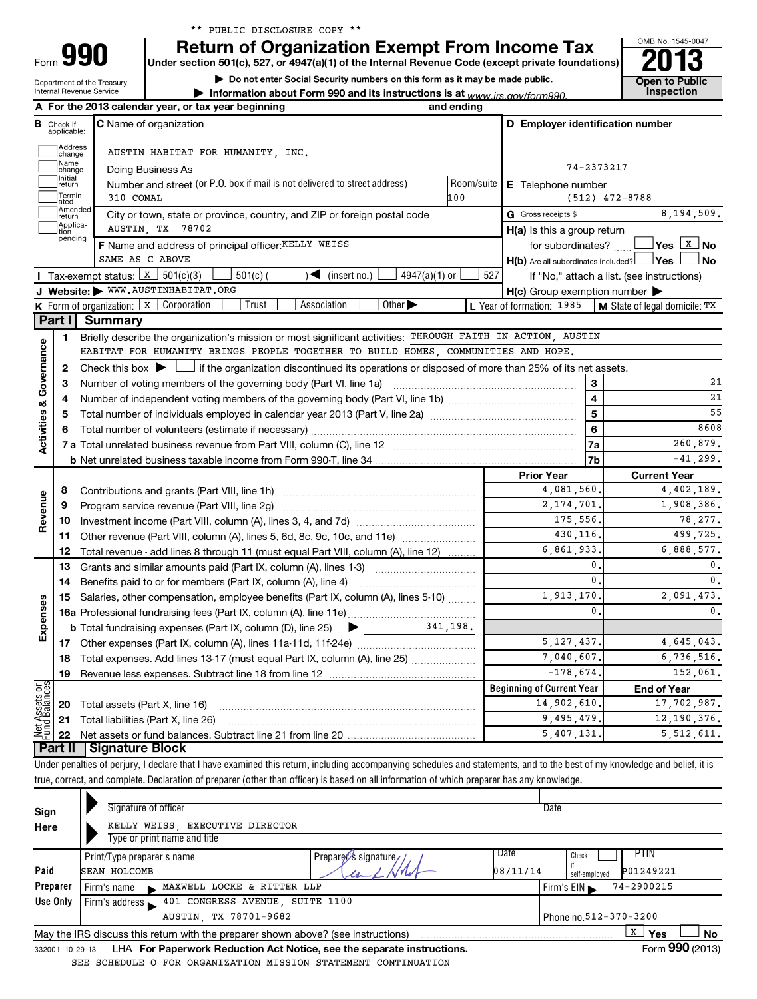Department of the Treasury Internal Revenue Service Form **990** 

# **990** Return of Organization Exempt From Income Tax **Punce 13**

**| Do not enter Social Security numbers on this form as it may be made public.**

**| Information about Form 990 and its instructions is at Inspection** *www.irs.gov/form990.*



|                                    |                         | A For the 2013 calendar year, or tax year beginning                                                                                                                                                  | and ending |                                                     |                                            |
|------------------------------------|-------------------------|------------------------------------------------------------------------------------------------------------------------------------------------------------------------------------------------------|------------|-----------------------------------------------------|--------------------------------------------|
| R                                  | Check if<br>applicable: | <b>C</b> Name of organization                                                                                                                                                                        |            | D Employer identification number                    |                                            |
|                                    | Address<br>change       | AUSTIN HABITAT FOR HUMANITY, INC.                                                                                                                                                                    |            |                                                     |                                            |
|                                    | Name<br>change          | Doing Business As                                                                                                                                                                                    |            | 74-2373217                                          |                                            |
|                                    | Initial<br>return       | Number and street (or P.O. box if mail is not delivered to street address)                                                                                                                           | Room/suite | E Telephone number                                  |                                            |
|                                    | Termin-<br>ated         | 310 COMAL                                                                                                                                                                                            | 100        |                                                     | $(512)$ 472-8788                           |
|                                    | Amended<br>return       | City or town, state or province, country, and ZIP or foreign postal code                                                                                                                             |            | G Gross receipts \$                                 | 8,194,509.                                 |
|                                    | Applica-                | AUSTIN TX 78702                                                                                                                                                                                      |            | $H(a)$ is this a group return                       |                                            |
|                                    | pending                 | F Name and address of principal officer: KELLY WEISS                                                                                                                                                 |            | for subordinates?                                   |                                            |
|                                    |                         | SAME AS C ABOVE                                                                                                                                                                                      |            | $H(b)$ Are all subordinates included? $\Box$ Yes    | J No                                       |
|                                    |                         | Tax-exempt status: $x \mid 501(c)(3)$<br>$4947(a)(1)$ or<br>$\sqrt{\frac{1}{1}}$ (insert no.)<br>$501(c)$ (                                                                                          | 527        |                                                     | If "No," attach a list. (see instructions) |
|                                    |                         | J Website: WWW.AUSTINHABITAT.ORG                                                                                                                                                                     |            | $H(c)$ Group exemption number $\blacktriangleright$ |                                            |
|                                    |                         | Trust<br>Other $\blacktriangleright$<br><b>K</b> Form of organization: $\boxed{x}$ Corporation<br>Association                                                                                        |            | L Year of formation: 1985                           | M State of legal domicile: TX              |
|                                    |                         | Part I Summary                                                                                                                                                                                       |            |                                                     |                                            |
|                                    | 1                       | Briefly describe the organization's mission or most significant activities: THROUGH FAITH IN ACTION, AUSTIN                                                                                          |            |                                                     |                                            |
|                                    |                         | HABITAT FOR HUMANITY BRINGS PEOPLE TOGETHER TO BUILD HOMES                                                                                                                                           |            | COMMUNITIES AND HOPE.                               |                                            |
|                                    | $\mathbf{2}$            | Check this box $\blacktriangleright$ $\Box$ if the organization discontinued its operations or disposed of more than 25% of its net assets.                                                          |            |                                                     |                                            |
|                                    | 3                       | Number of voting members of the governing body (Part VI, line 1a)                                                                                                                                    |            | 3                                                   | 21<br>21                                   |
|                                    | 4                       |                                                                                                                                                                                                      |            | $\overline{\mathbf{4}}$<br>5                        | 55                                         |
| <b>Activities &amp; Governance</b> | 5                       |                                                                                                                                                                                                      |            | 6                                                   | 8608                                       |
|                                    | 6                       |                                                                                                                                                                                                      |            |                                                     | 260.879.                                   |
|                                    |                         |                                                                                                                                                                                                      |            | 7a<br>7b                                            | $-41, 299.$                                |
|                                    |                         |                                                                                                                                                                                                      |            | <b>Prior Year</b>                                   | <b>Current Year</b>                        |
|                                    | 8                       |                                                                                                                                                                                                      |            | 4,081,560.                                          | 4,402,189.                                 |
| Revenue                            | 9                       | Program service revenue (Part VIII, line 2g)                                                                                                                                                         |            | 2, 174, 701.                                        | 1,908,386.                                 |
|                                    | 10                      | Investment income (Part VIII, column (A), lines 3, 4, and 7d)                                                                                                                                        |            | 175.556.                                            | 78.277.                                    |
|                                    | 11                      | Other revenue (Part VIII, column (A), lines 5, 6d, 8c, 9c, 10c, and 11e)                                                                                                                             |            | 430,116.                                            | 499,725.                                   |
|                                    | 12                      | Total revenue - add lines 8 through 11 (must equal Part VIII, column (A), line 12)                                                                                                                   |            | 6.861.933.                                          | 6,888,577.                                 |
|                                    | 13                      | Grants and similar amounts paid (Part IX, column (A), lines 1-3)                                                                                                                                     |            | 0.                                                  | 0.                                         |
|                                    | 14                      |                                                                                                                                                                                                      |            | $\mathbf{0}$ .                                      | 0.                                         |
|                                    | 15                      | Salaries, other compensation, employee benefits (Part IX, column (A), lines 5-10)                                                                                                                    |            | 1,913,170.                                          | 2,091,473.                                 |
| Expenses                           |                         |                                                                                                                                                                                                      |            | $\mathbf{0}$ .                                      | 0.                                         |
|                                    |                         | <b>b</b> Total fundraising expenses (Part IX, column (D), line 25)<br>▶<br>$\frac{1}{2}$ and $\frac{1}{2}$ and $\frac{1}{2}$                                                                         | 341.198.   |                                                     |                                            |
|                                    |                         |                                                                                                                                                                                                      |            | 5, 127, 437.                                        | 4,645,043.                                 |
|                                    | 18                      | Total expenses. Add lines 13-17 (must equal Part IX, column (A), line 25) <i></i>                                                                                                                    |            | 7,040,607.                                          | 6,736,516.                                 |
|                                    | 19                      |                                                                                                                                                                                                      |            | $-178.674.$                                         | 152,061.                                   |
| <b>Seets or</b>                    |                         |                                                                                                                                                                                                      |            | <b>Beginning of Current Year</b>                    | <b>End of Year</b>                         |
|                                    | 20                      | Total assets (Part X, line 16)                                                                                                                                                                       |            | 14,902,610.                                         | 17,702,987.                                |
| Net /<br>Pind                      | 21                      | Total liabilities (Part X, line 26)                                                                                                                                                                  |            | 9,495,479.                                          | 12, 190, 376.                              |
|                                    | 22                      |                                                                                                                                                                                                      |            | 5,407,131.                                          | 5, 512, 611.                               |
|                                    |                         | Part II   Signature Block<br>Under penalties of perium. I dealers that I have eveningd this rature, including eccompanying echodules and ataments, and to the best of mulcosuledge and belief, it is |            |                                                     |                                            |

Under penalties of perjury, I declare that I have examined this return, including accompanying schedules and statements, and to the best of my knowledge and belief, it is true, correct, and complete. Declaration of preparer (other than officer) is based on all information of which preparer has any knowledge.

| Sign<br>Here | Signature of officer<br>KELLY WEISS, EXECUTIVE DIRECTOR<br>Type or print name and title                      |                       |                       | Date                   |                          |           |  |  |  |
|--------------|--------------------------------------------------------------------------------------------------------------|-----------------------|-----------------------|------------------------|--------------------------|-----------|--|--|--|
| Paid         | Print/Type preparer's name<br><b>SEAN HOLCOMB</b>                                                            | Prepare C's signature | Date<br>08/11/14      | Check<br>self-emploved | <b>PTIN</b><br>P01249221 |           |  |  |  |
| Preparer     | MAXWELL LOCKE & RITTER LLP<br>Firm's name                                                                    |                       |                       | Firm's $EIN$           | 74-2900215               |           |  |  |  |
| Use Only     | 401 CONGRESS AVENUE, SUITE 1100<br>Firm's address $\blacksquare$                                             |                       |                       |                        |                          |           |  |  |  |
|              | AUSTIN, TX 78701-9682                                                                                        |                       | Phone no.512-370-3200 |                        |                          |           |  |  |  |
|              | May the IRS discuss this return with the preparer shown above? (see instructions)                            |                       |                       |                        | х<br>Yes                 | <b>No</b> |  |  |  |
|              | Form 990 (2013)<br>LHA For Paperwork Reduction Act Notice, see the separate instructions.<br>332001 10-29-13 |                       |                       |                        |                          |           |  |  |  |

SEE SCHEDULE O FOR ORGANIZATION MISSION STATEMENT CONTINUATION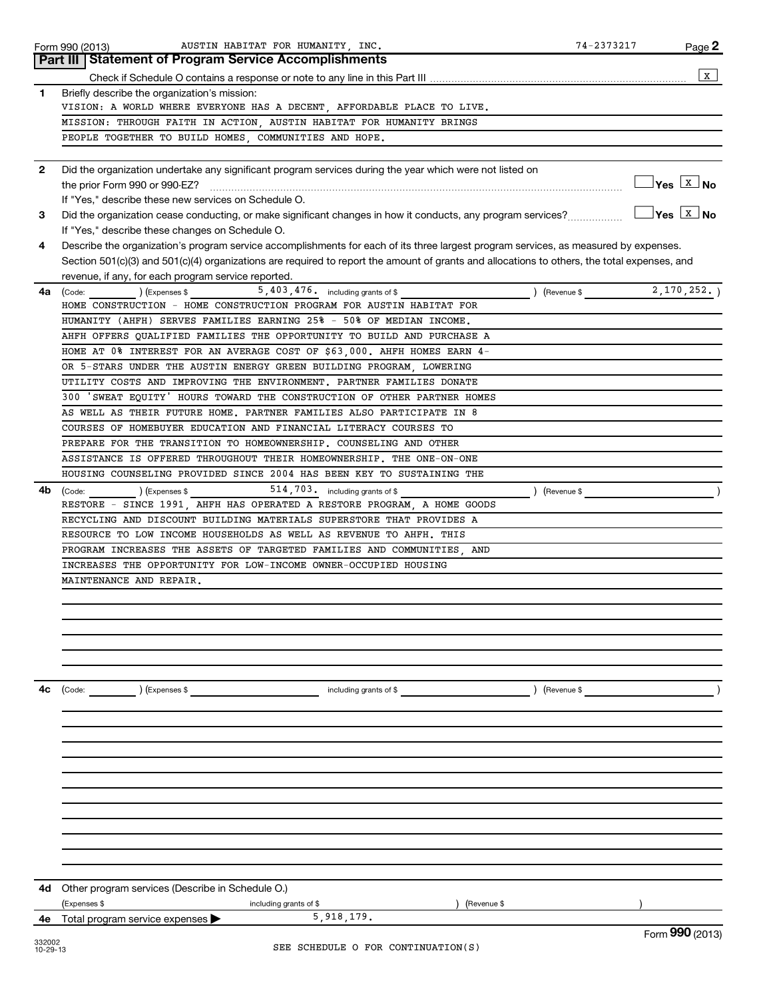|      | AUSTIN HABITAT FOR HUMANITY, INC.<br>Form 990 (2013)                                                                                         | 74-2373217 | Page 2                      |
|------|----------------------------------------------------------------------------------------------------------------------------------------------|------------|-----------------------------|
|      | Part III   Statement of Program Service Accomplishments                                                                                      |            |                             |
|      |                                                                                                                                              |            | X                           |
| 1    | Briefly describe the organization's mission:                                                                                                 |            |                             |
|      | VISION: A WORLD WHERE EVERYONE HAS A DECENT AFFORDABLE PLACE TO LIVE.                                                                        |            |                             |
|      | MISSION: THROUGH FAITH IN ACTION, AUSTIN HABITAT FOR HUMANITY BRINGS                                                                         |            |                             |
|      | PEOPLE TOGETHER TO BUILD HOMES, COMMUNITIES AND HOPE.                                                                                        |            |                             |
|      |                                                                                                                                              |            |                             |
| 2    | Did the organization undertake any significant program services during the year which were not listed on                                     |            |                             |
|      | the prior Form 990 or 990-EZ?                                                                                                                |            | $\Box$ Yes $\Box$ No        |
|      | If "Yes," describe these new services on Schedule O.                                                                                         |            |                             |
| 3    | Did the organization cease conducting, or make significant changes in how it conducts, any program services?                                 |            | $\sqrt{}$ Yes $\sqrt{X}$ No |
|      | If "Yes," describe these changes on Schedule O.                                                                                              |            |                             |
| 4    | Describe the organization's program service accomplishments for each of its three largest program services, as measured by expenses.         |            |                             |
|      | Section 501(c)(3) and 501(c)(4) organizations are required to report the amount of grants and allocations to others, the total expenses, and |            |                             |
|      | revenue, if any, for each program service reported.                                                                                          |            |                             |
| 4a l | 5,403,476. including grants of \$<br>) (Revenue \$<br>(Expenses \$<br>(Code:                                                                 |            | 2, 170, 252.                |
|      | HOME CONSTRUCTION - HOME CONSTRUCTION PROGRAM FOR AUSTIN HABITAT FOR                                                                         |            |                             |
|      | HUMANITY (AHFH) SERVES FAMILIES EARNING 25% - 50% OF MEDIAN INCOME.                                                                          |            |                             |
|      | AHFH OFFERS QUALIFIED FAMILIES THE OPPORTUNITY TO BUILD AND PURCHASE A                                                                       |            |                             |
|      | HOME AT 0% INTEREST FOR AN AVERAGE COST OF \$63,000. AHFH HOMES EARN 4-                                                                      |            |                             |
|      | OR 5-STARS UNDER THE AUSTIN ENERGY GREEN BUILDING PROGRAM LOWERING                                                                           |            |                             |
|      | UTILITY COSTS AND IMPROVING THE ENVIRONMENT. PARTNER FAMILIES DONATE                                                                         |            |                             |
|      | 300 'SWEAT EQUITY' HOURS TOWARD THE CONSTRUCTION OF OTHER PARTNER HOMES                                                                      |            |                             |
|      | AS WELL AS THEIR FUTURE HOME. PARTNER FAMILIES ALSO PARTICIPATE IN 8                                                                         |            |                             |
|      | COURSES OF HOMEBUYER EDUCATION AND FINANCIAL LITERACY COURSES TO                                                                             |            |                             |
|      | PREPARE FOR THE TRANSITION TO HOMEOWNERSHIP. COUNSELING AND OTHER                                                                            |            |                             |
|      | ASSISTANCE IS OFFERED THROUGHOUT THEIR HOMEOWNERSHIP. THE ONE-ON-ONE                                                                         |            |                             |
|      | HOUSING COUNSELING PROVIDED SINCE 2004 HAS BEEN KEY TO SUSTAINING THE                                                                        |            |                             |
| 4b   | 514,703. including grants of \$<br>(Revenue \$<br>(Code:<br>) (Expenses \$                                                                   |            |                             |
|      | RESTORE - SINCE 1991, AHFH HAS OPERATED A RESTORE PROGRAM, A HOME GOODS                                                                      |            |                             |
|      | RECYCLING AND DISCOUNT BUILDING MATERIALS SUPERSTORE THAT PROVIDES A                                                                         |            |                             |
|      | RESOURCE TO LOW INCOME HOUSEHOLDS AS WELL AS REVENUE TO AHFH. THIS                                                                           |            |                             |
|      | PROGRAM INCREASES THE ASSETS OF TARGETED FAMILIES AND COMMUNITIES, AND                                                                       |            |                             |
|      | INCREASES THE OPPORTUNITY FOR LOW-INCOME OWNER-OCCUPIED HOUSING                                                                              |            |                             |
|      | MAINTENANCE AND REPAIR.                                                                                                                      |            |                             |
|      |                                                                                                                                              |            |                             |
|      |                                                                                                                                              |            |                             |
|      |                                                                                                                                              |            |                             |
|      |                                                                                                                                              |            |                             |
|      |                                                                                                                                              |            |                             |
|      |                                                                                                                                              |            |                             |
| 4с   | including grants of \$<br>) (Expenses \$<br>) (Revenue \$<br>(Code:                                                                          |            |                             |
|      |                                                                                                                                              |            |                             |
|      |                                                                                                                                              |            |                             |
|      |                                                                                                                                              |            |                             |
|      |                                                                                                                                              |            |                             |
|      |                                                                                                                                              |            |                             |
|      |                                                                                                                                              |            |                             |
|      |                                                                                                                                              |            |                             |
|      |                                                                                                                                              |            |                             |
|      |                                                                                                                                              |            |                             |
|      |                                                                                                                                              |            |                             |
|      |                                                                                                                                              |            |                             |
|      |                                                                                                                                              |            |                             |
|      |                                                                                                                                              |            |                             |
| 4d   | Other program services (Describe in Schedule O.)                                                                                             |            |                             |
| 4е   | (Expenses \$<br>(Revenue \$<br>including grants of \$<br>5, 918, 179.<br>Total program service expenses                                      |            |                             |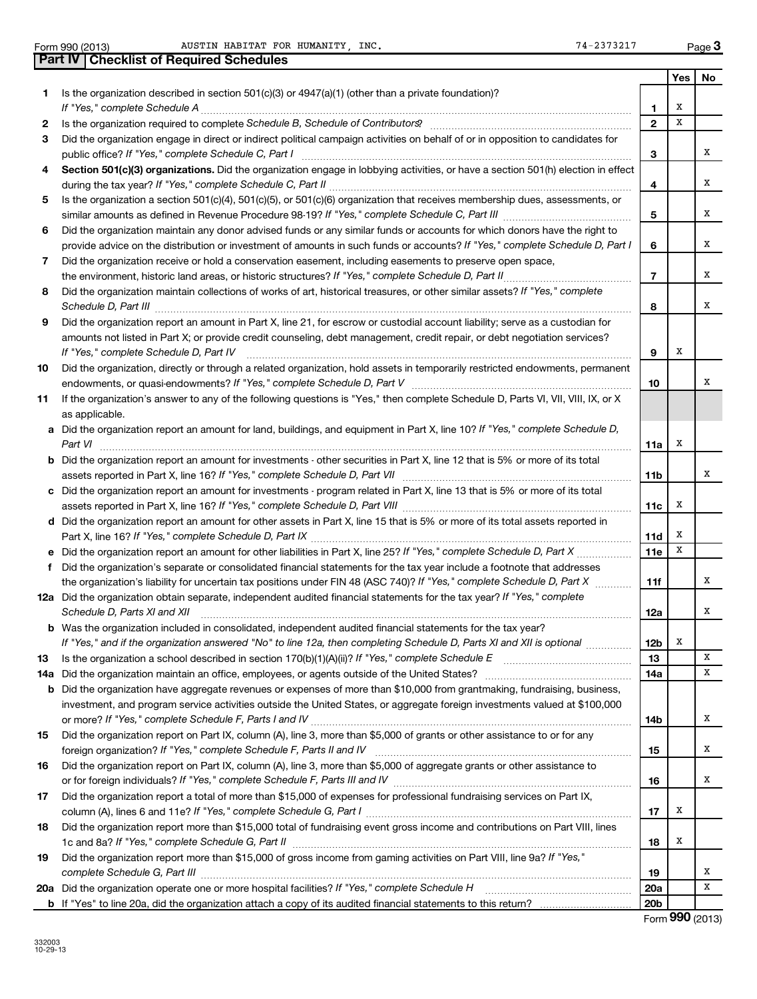|     |                                                                                                                                                                                                                                                       |                 | Yes | No |
|-----|-------------------------------------------------------------------------------------------------------------------------------------------------------------------------------------------------------------------------------------------------------|-----------------|-----|----|
| 1   | Is the organization described in section $501(c)(3)$ or $4947(a)(1)$ (other than a private foundation)?                                                                                                                                               |                 |     |    |
|     | If "Yes," complete Schedule A                                                                                                                                                                                                                         | 1.              | х   |    |
| 2   |                                                                                                                                                                                                                                                       | $\overline{2}$  | X   |    |
| 3   | Did the organization engage in direct or indirect political campaign activities on behalf of or in opposition to candidates for                                                                                                                       |                 |     | х  |
|     | public office? If "Yes," complete Schedule C, Part I<br>Section 501(c)(3) organizations. Did the organization engage in lobbying activities, or have a section 501(h) election in effect                                                              | 3               |     |    |
|     | during the tax year? If "Yes," complete Schedule C, Part II                                                                                                                                                                                           | 4               |     | х  |
| 5   | Is the organization a section 501(c)(4), 501(c)(5), or 501(c)(6) organization that receives membership dues, assessments, or                                                                                                                          |                 |     |    |
|     |                                                                                                                                                                                                                                                       | 5               |     | х  |
| 6   | Did the organization maintain any donor advised funds or any similar funds or accounts for which donors have the right to                                                                                                                             |                 |     |    |
|     | provide advice on the distribution or investment of amounts in such funds or accounts? If "Yes," complete Schedule D, Part I                                                                                                                          | 6               |     | x  |
| 7   | Did the organization receive or hold a conservation easement, including easements to preserve open space,                                                                                                                                             |                 |     |    |
|     | the environment, historic land areas, or historic structures? If "Yes," complete Schedule D, Part II                                                                                                                                                  | $\overline{7}$  |     | х  |
| 8   | Did the organization maintain collections of works of art, historical treasures, or other similar assets? If "Yes," complete                                                                                                                          |                 |     |    |
|     | Schedule D, Part III                                                                                                                                                                                                                                  | 8               |     | х  |
| 9   | Did the organization report an amount in Part X, line 21, for escrow or custodial account liability; serve as a custodian for                                                                                                                         |                 |     |    |
|     | amounts not listed in Part X; or provide credit counseling, debt management, credit repair, or debt negotiation services?                                                                                                                             |                 |     |    |
|     | If "Yes," complete Schedule D, Part IV                                                                                                                                                                                                                | 9               | X   |    |
| 10  | Did the organization, directly or through a related organization, hold assets in temporarily restricted endowments, permanent                                                                                                                         |                 |     |    |
|     |                                                                                                                                                                                                                                                       | 10              |     | X  |
| 11  | If the organization's answer to any of the following questions is "Yes," then complete Schedule D, Parts VI, VII, VIII, IX, or X                                                                                                                      |                 |     |    |
|     | as applicable.                                                                                                                                                                                                                                        |                 |     |    |
|     | a Did the organization report an amount for land, buildings, and equipment in Part X, line 10? If "Yes," complete Schedule D,                                                                                                                         |                 | Х   |    |
|     | Part VI                                                                                                                                                                                                                                               | 11a             |     |    |
|     | <b>b</b> Did the organization report an amount for investments - other securities in Part X, line 12 that is 5% or more of its total<br>assets reported in Part X, line 16? If "Yes," complete Schedule D, Part VII                                   | 11b             |     | х  |
|     | c Did the organization report an amount for investments - program related in Part X, line 13 that is 5% or more of its total                                                                                                                          |                 |     |    |
|     |                                                                                                                                                                                                                                                       | 11c             | х   |    |
|     | d Did the organization report an amount for other assets in Part X, line 15 that is 5% or more of its total assets reported in                                                                                                                        |                 |     |    |
|     |                                                                                                                                                                                                                                                       | 11d             | х   |    |
|     |                                                                                                                                                                                                                                                       | 11e             | X   |    |
| f   | Did the organization's separate or consolidated financial statements for the tax year include a footnote that addresses                                                                                                                               |                 |     |    |
|     | the organization's liability for uncertain tax positions under FIN 48 (ASC 740)? If "Yes," complete Schedule D, Part X                                                                                                                                | 11f             |     | х  |
|     | 12a Did the organization obtain separate, independent audited financial statements for the tax year? If "Yes," complete                                                                                                                               |                 |     |    |
|     | Schedule D, Parts XI and XII                                                                                                                                                                                                                          | 12a             |     | х  |
|     | <b>b</b> Was the organization included in consolidated, independent audited financial statements for the tax year?                                                                                                                                    |                 |     |    |
|     | If "Yes," and if the organization answered "No" to line 12a, then completing Schedule D, Parts XI and XII is optional www.                                                                                                                            | 12 <sub>b</sub> | X   |    |
| 13  | Is the organization a school described in section $170(b)(1)(A)(ii)?$ If "Yes," complete Schedule E                                                                                                                                                   | 13              |     | x  |
| 14a | Did the organization maintain an office, employees, or agents outside of the United States?                                                                                                                                                           | <b>14a</b>      |     | х  |
| b   | Did the organization have aggregate revenues or expenses of more than \$10,000 from grantmaking, fundraising, business,<br>investment, and program service activities outside the United States, or aggregate foreign investments valued at \$100,000 |                 |     |    |
|     |                                                                                                                                                                                                                                                       | 14b             |     | X  |
| 15  | Did the organization report on Part IX, column (A), line 3, more than \$5,000 of grants or other assistance to or for any                                                                                                                             |                 |     |    |
|     |                                                                                                                                                                                                                                                       | 15              |     | X  |
| 16  | Did the organization report on Part IX, column (A), line 3, more than \$5,000 of aggregate grants or other assistance to                                                                                                                              |                 |     |    |
|     |                                                                                                                                                                                                                                                       | 16              |     | x  |
| 17  | Did the organization report a total of more than \$15,000 of expenses for professional fundraising services on Part IX,                                                                                                                               |                 |     |    |
|     |                                                                                                                                                                                                                                                       | 17              | Х   |    |
| 18  | Did the organization report more than \$15,000 total of fundraising event gross income and contributions on Part VIII, lines                                                                                                                          |                 |     |    |
|     |                                                                                                                                                                                                                                                       | 18              | Х   |    |
| 19  | Did the organization report more than \$15,000 of gross income from gaming activities on Part VIII, line 9a? If "Yes,"                                                                                                                                |                 |     |    |
|     |                                                                                                                                                                                                                                                       | 19              |     | X  |
|     | 20a Did the organization operate one or more hospital facilities? If "Yes," complete Schedule H                                                                                                                                                       | <b>20a</b>      |     | x  |
|     |                                                                                                                                                                                                                                                       | 20 <sub>b</sub> |     |    |

Form (2013) **990**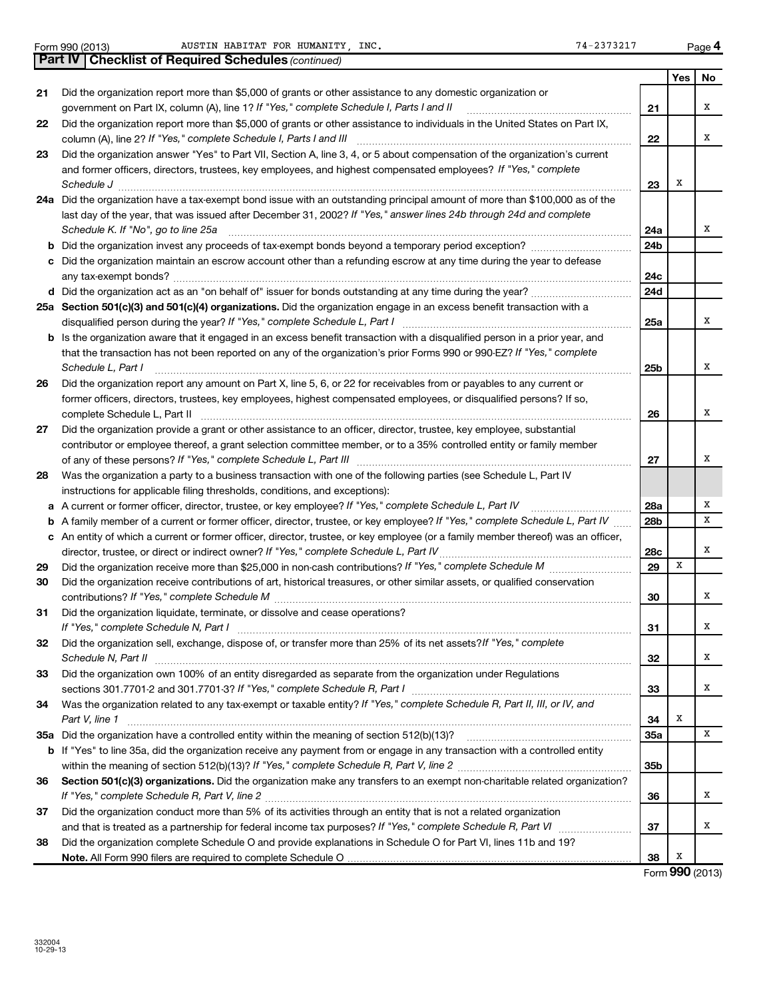|    | <b>Part IV   Checklist of Required Schedules (continued)</b>                                                                      |            |     |    |
|----|-----------------------------------------------------------------------------------------------------------------------------------|------------|-----|----|
|    |                                                                                                                                   |            | Yes | No |
| 21 | Did the organization report more than \$5,000 of grants or other assistance to any domestic organization or                       |            |     |    |
|    | government on Part IX, column (A), line 1? If "Yes," complete Schedule I, Parts I and II                                          | 21         |     | х  |
| 22 | Did the organization report more than \$5,000 of grants or other assistance to individuals in the United States on Part IX,       |            |     |    |
|    | column (A), line 2? If "Yes," complete Schedule I, Parts I and III                                                                | 22         |     | х  |
| 23 | Did the organization answer "Yes" to Part VII, Section A, line 3, 4, or 5 about compensation of the organization's current        |            |     |    |
|    | and former officers, directors, trustees, key employees, and highest compensated employees? If "Yes," complete                    |            |     |    |
|    | Schedule J <b>Execute Schedule J Execute Schedule J</b>                                                                           | 23         | х   |    |
|    | 24a Did the organization have a tax-exempt bond issue with an outstanding principal amount of more than \$100,000 as of the       |            |     |    |
|    | last day of the year, that was issued after December 31, 2002? If "Yes," answer lines 24b through 24d and complete                |            |     |    |
|    | Schedule K. If "No", go to line 25a                                                                                               | 24a        |     | х  |
| b  |                                                                                                                                   | 24b        |     |    |
|    | Did the organization maintain an escrow account other than a refunding escrow at any time during the year to defease              |            |     |    |
|    |                                                                                                                                   | 24c        |     |    |
|    |                                                                                                                                   | 24d        |     |    |
|    | 25a Section 501(c)(3) and 501(c)(4) organizations. Did the organization engage in an excess benefit transaction with a            |            |     |    |
|    |                                                                                                                                   | 25a        |     | х  |
| b  | Is the organization aware that it engaged in an excess benefit transaction with a disqualified person in a prior year, and        |            |     |    |
|    | that the transaction has not been reported on any of the organization's prior Forms 990 or 990-EZ? If "Yes," complete             |            |     |    |
|    | Schedule L, Part I                                                                                                                | 25b        |     | х  |
| 26 | Did the organization report any amount on Part X, line 5, 6, or 22 for receivables from or payables to any current or             |            |     |    |
|    | former officers, directors, trustees, key employees, highest compensated employees, or disqualified persons? If so,               |            |     |    |
|    |                                                                                                                                   | 26         |     | х  |
| 27 | Did the organization provide a grant or other assistance to an officer, director, trustee, key employee, substantial              |            |     |    |
|    | contributor or employee thereof, a grant selection committee member, or to a 35% controlled entity or family member               |            |     |    |
|    |                                                                                                                                   | 27         |     | X  |
| 28 | Was the organization a party to a business transaction with one of the following parties (see Schedule L, Part IV                 |            |     |    |
|    | instructions for applicable filing thresholds, conditions, and exceptions):                                                       |            |     |    |
| а  | A current or former officer, director, trustee, or key employee? If "Yes," complete Schedule L, Part IV                           | 28a        |     | х  |
| b  | A family member of a current or former officer, director, trustee, or key employee? If "Yes," complete Schedule L, Part IV        | 28b        |     | x  |
|    | c An entity of which a current or former officer, director, trustee, or key employee (or a family member thereof) was an officer, |            |     |    |
|    | director, trustee, or direct or indirect owner? If "Yes," complete Schedule L, Part IV                                            | 28c        |     | х  |
| 29 |                                                                                                                                   | 29         | х   |    |
| 30 | Did the organization receive contributions of art, historical treasures, or other similar assets, or qualified conservation       |            |     |    |
|    |                                                                                                                                   | 30         |     | х  |
| 31 | Did the organization liquidate, terminate, or dissolve and cease operations?                                                      |            |     |    |
|    | If "Yes," complete Schedule N, Part I                                                                                             | 31         |     | х  |
| 32 | Did the organization sell, exchange, dispose of, or transfer more than 25% of its net assets? If "Yes," complete                  |            |     |    |
|    |                                                                                                                                   | 32         |     | x  |
| 33 | Did the organization own 100% of an entity disregarded as separate from the organization under Regulations                        |            |     | x  |
|    |                                                                                                                                   | 33         |     |    |
| 34 | Was the organization related to any tax-exempt or taxable entity? If "Yes," complete Schedule R, Part II, III, or IV, and         |            |     |    |
|    | Part V, line 1                                                                                                                    | 34         | Х   | х  |
|    |                                                                                                                                   | <b>35a</b> |     |    |
|    | b If "Yes" to line 35a, did the organization receive any payment from or engage in any transaction with a controlled entity       |            |     |    |
|    |                                                                                                                                   | 35b        |     |    |
| 36 | Section 501(c)(3) organizations. Did the organization make any transfers to an exempt non-charitable related organization?        |            |     | x  |
|    | Did the organization conduct more than 5% of its activities through an entity that is not a related organization                  | 36         |     |    |
| 37 |                                                                                                                                   | 37         |     | x  |
|    |                                                                                                                                   |            |     |    |

**38 Note.**  All Form 990 filers are required to complete Schedule O Did the organization complete Schedule O and provide explanations in Schedule O for Part VI, lines 11b and 19?

Form (2013) **990** X

**38**

**4**

332004 10-29-13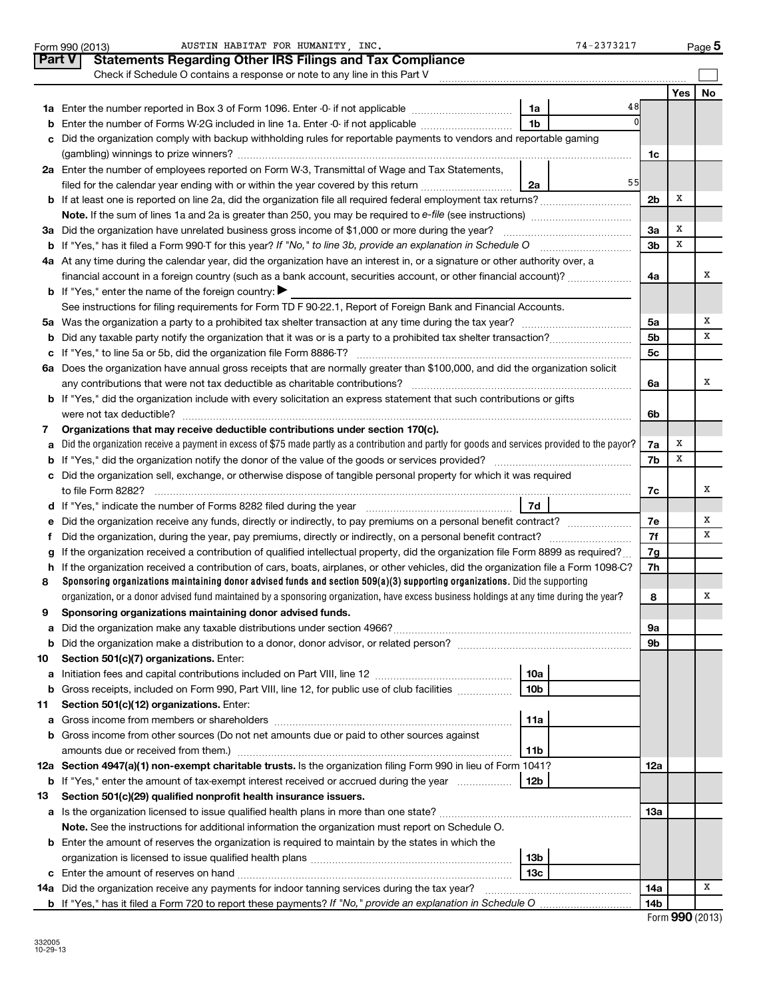|         | AUSTIN HABITAT FOR HUMANITY, INC.<br>Form 990 (2013)                                                                                                                                                                                             |                 | 74-2373217 |                |        | Page $5$ |
|---------|--------------------------------------------------------------------------------------------------------------------------------------------------------------------------------------------------------------------------------------------------|-----------------|------------|----------------|--------|----------|
| Part V  | <b>Statements Regarding Other IRS Filings and Tax Compliance</b>                                                                                                                                                                                 |                 |            |                |        |          |
|         | Check if Schedule O contains a response or note to any line in this Part V                                                                                                                                                                       |                 |            |                |        |          |
|         |                                                                                                                                                                                                                                                  |                 |            |                | Yes    | No       |
|         |                                                                                                                                                                                                                                                  | 1a              | 48         |                |        |          |
| b       | Enter the number of Forms W-2G included in line 1a. Enter -0- if not applicable                                                                                                                                                                  | 1 <sub>b</sub>  |            |                |        |          |
|         | Did the organization comply with backup withholding rules for reportable payments to vendors and reportable gaming                                                                                                                               |                 |            |                |        |          |
|         |                                                                                                                                                                                                                                                  |                 |            | 1c             |        |          |
|         | 2a Enter the number of employees reported on Form W-3, Transmittal of Wage and Tax Statements,                                                                                                                                                   |                 |            |                |        |          |
|         | filed for the calendar year ending with or within the year covered by this return                                                                                                                                                                | 2a              | 55         |                |        |          |
|         |                                                                                                                                                                                                                                                  |                 |            | 2b             | х      |          |
|         |                                                                                                                                                                                                                                                  |                 |            |                |        |          |
|         | 3a Did the organization have unrelated business gross income of \$1,000 or more during the year?                                                                                                                                                 |                 |            | За             | Х      |          |
|         | <b>b</b> If "Yes," has it filed a Form 990-T for this year? If "No," to line 3b, provide an explanation in Schedule O                                                                                                                            |                 |            | 3b             | х      |          |
|         | 4a At any time during the calendar year, did the organization have an interest in, or a signature or other authority over, a                                                                                                                     |                 |            |                |        |          |
|         |                                                                                                                                                                                                                                                  |                 |            | 4a             |        | х        |
|         | <b>b</b> If "Yes," enter the name of the foreign country:                                                                                                                                                                                        |                 |            |                |        |          |
|         | See instructions for filing requirements for Form TD F 90-22.1, Report of Foreign Bank and Financial Accounts.                                                                                                                                   |                 |            |                |        |          |
|         |                                                                                                                                                                                                                                                  |                 |            | 5a             |        | х        |
| b       |                                                                                                                                                                                                                                                  |                 |            | 5 <sub>b</sub> |        | X        |
|         |                                                                                                                                                                                                                                                  |                 |            | 5 <sub>c</sub> |        |          |
|         | 6a Does the organization have annual gross receipts that are normally greater than \$100,000, and did the organization solicit                                                                                                                   |                 |            |                |        |          |
|         | any contributions that were not tax deductible as charitable contributions?                                                                                                                                                                      |                 |            | 6a             |        | х        |
|         | <b>b</b> If "Yes," did the organization include with every solicitation an express statement that such contributions or gifts                                                                                                                    |                 |            |                |        |          |
|         | were not tax deductible?                                                                                                                                                                                                                         |                 |            | 6b             |        |          |
| 7       | Organizations that may receive deductible contributions under section 170(c).                                                                                                                                                                    |                 |            |                |        |          |
|         | Did the organization receive a payment in excess of \$75 made partly as a contribution and partly for goods and services provided to the payor?                                                                                                  |                 |            | 7a             | х<br>х |          |
|         |                                                                                                                                                                                                                                                  |                 |            | 7b             |        |          |
|         | c Did the organization sell, exchange, or otherwise dispose of tangible personal property for which it was required                                                                                                                              |                 |            |                |        | х        |
|         |                                                                                                                                                                                                                                                  | 7d              |            | 7c             |        |          |
| d       |                                                                                                                                                                                                                                                  |                 |            |                |        | х        |
| е       |                                                                                                                                                                                                                                                  |                 |            | 7е<br>7f       |        | x        |
|         | Did the organization, during the year, pay premiums, directly or indirectly, on a personal benefit contract?<br>If the organization received a contribution of qualified intellectual property, did the organization file Form 8899 as required? |                 |            | 7g             |        |          |
| g<br>h. | If the organization received a contribution of cars, boats, airplanes, or other vehicles, did the organization file a Form 1098-C?                                                                                                               |                 |            | 7h             |        |          |
| 8       | Sponsoring organizations maintaining donor advised funds and section 509(a)(3) supporting organizations. Did the supporting                                                                                                                      |                 |            |                |        |          |
|         | organization, or a donor advised fund maintained by a sponsoring organization, have excess business holdings at any time during the year?                                                                                                        |                 |            | 8              |        | х        |
| 9       | Sponsoring organizations maintaining donor advised funds.                                                                                                                                                                                        |                 |            |                |        |          |
| а       |                                                                                                                                                                                                                                                  |                 |            | 9а             |        |          |
| b       |                                                                                                                                                                                                                                                  |                 |            | 9b             |        |          |
| 10      | Section 501(c)(7) organizations. Enter:                                                                                                                                                                                                          |                 |            |                |        |          |
| а       |                                                                                                                                                                                                                                                  | 10a             |            |                |        |          |
| b       | Gross receipts, included on Form 990, Part VIII, line 12, for public use of club facilities                                                                                                                                                      | 10 <sub>b</sub> |            |                |        |          |
| 11      | Section 501(c)(12) organizations. Enter:                                                                                                                                                                                                         |                 |            |                |        |          |
| а       |                                                                                                                                                                                                                                                  | 11a             |            |                |        |          |
|         | b Gross income from other sources (Do not net amounts due or paid to other sources against                                                                                                                                                       |                 |            |                |        |          |
|         | amounts due or received from them.)                                                                                                                                                                                                              | 11b             |            |                |        |          |
|         | 12a Section 4947(a)(1) non-exempt charitable trusts. Is the organization filing Form 990 in lieu of Form 1041?                                                                                                                                   |                 |            | 12a            |        |          |
|         | <b>b</b> If "Yes," enter the amount of tax-exempt interest received or accrued during the year                                                                                                                                                   | 12b             |            |                |        |          |
| 13      | Section 501(c)(29) qualified nonprofit health insurance issuers.                                                                                                                                                                                 |                 |            |                |        |          |
|         | a Is the organization licensed to issue qualified health plans in more than one state?                                                                                                                                                           |                 |            | 13а            |        |          |
|         | Note. See the instructions for additional information the organization must report on Schedule O.                                                                                                                                                |                 |            |                |        |          |
|         | <b>b</b> Enter the amount of reserves the organization is required to maintain by the states in which the                                                                                                                                        |                 |            |                |        |          |
|         |                                                                                                                                                                                                                                                  | 13 <sub>b</sub> |            |                |        |          |
|         |                                                                                                                                                                                                                                                  | 13с             |            |                |        |          |
|         | 14a Did the organization receive any payments for indoor tanning services during the tax year?                                                                                                                                                   |                 |            | 14a            |        | X        |
|         |                                                                                                                                                                                                                                                  |                 |            | 14b            |        |          |

|  |  | Form 990 (2013) |
|--|--|-----------------|
|--|--|-----------------|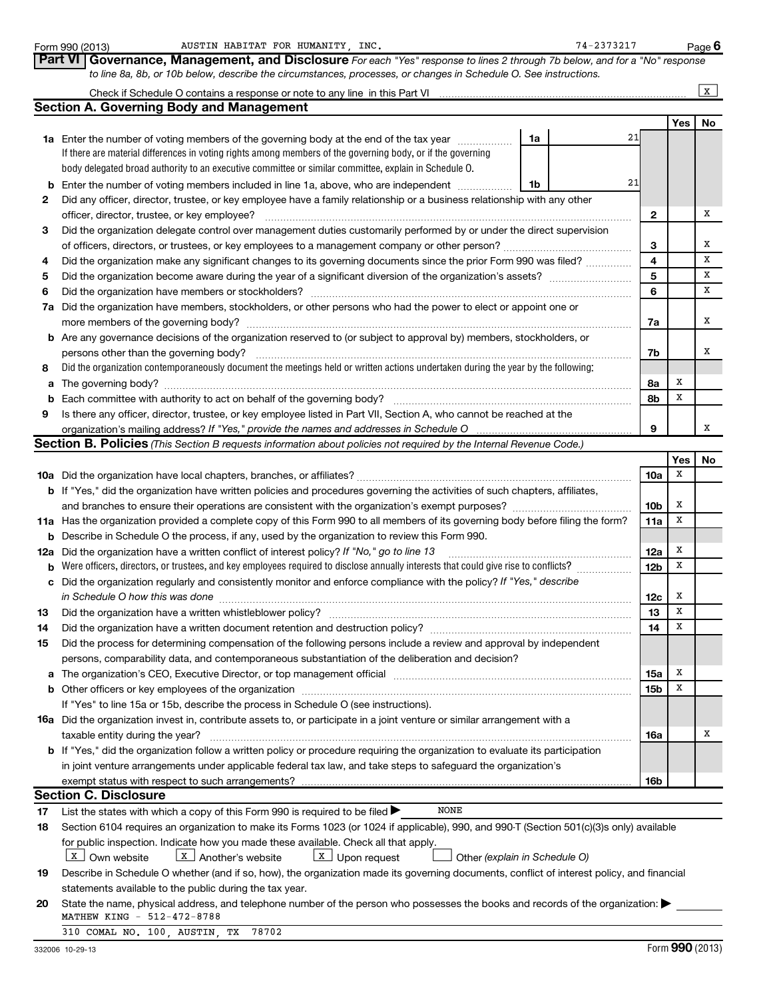**Yes No 1a 1b 1a** Enter the number of voting members of the governing body at the end of the tax year **2 3 4 5 6 7 a** Did the organization have members, stockholders, or other persons who had the power to elect or appoint one or **8 9 b** Enter the number of voting members included in line 1a, above, who are independent *manumer* **2 3 4 5 6 7a 7b 8a 8b 9 b** Are any governance decisions of the organization reserved to (or subject to approval by) members, stockholders, or **a** The governing body? ~~~~~~~~~~~~~~~~~~~~~~~~~~~~~~~~~~~~~~~~~~~~~~~~~~~ **b** Each committee with authority to act on behalf of the governing body? ~~~~~~~~~~~~~~~~~~~~~~~~~~ **Yes No 10 a** Did the organization have local chapters, branches, or affiliates? ~~~~~~~~~~~~~~~~~~~~~~~~~~~~~~ **11 a** Has the organization provided a complete copy of this Form 990 to all members of its governing body before filing the form? **b** If "Yes," did the organization have written policies and procedures governing the activities of such chapters, affiliates, **10a 10b 11a 12a 12b 12c 13 14 15a 15b b** Describe in Schedule O the process, if any, used by the organization to review this Form 990. **12a** Did the organization have a written conflict of interest policy? If "No," go to line 13 *marrourcessessessessessessessessessess* **b** Were officers, directors, or trustees, and key employees required to disclose annually interests that could give rise to conflicts? **c** Did the organization regularly and consistently monitor and enforce compliance with the policy? If "Yes," describe **13 14 15 a** The organization's CEO, Executive Director, or top management official encontrary construction controller to **b** Other officers or key employees of the organization ~~~~~~~~~~~~~~~~~~~~~~~~~~~~~~~~~~~~ **16a Part VI** Governance, Management, and Disclosure For each "Yes" response to lines 2 through 7b below, and for a "No" response *to line 8a, 8b, or 10b below, describe the circumstances, processes, or changes in Schedule O. See instructions.* organization's mailing address? If "Yes," provide the names and addresses in Schedule O manument content content Section B. Policies (This Section B requests information about policies not required by the Internal Revenue Code.) *in Schedule O how this was done* ~~~~~~~~~~~~~~~~~~~~~~~~~~~~~~~~~~~~~~~~~~~~~ If there are material differences in voting rights among members of the governing body, or if the governing body delegated broad authority to an executive committee or similar committee, explain in Schedule O. Did the organization contemporaneously document the meetings held or written actions undertaken during the year by the following: Form 990 (2013) Page AUSTIN HABITAT FOR HUMANITY, INC. 74-2373217 Check if Schedule O contains a response or note to any line in this Part VI ~~~~~~ Did any officer, director, trustee, or key employee have a family relationship or a business relationship with any other officer, director, trustee, or key employee? ~~~~~~~~~~~~~~~~~~~~~~~~~~~~~~~~~~~~~~~~ Did the organization delegate control over management duties customarily performed by or under the direct supervision of officers, directors, or trustees, or key employees to a management company or other person? ~~~~~~~~~~~~~~ Did the organization make any significant changes to its governing documents since the prior Form 990 was filed? Did the organization become aware during the year of a significant diversion of the organization's assets? \_\_\_\_\_\_\_\_\_\_\_\_\_\_\_\_\_\_\_\_\_\_\_\_\_\_\_\_ Did the organization have members or stockholders? ~~~~~~~~~~~~~~~~~~~~~~~~~~~~~~~~~~~ ~~~~~ more members of the governing body? ~~~~~~~~~~~~~~~~~~~~~~~~~~~~~~~~~~~~~~~~~~ persons other than the governing body? ~~~~~~~~~~~~~~~~~~~~~~~~~~~~~~~~~~~~~~~~~ Is there any officer, director, trustee, or key employee listed in Part VII, Section A, who cannot be reached at the and branches to ensure their operations are consistent with the organization's exempt purposes? www.community.com ………………… Did the organization have a written whistleblower policy? ~~~~~~~~~~~~~~~~~~~~~~~~~~~~~~~~~ Did the organization have a written document retention and destruction policy? ~~~~~~~~~~~~~~~~~~~~~~ Did the process for determining compensation of the following persons include a review and approval by independent persons, comparability data, and contemporaneous substantiation of the deliberation and decision? If "Yes" to line 15a or 15b, describe the process in Schedule O (see instructions). Did the organization invest in, contribute assets to, or participate in a joint venture or similar arrangement with a **Section A. Governing Body and Management**  $\mathbf{X}$  $2:$ 21 X X X X X X X X X X X X X X X X X X X X

| <b>TO A DID THE ORGANIZATOR INVEST IN, CONTINUE ASSETS TO, OF DANICIDATE IN A JOINT VEHICLE OF SIMINAL ANALYSING IN</b>               |                 |  |
|---------------------------------------------------------------------------------------------------------------------------------------|-----------------|--|
| taxable entity during the year?                                                                                                       | <b>16a</b>      |  |
| <b>b</b> If "Yes," did the organization follow a written policy or procedure requiring the organization to evaluate its participation |                 |  |
| in joint venture arrangements under applicable federal tax law, and take steps to safeguard the organization's                        |                 |  |
| exempt status with respect to such arrangements?                                                                                      | 16 <sub>b</sub> |  |
| $P$ aatian $P$ Diaalaauwa                                                                                                             |                 |  |

### **Section C. Disclosure**

**17** List the states with which a copy of this Form 990 is required to be filed  $\blacktriangleright$ 

| 18 | Section 6104 requires an organization to make its Forms 1023 (or 1024 if applicable), 990, and 990-T (Section 501(c)(3)s only) available                     |  |  |  |  |  |  |  |  |  |  |
|----|--------------------------------------------------------------------------------------------------------------------------------------------------------------|--|--|--|--|--|--|--|--|--|--|
|    | for public inspection. Indicate how you made these available. Check all that apply.                                                                          |  |  |  |  |  |  |  |  |  |  |
|    | $\boxed{\textbf{x}}$ Own website $\boxed{\textbf{x}}$ Another's website $\boxed{\textbf{x}}$ Upon request $\boxed{\textbf{x}}$ Other (explain in Schedule O) |  |  |  |  |  |  |  |  |  |  |
| 19 | Describe in Schedule O whether (and if so, how), the organization made its governing documents, conflict of interest policy, and financial                   |  |  |  |  |  |  |  |  |  |  |

NONE

| statements available to the public during the tax year.                                                                          |  |  |  |  |  |
|----------------------------------------------------------------------------------------------------------------------------------|--|--|--|--|--|
| 20 State the name, physical address, and telephone number of the person who possesses the books and records of the organization: |  |  |  |  |  |

| 20 State the name, physical address, and telephone number of the person who possesses the books and records of the organization: |
|----------------------------------------------------------------------------------------------------------------------------------|
| MATHEW KING - 512-472-8788                                                                                                       |
|                                                                                                                                  |

310 COMAL NO. 100, AUSTIN, TX 78702

X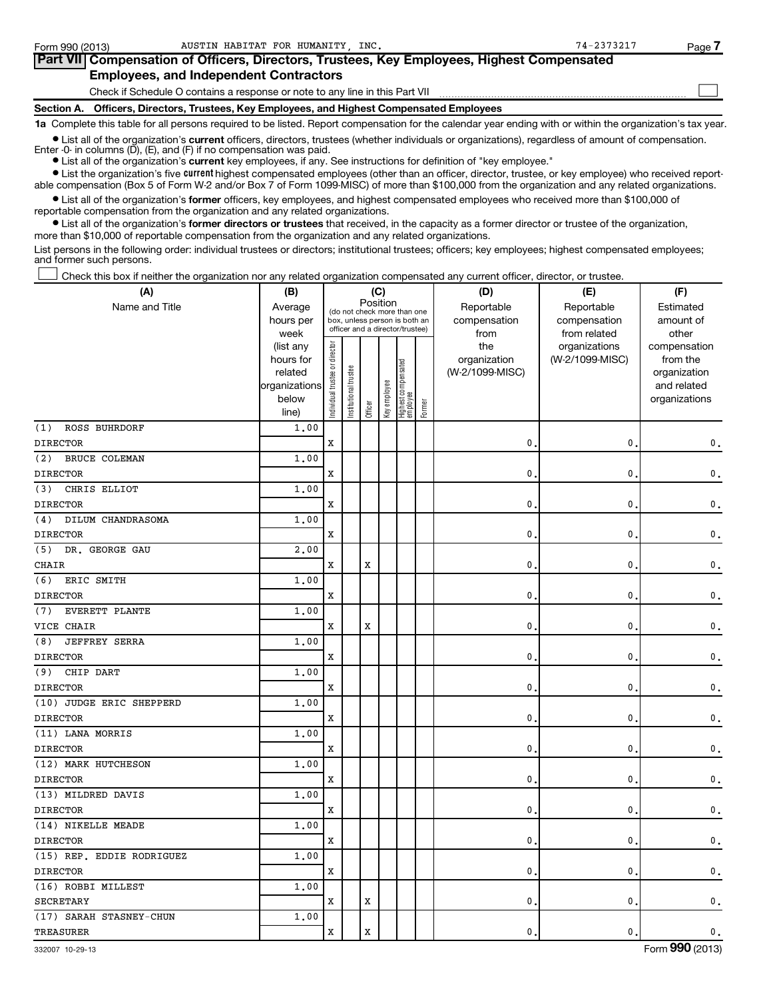| Form 990 (2013) | AUSTIN HABITAT FOR HUMANITY INC.                                                                                                                                                                                                     | $74 - 2373217$ | Page / |
|-----------------|--------------------------------------------------------------------------------------------------------------------------------------------------------------------------------------------------------------------------------------|----------------|--------|
|                 | Part VII Compensation of Officers, Directors, Trustees, Key Employees, Highest Compensated                                                                                                                                           |                |        |
|                 | <b>Employees, and Independent Contractors</b>                                                                                                                                                                                        |                |        |
|                 | Check if Schedule O contains a response or note to any line in this Part VII                                                                                                                                                         |                |        |
|                 | Section A. Officers, Directors, Trustees, Key Employees, and Highest Compensated Employees                                                                                                                                           |                |        |
|                 | 1a Complete this table for all persons required to be listed. Report compensation for the calendar year ending with or within the organization's tax year.                                                                           |                |        |
|                 | • List all of the organization's current officers, directors, trustees (whether individuals or organizations), regardless of amount of compensation.<br>Enter $-0$ in columns $(D)$ , $(E)$ , and $(F)$ if no compensation was paid. |                |        |

**current •** List all of the organization's current key employees, if any. See instructions for definition of "key employee."

**•** List the organization's five *current* highest compensated employees (other than an officer, director, trustee, or key employee) who received reportable compensation (Box 5 of Form W-2 and/or Box 7 of Form 1099-MISC) of more than \$100,000 from the organization and any related organizations.

 $\bullet$  List all of the organization's former officers, key employees, and highest compensated employees who received more than \$100,000 of reportable compensation from the organization and any related organizations.

**•** List all of the organization's former directors or trustees that received, in the capacity as a former director or trustee of the organization, more than \$10,000 of reportable compensation from the organization and any related organizations.

List persons in the following order: individual trustees or directors; institutional trustees; officers; key employees; highest compensated employees; and former such persons.

Check this box if neither the organization nor any related organization compensated any current officer, director, or trustee.  $\Box$ 

| (A)                         | (B)                    |                                |                                                                  |             | (C)          |                                 |        | (D)             | (E)                              | (F)                      |
|-----------------------------|------------------------|--------------------------------|------------------------------------------------------------------|-------------|--------------|---------------------------------|--------|-----------------|----------------------------------|--------------------------|
| Name and Title              | Average                |                                | (do not check more than one                                      |             | Position     |                                 |        | Reportable      | Reportable                       | Estimated                |
|                             | hours per              |                                | box, unless person is both an<br>officer and a director/trustee) |             |              |                                 |        | compensation    | compensation                     | amount of                |
|                             | week                   |                                |                                                                  |             |              |                                 |        | from<br>the     | from related                     | other                    |
|                             | (list any<br>hours for |                                |                                                                  |             |              |                                 |        | organization    | organizations<br>(W-2/1099-MISC) | compensation<br>from the |
|                             | related                |                                |                                                                  |             |              |                                 |        | (W-2/1099-MISC) |                                  | organization             |
|                             | organizations          |                                |                                                                  |             |              |                                 |        |                 |                                  | and related              |
|                             | below                  | Individual trustee or director | Institutional trustee                                            |             | Key employee | Highest compensated<br>employee |        |                 |                                  | organizations            |
|                             | line)                  |                                |                                                                  | Officer     |              |                                 | Former |                 |                                  |                          |
| <b>ROSS BUHRDORF</b><br>(1) | 1.00                   |                                |                                                                  |             |              |                                 |        |                 |                                  |                          |
| <b>DIRECTOR</b>             |                        | X                              |                                                                  |             |              |                                 |        | $\mathbf{0}$    | $\mathbf 0$                      | 0.                       |
| (2)<br><b>BRUCE COLEMAN</b> | 1.00                   |                                |                                                                  |             |              |                                 |        |                 |                                  |                          |
| <b>DIRECTOR</b>             |                        | X                              |                                                                  |             |              |                                 |        | 0               | 0                                | 0.                       |
| CHRIS ELLIOT<br>(3)         | 1.00                   |                                |                                                                  |             |              |                                 |        |                 |                                  |                          |
| <b>DIRECTOR</b>             |                        | X                              |                                                                  |             |              |                                 |        | $\mathbf{0}$    | $\mathbf 0$                      | 0.                       |
| DILUM CHANDRASOMA<br>(4)    | 1.00                   |                                |                                                                  |             |              |                                 |        |                 |                                  |                          |
| <b>DIRECTOR</b>             |                        | X                              |                                                                  |             |              |                                 |        | 0               | 0                                | 0.                       |
| DR. GEORGE GAU<br>(5)       | 2,00                   |                                |                                                                  |             |              |                                 |        |                 |                                  |                          |
| CHAIR                       |                        | X                              |                                                                  | $\mathbf x$ |              |                                 |        | $\mathbf{0}$    | $\mathbf 0$                      | 0.                       |
| ERIC SMITH<br>(6)           | 1,00                   |                                |                                                                  |             |              |                                 |        |                 |                                  |                          |
| <b>DIRECTOR</b>             |                        | Х                              |                                                                  |             |              |                                 |        | 0               | 0                                | 0.                       |
| EVERETT PLANTE<br>(7)       | 1,00                   |                                |                                                                  |             |              |                                 |        |                 |                                  |                          |
| VICE CHAIR                  |                        | X                              |                                                                  | X           |              |                                 |        | $\mathbf{0}$    | 0                                | 0.                       |
| <b>JEFFREY SERRA</b><br>(8) | 1.00                   |                                |                                                                  |             |              |                                 |        |                 |                                  |                          |
| <b>DIRECTOR</b>             |                        | X                              |                                                                  |             |              |                                 |        | 0               | 0                                | 0.                       |
| CHIP DART<br>(9)            | 1.00                   |                                |                                                                  |             |              |                                 |        |                 |                                  |                          |
| <b>DIRECTOR</b>             |                        | X                              |                                                                  |             |              |                                 |        | $\mathbf{0}$ .  | 0                                | 0.                       |
| (10) JUDGE ERIC SHEPPERD    | 1.00                   |                                |                                                                  |             |              |                                 |        |                 |                                  |                          |
| <b>DIRECTOR</b>             |                        | X                              |                                                                  |             |              |                                 |        | $\mathbf{0}$    | 0                                | 0.                       |
| (11) LANA MORRIS            | 1.00                   |                                |                                                                  |             |              |                                 |        |                 |                                  |                          |
| <b>DIRECTOR</b>             |                        | X                              |                                                                  |             |              |                                 |        | $\mathbf{0}$ .  | $\mathbf 0$                      | 0.                       |
| (12) MARK HUTCHESON         | 1.00                   |                                |                                                                  |             |              |                                 |        |                 |                                  |                          |
| <b>DIRECTOR</b>             |                        | X                              |                                                                  |             |              |                                 |        | 0               | 0                                | $\mathbf{0}$ .           |
| (13) MILDRED DAVIS          | 1.00                   |                                |                                                                  |             |              |                                 |        |                 |                                  |                          |
| <b>DIRECTOR</b>             |                        | X                              |                                                                  |             |              |                                 |        | $\mathbf{0}$ .  | 0                                | 0.                       |
| (14) NIKELLE MEADE          | 1.00                   |                                |                                                                  |             |              |                                 |        |                 |                                  |                          |
| <b>DIRECTOR</b>             |                        | X                              |                                                                  |             |              |                                 |        | $\mathbf 0$ .   | 0                                | 0.                       |
| (15) REP. EDDIE RODRIGUEZ   | 1.00                   |                                |                                                                  |             |              |                                 |        |                 |                                  |                          |
| <b>DIRECTOR</b>             |                        | X                              |                                                                  |             |              |                                 |        | $\mathbf 0$ .   | 0                                | 0.                       |
| (16) ROBBI MILLEST          | 1,00                   |                                |                                                                  |             |              |                                 |        |                 |                                  |                          |
| SECRETARY                   |                        | Х                              |                                                                  | X           |              |                                 |        | $\mathbf 0$     | 0                                | $\mathbf{0}$ .           |
| (17) SARAH STASNEY-CHUN     | 1.00                   |                                |                                                                  |             |              |                                 |        |                 |                                  |                          |
| TREASURER                   |                        | X                              |                                                                  | X           |              |                                 |        | 0.              | $\mathbf{0}$                     | 0.                       |

**7**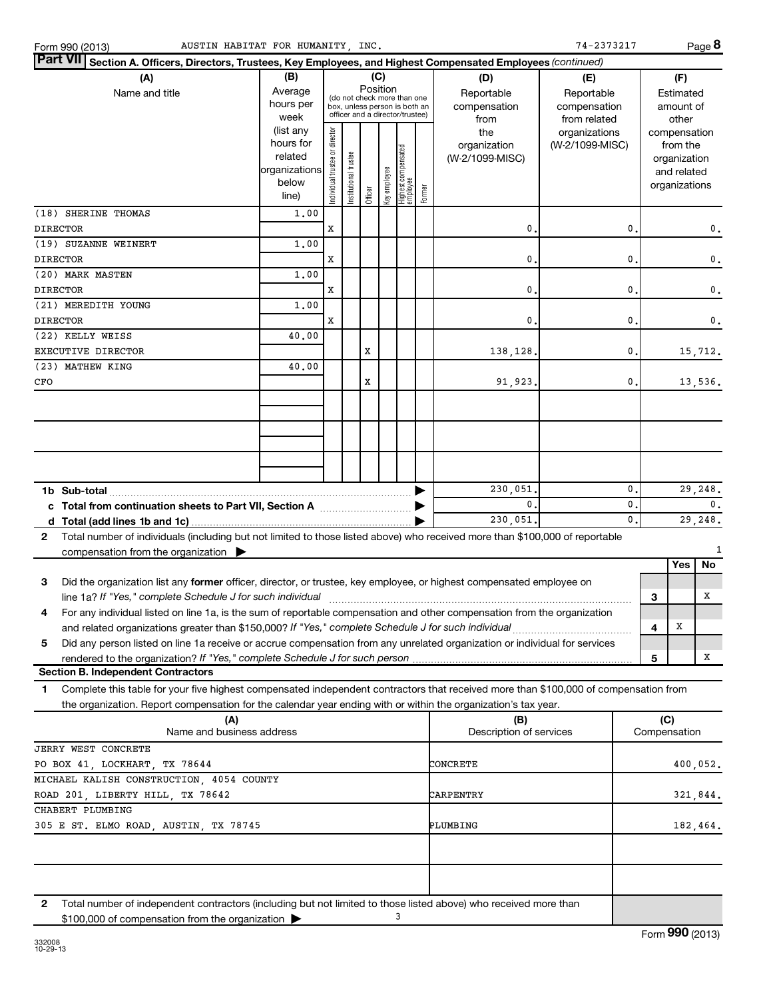| Part VII Section A. Officers, Directors, Trustees, Key Employees, and Highest Compensated Employees (continued)                              |                        |                               |                       |         |              |                                                              |            |                                 |                 |             |              |                             |          |
|----------------------------------------------------------------------------------------------------------------------------------------------|------------------------|-------------------------------|-----------------------|---------|--------------|--------------------------------------------------------------|------------|---------------------------------|-----------------|-------------|--------------|-----------------------------|----------|
| (A)                                                                                                                                          | (B)                    | (C)                           |                       |         |              |                                                              | (D)<br>(E) |                                 | (F)             |             |              |                             |          |
| Name and title                                                                                                                               | Average                |                               |                       |         | Position     |                                                              |            | Reportable                      | Reportable      |             |              | Estimated                   |          |
|                                                                                                                                              | hours per              |                               |                       |         |              | (do not check more than one<br>box, unless person is both an |            | compensation                    | compensation    |             |              | amount of                   |          |
|                                                                                                                                              | week                   |                               |                       |         |              | officer and a director/trustee)                              |            | from                            | from related    |             |              | other                       |          |
|                                                                                                                                              | (list any<br>hours for |                               |                       |         |              |                                                              |            | the                             | organizations   |             |              | compensation                |          |
|                                                                                                                                              | related                |                               |                       |         |              |                                                              |            | organization<br>(W-2/1099-MISC) | (W-2/1099-MISC) |             |              | from the                    |          |
|                                                                                                                                              | organizations          |                               |                       |         |              |                                                              |            |                                 |                 |             |              | organization<br>and related |          |
|                                                                                                                                              | below                  | ndividual trustee or director | Institutional trustee |         | Key employee |                                                              |            |                                 |                 |             |              | organizations               |          |
|                                                                                                                                              | line)                  |                               |                       | Officer |              | Highest compensated<br> employee                             | Former     |                                 |                 |             |              |                             |          |
| (18) SHERINE THOMAS                                                                                                                          | 1,00                   |                               |                       |         |              |                                                              |            |                                 |                 |             |              |                             |          |
| <b>DIRECTOR</b>                                                                                                                              |                        | x                             |                       |         |              |                                                              |            | 0                               |                 | 0.          |              |                             | 0.       |
| (19) SUZANNE WEINERT                                                                                                                         | 1,00                   |                               |                       |         |              |                                                              |            |                                 |                 |             |              |                             |          |
| <b>DIRECTOR</b>                                                                                                                              |                        | x                             |                       |         |              |                                                              |            | 0                               |                 | $\mathbf 0$ |              |                             | 0.       |
| (20) MARK MASTEN                                                                                                                             | 1,00                   |                               |                       |         |              |                                                              |            |                                 |                 |             |              |                             |          |
| <b>DIRECTOR</b>                                                                                                                              |                        | x                             |                       |         |              |                                                              |            | 0                               |                 | $\mathbf 0$ |              |                             | 0.       |
| (21) MEREDITH YOUNG                                                                                                                          | 1,00                   |                               |                       |         |              |                                                              |            |                                 |                 |             |              |                             |          |
| <b>DIRECTOR</b>                                                                                                                              |                        | x                             |                       |         |              |                                                              |            | 0                               |                 | 0.          |              |                             | 0.       |
| (22) KELLY WEISS                                                                                                                             | 40.00                  |                               |                       |         |              |                                                              |            |                                 |                 |             |              |                             |          |
| EXECUTIVE DIRECTOR                                                                                                                           |                        |                               |                       | х       |              |                                                              |            | 138,128                         |                 | 0.          |              |                             | 15,712.  |
| (23) MATHEW KING                                                                                                                             | 40.00                  |                               |                       |         |              |                                                              |            |                                 |                 |             |              |                             |          |
| CFO                                                                                                                                          |                        |                               |                       | х       |              |                                                              |            | 91,923                          |                 | 0.          |              |                             | 13,536.  |
|                                                                                                                                              |                        |                               |                       |         |              |                                                              |            |                                 |                 |             |              |                             |          |
|                                                                                                                                              |                        |                               |                       |         |              |                                                              |            |                                 |                 |             |              |                             |          |
|                                                                                                                                              |                        |                               |                       |         |              |                                                              |            |                                 |                 |             |              |                             |          |
|                                                                                                                                              |                        |                               |                       |         |              |                                                              |            |                                 |                 |             |              |                             |          |
|                                                                                                                                              |                        |                               |                       |         |              |                                                              |            |                                 |                 |             |              |                             |          |
|                                                                                                                                              |                        |                               |                       |         |              |                                                              |            |                                 |                 |             |              |                             |          |
|                                                                                                                                              |                        |                               |                       |         |              |                                                              |            | 230,051                         |                 | 0.          |              |                             | 29,248.  |
|                                                                                                                                              |                        |                               |                       |         |              |                                                              |            | $\mathbf{0}$                    |                 | 0.          |              |                             | 0.       |
|                                                                                                                                              |                        |                               |                       |         |              |                                                              |            | 230,051                         |                 | 0.          |              |                             | 29,248.  |
| Total number of individuals (including but not limited to those listed above) who received more than \$100,000 of reportable<br>$\mathbf{2}$ |                        |                               |                       |         |              |                                                              |            |                                 |                 |             |              |                             |          |
| compensation from the organization $\blacktriangleright$                                                                                     |                        |                               |                       |         |              |                                                              |            |                                 |                 |             |              |                             | 1        |
|                                                                                                                                              |                        |                               |                       |         |              |                                                              |            |                                 |                 |             |              | Yes                         | No       |
| Did the organization list any former officer, director, or trustee, key employee, or highest compensated employee on<br>з                    |                        |                               |                       |         |              |                                                              |            |                                 |                 |             |              |                             |          |
| line 1a? If "Yes," complete Schedule J for such individual                                                                                   |                        |                               |                       |         |              |                                                              |            |                                 |                 |             | 3            |                             | x        |
| For any individual listed on line 1a, is the sum of reportable compensation and other compensation from the organization<br>4                |                        |                               |                       |         |              |                                                              |            |                                 |                 |             |              |                             |          |
|                                                                                                                                              |                        |                               |                       |         |              |                                                              |            |                                 |                 |             | 4            | x                           |          |
| Did any person listed on line 1a receive or accrue compensation from any unrelated organization or individual for services<br>5              |                        |                               |                       |         |              |                                                              |            |                                 |                 |             |              |                             |          |
| rendered to the organization? If "Yes," complete Schedule J for such person                                                                  |                        |                               |                       |         |              |                                                              |            |                                 |                 |             | 5            |                             | x        |
| <b>Section B. Independent Contractors</b>                                                                                                    |                        |                               |                       |         |              |                                                              |            |                                 |                 |             |              |                             |          |
| Complete this table for your five highest compensated independent contractors that received more than \$100,000 of compensation from<br>1    |                        |                               |                       |         |              |                                                              |            |                                 |                 |             |              |                             |          |
| the organization. Report compensation for the calendar year ending with or within the organization's tax year.                               |                        |                               |                       |         |              |                                                              |            |                                 |                 |             |              |                             |          |
| (A)                                                                                                                                          |                        |                               |                       |         |              |                                                              |            | (B)                             |                 |             | (C)          |                             |          |
| Name and business address                                                                                                                    |                        |                               |                       |         |              |                                                              |            | Description of services         |                 |             | Compensation |                             |          |
| <b>JERRY WEST CONCRETE</b>                                                                                                                   |                        |                               |                       |         |              |                                                              |            |                                 |                 |             |              |                             |          |
| PO BOX 41, LOCKHART, TX 78644                                                                                                                |                        |                               |                       |         |              |                                                              |            | CONCRETE                        |                 |             |              |                             | 400,052. |
| MICHAEL KALISH CONSTRUCTION, 4054 COUNTY                                                                                                     |                        |                               |                       |         |              |                                                              |            |                                 |                 |             |              |                             |          |
| ROAD 201, LIBERTY HILL, TX 78642                                                                                                             |                        |                               |                       |         |              |                                                              |            | CARPENTRY                       |                 |             |              |                             | 321,844. |
| CHABERT PLUMBING                                                                                                                             |                        |                               |                       |         |              |                                                              |            |                                 |                 |             |              |                             |          |
| 305 E ST. ELMO ROAD, AUSTIN, TX 78745                                                                                                        |                        |                               |                       |         |              |                                                              |            | PLUMBING                        |                 |             |              |                             | 182,464. |
|                                                                                                                                              |                        |                               |                       |         |              |                                                              |            |                                 |                 |             |              |                             |          |
|                                                                                                                                              |                        |                               |                       |         |              |                                                              |            |                                 |                 |             |              |                             |          |
|                                                                                                                                              |                        |                               |                       |         |              |                                                              |            |                                 |                 |             |              |                             |          |
|                                                                                                                                              |                        |                               |                       |         |              |                                                              |            |                                 |                 |             |              |                             |          |

**2** Total number of independent contractors (including but not limited to those listed above) who received more than \$100,000 of compensation from the organization  $\blacktriangleright$ 3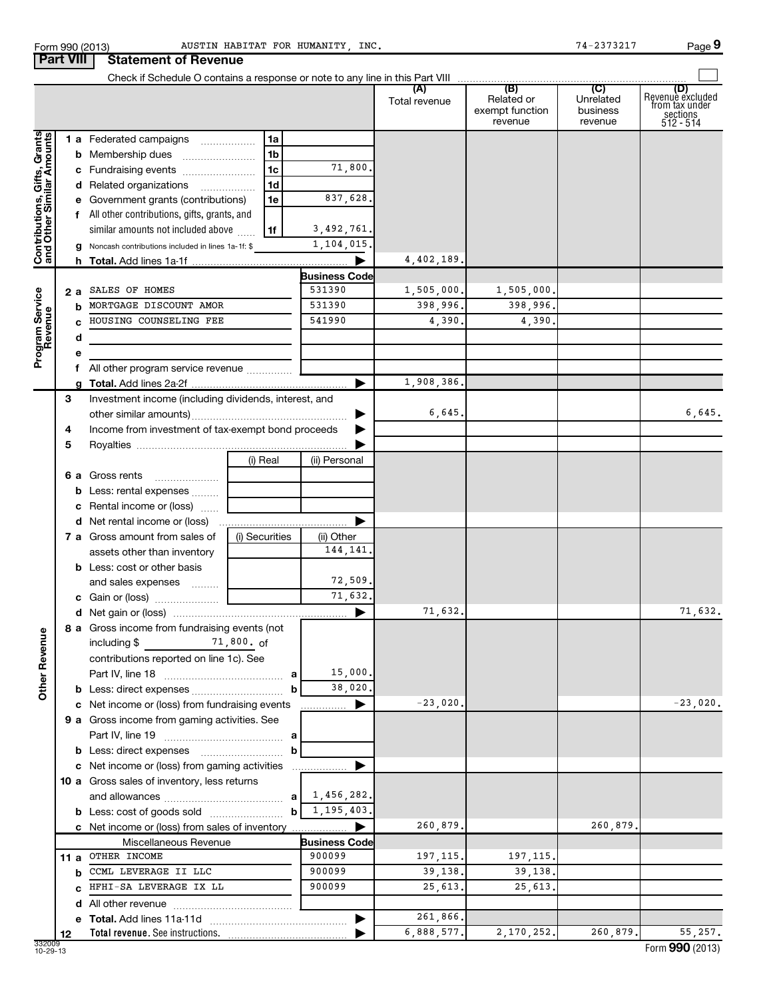|                                                           |    | Check if Schedule O contains a response or note to any line in this Part VIII |                |                            |               |                                                 |                                         |                                                                    |
|-----------------------------------------------------------|----|-------------------------------------------------------------------------------|----------------|----------------------------|---------------|-------------------------------------------------|-----------------------------------------|--------------------------------------------------------------------|
|                                                           |    |                                                                               |                |                            | Total revenue | (B)<br>Related or<br>exempt function<br>revenue | (C)<br>Unrelated<br>business<br>revenue | (D)<br>Revenue excluded<br>from tax under<br>sections<br>512 - 514 |
|                                                           |    | 1 a Federated campaigns                                                       | 1a             |                            |               |                                                 |                                         |                                                                    |
|                                                           |    | <b>b</b> Membership dues                                                      | 1 <sub>b</sub> |                            |               |                                                 |                                         |                                                                    |
|                                                           |    | c Fundraising events                                                          | 1 <sub>c</sub> | 71,800                     |               |                                                 |                                         |                                                                    |
|                                                           |    | d Related organizations                                                       | 1d             |                            |               |                                                 |                                         |                                                                    |
|                                                           |    | e Government grants (contributions)                                           | 1e             | 837,628.                   |               |                                                 |                                         |                                                                    |
|                                                           |    | f All other contributions, gifts, grants, and                                 |                |                            |               |                                                 |                                         |                                                                    |
|                                                           |    | similar amounts not included above                                            | 1f             | 3,492,761.                 |               |                                                 |                                         |                                                                    |
|                                                           |    | g Noncash contributions included in lines 1a-1f: \$                           |                | 1,104,015,                 |               |                                                 |                                         |                                                                    |
| Contributions, Gifts, Grants<br>and Other Similar Amounts |    |                                                                               |                | ▶                          | 4,402,189.    |                                                 |                                         |                                                                    |
|                                                           |    |                                                                               |                | <b>Business Code</b>       |               |                                                 |                                         |                                                                    |
|                                                           | 2а | SALES OF HOMES                                                                |                | 531390                     | 1,505,000.    | 1,505,000.                                      |                                         |                                                                    |
|                                                           | b  | MORTGAGE DISCOUNT AMOR                                                        |                | 531390                     | 398,996.      | 398,996.                                        |                                         |                                                                    |
|                                                           |    | HOUSING COUNSELING FEE                                                        |                | 541990                     | 4,390.        | 4,390.                                          |                                         |                                                                    |
|                                                           | d  |                                                                               |                |                            |               |                                                 |                                         |                                                                    |
| Program Service<br>Revenue                                | е  |                                                                               |                |                            |               |                                                 |                                         |                                                                    |
|                                                           |    | f All other program service revenue                                           |                |                            |               |                                                 |                                         |                                                                    |
|                                                           |    |                                                                               |                |                            | 1,908,386.    |                                                 |                                         |                                                                    |
|                                                           | 3  | Investment income (including dividends, interest, and                         |                |                            |               |                                                 |                                         |                                                                    |
|                                                           |    |                                                                               |                |                            | 6,645.        |                                                 |                                         | 6,645.                                                             |
|                                                           | 4  | Income from investment of tax-exempt bond proceeds                            |                |                            |               |                                                 |                                         |                                                                    |
|                                                           | 5  |                                                                               |                |                            |               |                                                 |                                         |                                                                    |
|                                                           |    |                                                                               | (i) Real       | (ii) Personal              |               |                                                 |                                         |                                                                    |
|                                                           |    | 6 a Gross rents                                                               |                |                            |               |                                                 |                                         |                                                                    |
|                                                           |    | <b>b</b> Less: rental expenses                                                |                |                            |               |                                                 |                                         |                                                                    |
|                                                           |    | c Rental income or (loss)                                                     |                |                            |               |                                                 |                                         |                                                                    |
|                                                           |    |                                                                               |                |                            |               |                                                 |                                         |                                                                    |
|                                                           |    | 7 a Gross amount from sales of                                                | (i) Securities | (ii) Other                 |               |                                                 |                                         |                                                                    |
|                                                           |    | assets other than inventory                                                   |                | 144,141                    |               |                                                 |                                         |                                                                    |
|                                                           |    | <b>b</b> Less: cost or other basis                                            |                |                            |               |                                                 |                                         |                                                                    |
|                                                           |    | and sales expenses                                                            |                | 72,509.                    |               |                                                 |                                         |                                                                    |
|                                                           |    |                                                                               |                | 71,632.                    |               |                                                 |                                         |                                                                    |
|                                                           |    |                                                                               |                | ▶                          | 71,632.       |                                                 |                                         | 71,632.                                                            |
|                                                           |    | 8 a Gross income from fundraising events (not                                 |                |                            |               |                                                 |                                         |                                                                    |
| ٩                                                         |    | including $\frac{2}{3}$ 71,800. of                                            |                |                            |               |                                                 |                                         |                                                                    |
|                                                           |    | contributions reported on line 1c). See                                       |                |                            |               |                                                 |                                         |                                                                    |
|                                                           |    |                                                                               | a              | 15,000                     |               |                                                 |                                         |                                                                    |
| Other Reven                                               |    |                                                                               | b              | 38,020.                    |               |                                                 |                                         |                                                                    |
|                                                           |    | c Net income or (loss) from fundraising events                                |                | ▶                          | $-23,020.$    |                                                 |                                         | $-23,020.$                                                         |
|                                                           |    | 9 a Gross income from gaming activities. See                                  |                |                            |               |                                                 |                                         |                                                                    |
|                                                           |    |                                                                               |                |                            |               |                                                 |                                         |                                                                    |
|                                                           |    | <b>b</b> Less: direct expenses                                                | b              |                            |               |                                                 |                                         |                                                                    |
|                                                           |    | c Net income or (loss) from gaming activities                                 |                |                            |               |                                                 |                                         |                                                                    |
|                                                           |    | 10 a Gross sales of inventory, less returns                                   |                |                            |               |                                                 |                                         |                                                                    |
|                                                           |    |                                                                               |                | 1,456,282.                 |               |                                                 |                                         |                                                                    |
|                                                           |    | <b>b</b> Less: cost of goods sold                                             | ьI             | $\overline{1}$ , 195, 403. |               |                                                 |                                         |                                                                    |
|                                                           |    | c Net income or (loss) from sales of inventory                                |                | ▶                          | 260,879.      |                                                 | 260,879.                                |                                                                    |
|                                                           |    | Miscellaneous Revenue                                                         |                | <b>Business Code</b>       |               |                                                 |                                         |                                                                    |
|                                                           |    | 11 a OTHER INCOME                                                             |                | 900099                     | 197, 115.     | 197, 115.                                       |                                         |                                                                    |
|                                                           |    | <b>b</b> CCML LEVERAGE II LLC                                                 |                | 900099                     | 39,138.       | 39,138.                                         |                                         |                                                                    |
|                                                           |    | c HFHI-SA LEVERAGE IX LL                                                      |                | 900099                     | 25,613.       | 25,613.                                         |                                         |                                                                    |
|                                                           |    |                                                                               |                |                            |               |                                                 |                                         |                                                                    |
|                                                           |    |                                                                               |                |                            | 261,866.      |                                                 |                                         |                                                                    |
|                                                           | 12 | Total revenue. See instructions.                                              |                |                            | 6,888,577.    | 2,170,252.                                      | 260,879.                                | 55,257.                                                            |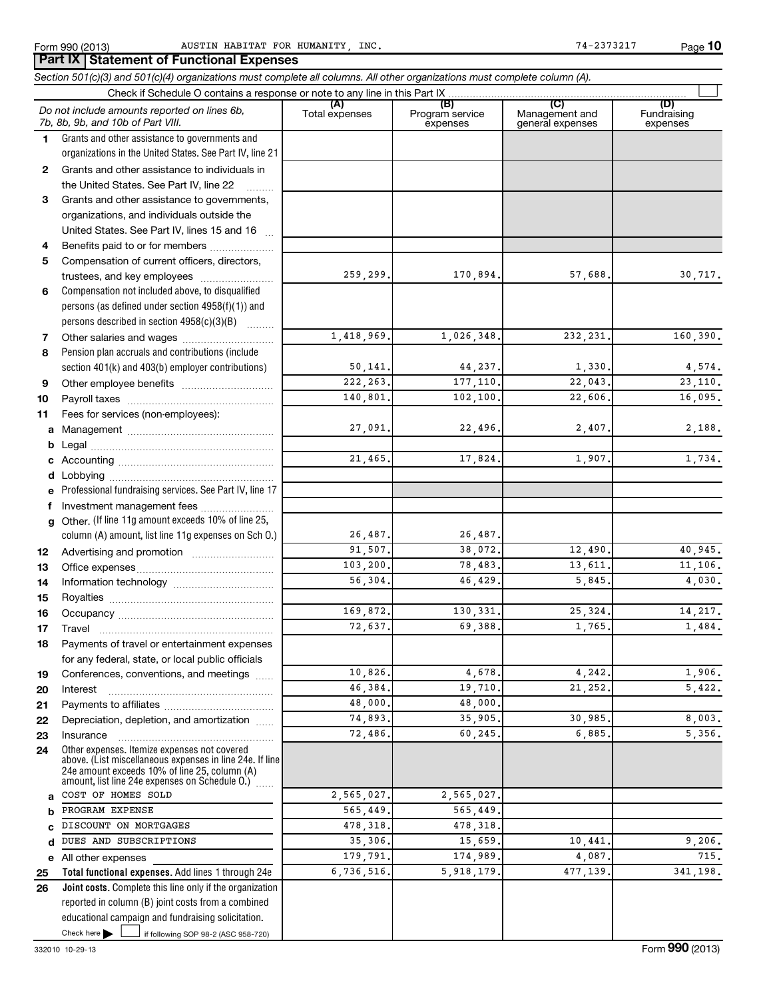|              | Section 501(c)(3) and 501(c)(4) organizations must complete all columns. All other organizations must complete column (A).                                    |                       |                                    |                                           |                                |
|--------------|---------------------------------------------------------------------------------------------------------------------------------------------------------------|-----------------------|------------------------------------|-------------------------------------------|--------------------------------|
|              | Check if Schedule O contains a response or note to any line in this Part IX                                                                                   |                       |                                    |                                           |                                |
|              | Do not include amounts reported on lines 6b,<br>7b, 8b, 9b, and 10b of Part VIII.                                                                             | (A)<br>Total expenses | (B)<br>Program service<br>expenses | (C)<br>Management and<br>general expenses | (D)<br>Fundraising<br>expenses |
| 1.           | Grants and other assistance to governments and                                                                                                                |                       |                                    |                                           |                                |
|              | organizations in the United States. See Part IV, line 21                                                                                                      |                       |                                    |                                           |                                |
| $\mathbf{2}$ | Grants and other assistance to individuals in                                                                                                                 |                       |                                    |                                           |                                |
|              | the United States. See Part IV, line 22                                                                                                                       |                       |                                    |                                           |                                |
| 3            | Grants and other assistance to governments,                                                                                                                   |                       |                                    |                                           |                                |
|              | organizations, and individuals outside the                                                                                                                    |                       |                                    |                                           |                                |
|              | United States. See Part IV, lines 15 and 16                                                                                                                   |                       |                                    |                                           |                                |
| 4            | Benefits paid to or for members                                                                                                                               |                       |                                    |                                           |                                |
| 5            | Compensation of current officers, directors,                                                                                                                  |                       |                                    |                                           |                                |
|              | trustees, and key employees                                                                                                                                   | 259,299.              | 170,894.                           | 57,688.                                   | 30,717.                        |
| 6            | Compensation not included above, to disqualified                                                                                                              |                       |                                    |                                           |                                |
|              | persons (as defined under section 4958(f)(1)) and                                                                                                             |                       |                                    |                                           |                                |
|              | persons described in section 4958(c)(3)(B)                                                                                                                    |                       |                                    |                                           |                                |
| 7            |                                                                                                                                                               | 1,418,969.            | 1,026,348.                         | 232, 231.                                 | 160,390.                       |
| 8            | Pension plan accruals and contributions (include                                                                                                              |                       |                                    |                                           |                                |
|              | section 401(k) and 403(b) employer contributions)                                                                                                             | 50, 141.              | 44,237.                            | 1,330.                                    | 4,574.                         |
| 9            |                                                                                                                                                               | 222, 263.             | 177, 110.                          | 22,043.                                   | 23,110.                        |
| 10           |                                                                                                                                                               | 140,801.              | 102,100.                           | 22,606.                                   | 16,095.                        |
| 11           | Fees for services (non-employees):                                                                                                                            |                       |                                    |                                           |                                |
| a            |                                                                                                                                                               | 27,091.               | 22,496.                            | 2,407.                                    | 2,188.                         |
|              |                                                                                                                                                               |                       |                                    |                                           |                                |
|              |                                                                                                                                                               | 21,465.               | 17,824.                            | 1,907.                                    | 1,734.                         |
|              |                                                                                                                                                               |                       |                                    |                                           |                                |
|              | Professional fundraising services. See Part IV, line 17                                                                                                       |                       |                                    |                                           |                                |
| f            | Investment management fees                                                                                                                                    |                       |                                    |                                           |                                |
|              | g Other. (If line 11g amount exceeds 10% of line 25,                                                                                                          |                       |                                    |                                           |                                |
|              | column (A) amount, list line 11g expenses on Sch O.)                                                                                                          | 26,487.               | 26,487.                            |                                           |                                |
| 12           |                                                                                                                                                               | 91,507.               | 38,072.                            | 12,490.                                   | 40,945.<br>11,106.             |
| 13           |                                                                                                                                                               | 103,200.<br>56,304.   | 78,483.<br>46,429.                 | 13,611.<br>5,845.                         | 4,030.                         |
| 14           |                                                                                                                                                               |                       |                                    |                                           |                                |
| 15           |                                                                                                                                                               | 169,872.              | 130, 331.                          | 25,324.                                   | 14,217.                        |
| 16           |                                                                                                                                                               | 72,637.               | 69,388.                            | 1,765.                                    | 1,484.                         |
| 17           |                                                                                                                                                               |                       |                                    |                                           |                                |
| 18           | Payments of travel or entertainment expenses                                                                                                                  |                       |                                    |                                           |                                |
|              | for any federal, state, or local public officials<br>Conferences, conventions, and meetings                                                                   | 10,826.               | 4,678.                             | 4,242.                                    | 1,906.                         |
| 19<br>20     | Interest                                                                                                                                                      | 46,384.               | 19,710.                            | 21, 252.                                  | 5,422.                         |
| 21           |                                                                                                                                                               | 48,000.               | 48,000.                            |                                           |                                |
| 22           | Depreciation, depletion, and amortization                                                                                                                     | 74,893.               | 35,905.                            | 30,985.                                   | 8,003.                         |
| 23           | Insurance                                                                                                                                                     | 72,486.               | 60,245.                            | 6,885.                                    | 5,356.                         |
| 24           | Other expenses. Itemize expenses not covered                                                                                                                  |                       |                                    |                                           |                                |
|              | above. (List miscellaneous expenses in line 24e. If line<br>24e amount exceeds 10% of line 25, column (A)<br>amount, list line 24e expenses on Schedule O.) [ |                       |                                    |                                           |                                |
| a            | COST OF HOMES SOLD                                                                                                                                            | 2,565,027.            | 2,565,027.                         |                                           |                                |
| b            | PROGRAM EXPENSE                                                                                                                                               | 565,449.              | 565,449.                           |                                           |                                |
| C            | DISCOUNT ON MORTGAGES                                                                                                                                         | 478,318.              | 478,318.                           |                                           |                                |
| d            | DUES AND SUBSCRIPTIONS                                                                                                                                        | 35,306.               | 15,659.                            | 10,441                                    | 9,206.                         |
|              | e All other expenses                                                                                                                                          | 179,791.              | 174,989.                           | 4,087.                                    | 715.                           |
| 25           | Total functional expenses. Add lines 1 through 24e                                                                                                            | 6,736,516.            | 5,918,179.                         | 477,139.                                  | 341,198.                       |
| 26           | Joint costs. Complete this line only if the organization                                                                                                      |                       |                                    |                                           |                                |
|              | reported in column (B) joint costs from a combined                                                                                                            |                       |                                    |                                           |                                |
|              | educational campaign and fundraising solicitation.                                                                                                            |                       |                                    |                                           |                                |
|              | Check here $\blacktriangleright$<br>if following SOP 98-2 (ASC 958-720)                                                                                       |                       |                                    |                                           |                                |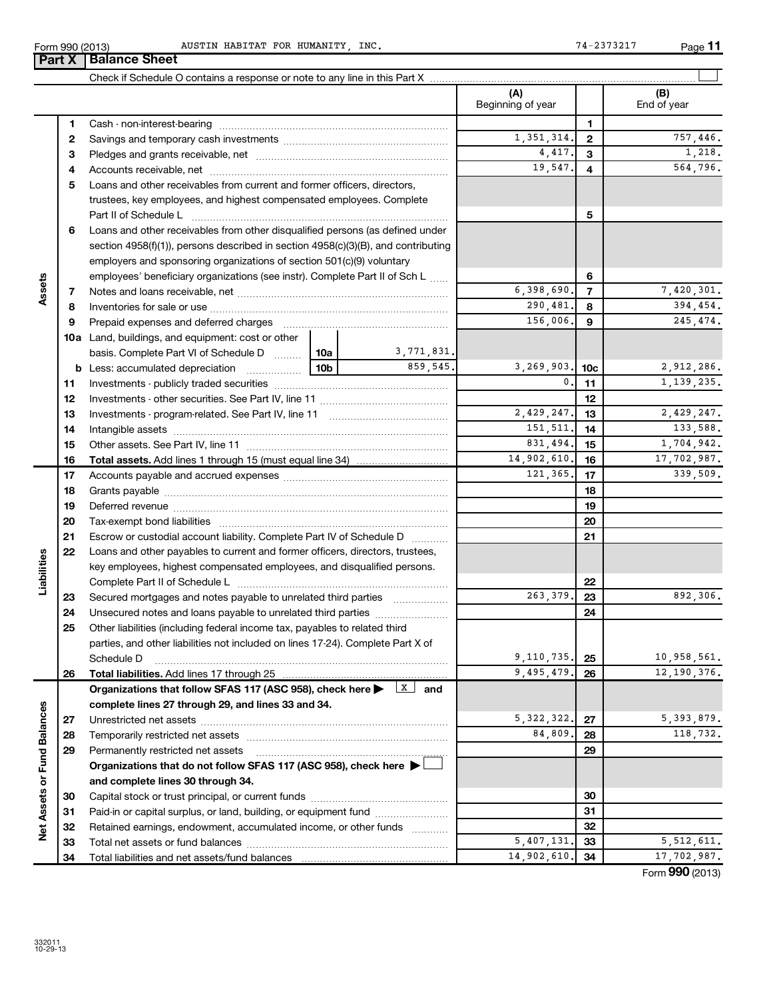|                             |        | AUSTIN HABITAT FOR HUMANITY, INC.<br>Form 990 (2013)                                                                                                                                                                           |                         |                            |                | 74-2373217<br>Page 11 |
|-----------------------------|--------|--------------------------------------------------------------------------------------------------------------------------------------------------------------------------------------------------------------------------------|-------------------------|----------------------------|----------------|-----------------------|
|                             | Part X | <b>Balance Sheet</b>                                                                                                                                                                                                           |                         |                            |                |                       |
|                             |        |                                                                                                                                                                                                                                |                         |                            |                |                       |
|                             |        |                                                                                                                                                                                                                                |                         | (A)                        |                | (B)                   |
|                             |        |                                                                                                                                                                                                                                |                         | Beginning of year          |                | End of year           |
|                             | 1      |                                                                                                                                                                                                                                |                         |                            | 1              |                       |
|                             | 2      |                                                                                                                                                                                                                                |                         | 1, 351, 314.               | $\mathbf{2}$   | 757,446.              |
|                             | З      |                                                                                                                                                                                                                                |                         | 4,417.                     | 3              | 1,218.                |
|                             | 4      |                                                                                                                                                                                                                                |                         | 19,547.                    | 4              | 564,796.              |
|                             | 5      | Loans and other receivables from current and former officers, directors,                                                                                                                                                       |                         |                            |                |                       |
|                             |        | trustees, key employees, and highest compensated employees. Complete                                                                                                                                                           |                         |                            | 5              |                       |
|                             | 6      | Loans and other receivables from other disqualified persons (as defined under<br>section 4958(f)(1)), persons described in section 4958(c)(3)(B), and contributing                                                             |                         |                            |                |                       |
|                             |        | employers and sponsoring organizations of section 501(c)(9) voluntary                                                                                                                                                          |                         |                            |                |                       |
|                             |        | employees' beneficiary organizations (see instr). Complete Part II of Sch L                                                                                                                                                    |                         |                            | 6              |                       |
| Assets                      | 7      |                                                                                                                                                                                                                                |                         | 6,398,690.                 | $\overline{7}$ | 7,420,301.            |
|                             | 8      |                                                                                                                                                                                                                                |                         | 290,481.                   | 8              | 394,454.              |
|                             | 9      | Prepaid expenses and deferred charges [11] matter continuum matter and referred charges [11] matter continuum matter continuum matter and continuum matter continuum matter continuum matter continuum matter continuum matter |                         | 156,006.                   | 9              | 245,474.              |
|                             |        | 10a Land, buildings, and equipment: cost or other                                                                                                                                                                              |                         |                            |                |                       |
|                             |        | basis. Complete Part VI of Schedule D  10a                                                                                                                                                                                     | 3,771,831.              |                            |                |                       |
|                             |        |                                                                                                                                                                                                                                | 859,545.                | 3, 269, 903.               | 10c            | 2,912,286.            |
|                             | 11     |                                                                                                                                                                                                                                |                         | $\mathbf{0}$ .             | 11             | 1,139,235.            |
|                             | 12     |                                                                                                                                                                                                                                |                         |                            | 12             |                       |
|                             | 13     |                                                                                                                                                                                                                                |                         | 2,429,247.                 | 13             | 2,429,247.            |
|                             | 14     |                                                                                                                                                                                                                                |                         | 151,511.                   | 14             | 133,588.              |
|                             | 15     |                                                                                                                                                                                                                                |                         | 831,494.                   | 15             | 1,704,942.            |
|                             | 16     | <b>Total assets.</b> Add lines 1 through 15 (must equal line 34) <i></i>                                                                                                                                                       |                         | 14,902,610.                | 16             | 17,702,987.           |
|                             | 17     |                                                                                                                                                                                                                                |                         | 121,365.                   | 17             | 339,509.              |
|                             | 18     |                                                                                                                                                                                                                                |                         |                            | 18             |                       |
|                             | 19     | Deferred revenue manual contracts and contracts and contracts are all the contracts and contracts are contracts and contracts are contracted and contracts are contracted and contract are contracted and contract are contrac |                         |                            | 19             |                       |
|                             | 20     | Tax-exempt bond liabilities                                                                                                                                                                                                    |                         |                            | 20             |                       |
|                             | 21     | Escrow or custodial account liability. Complete Part IV of Schedule D                                                                                                                                                          |                         |                            | 21             |                       |
| Liabilities                 | 22     | Loans and other payables to current and former officers, directors, trustees,                                                                                                                                                  |                         |                            |                |                       |
|                             |        | key employees, highest compensated employees, and disqualified persons.<br>Complete Part II of Schedule L                                                                                                                      |                         |                            | 22             |                       |
|                             | 23     | Secured mortgages and notes payable to unrelated third parties                                                                                                                                                                 |                         | 263,379.                   | 23             | 892,306.              |
|                             | 24     | Unsecured notes and loans payable to unrelated third parties                                                                                                                                                                   |                         |                            | 24             |                       |
|                             | 25     | Other liabilities (including federal income tax, payables to related third                                                                                                                                                     |                         |                            |                |                       |
|                             |        | parties, and other liabilities not included on lines 17-24). Complete Part X of                                                                                                                                                |                         |                            |                |                       |
|                             |        | Schedule D                                                                                                                                                                                                                     |                         | 9,110,735.                 | 25             | 10,958,561.           |
|                             | 26     |                                                                                                                                                                                                                                |                         | $\overline{9}$ , 495, 479. | 26             | 12,190,376.           |
|                             |        | Organizations that follow SFAS 117 (ASC 958), check here                                                                                                                                                                       | $\lfloor x \rfloor$ and |                            |                |                       |
|                             |        | complete lines 27 through 29, and lines 33 and 34.                                                                                                                                                                             |                         |                            |                |                       |
|                             | 27     |                                                                                                                                                                                                                                |                         | 5, 322, 322.               | 27             | 5, 393, 879.          |
|                             | 28     |                                                                                                                                                                                                                                |                         | 84,809.                    | 28             | 118,732.              |
|                             | 29     | Permanently restricted net assets                                                                                                                                                                                              |                         |                            | 29             |                       |
|                             |        | Organizations that do not follow SFAS 117 (ASC 958), check here $\blacktriangleright\bot$                                                                                                                                      |                         |                            |                |                       |
|                             |        | and complete lines 30 through 34.                                                                                                                                                                                              |                         |                            |                |                       |
|                             | 30     |                                                                                                                                                                                                                                |                         |                            | 30             |                       |
|                             | 31     | Paid-in or capital surplus, or land, building, or equipment fund                                                                                                                                                               |                         |                            | 31             |                       |
| Net Assets or Fund Balances | 32     | Retained earnings, endowment, accumulated income, or other funds                                                                                                                                                               |                         | 5 407 131                  | 32<br>າາ       | 5 512 611             |
|                             |        | halang tanggunan di sebagai kalanggan                                                                                                                                                                                          |                         |                            |                |                       |

Capital stock or trust principal, or current funds ~~~~~~~~~~~~~~~ Paid-in or capital surplus, or land, building, or equipment fund ...................... Retained earnings, endowment, accumulated income, or other funds ............ Total net assets or fund balances ~~~~~~~~~~~~~~~~~~~~~~

Total liabilities and net assets/fund balances

Form (2013) **990**

5,407,131. 33 5,512,611. 14,902,610. 34 17,702,987.

| Form 990 (201 |  |
|---------------|--|
|               |  |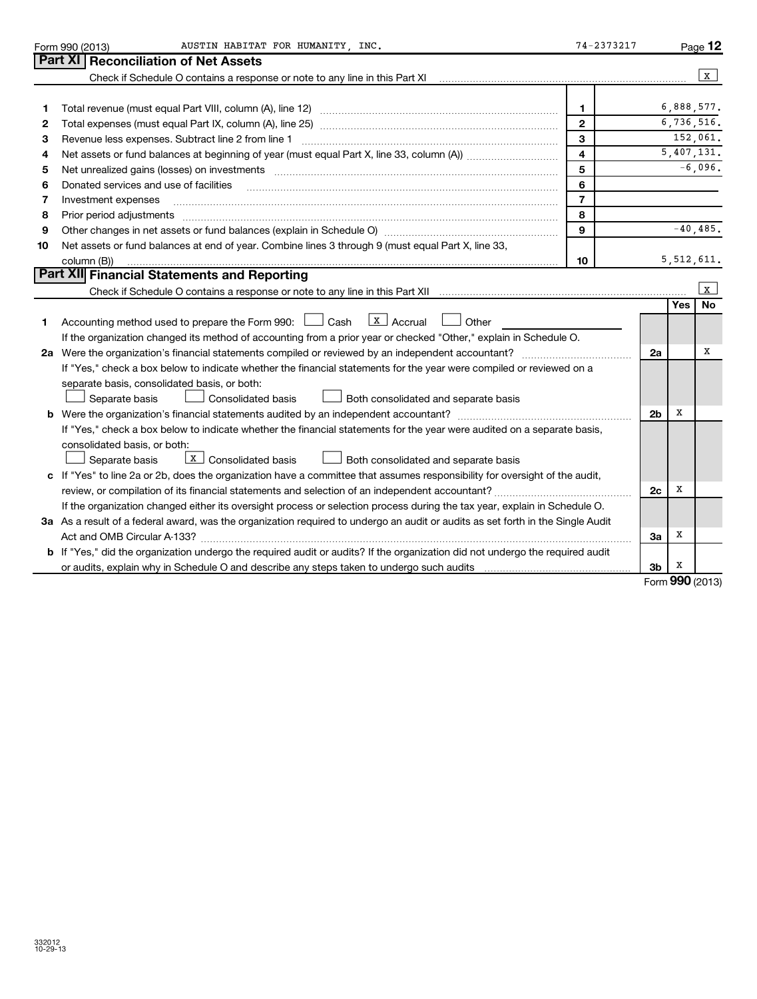|    | AUSTIN HABITAT FOR HUMANITY, INC.<br>Form 990 (2013)                                                                                                                                                                           | 74-2373217              |                |            | Page 12      |
|----|--------------------------------------------------------------------------------------------------------------------------------------------------------------------------------------------------------------------------------|-------------------------|----------------|------------|--------------|
|    | Part XI   Reconciliation of Net Assets                                                                                                                                                                                         |                         |                |            |              |
|    | Check if Schedule O contains a response or note to any line in this Part XI [11] [12] Check if Schedule O contains a response or note to any line in this Part XI                                                              |                         |                |            | X            |
|    |                                                                                                                                                                                                                                |                         |                |            |              |
| 1  |                                                                                                                                                                                                                                | $\mathbf{1}$            |                |            | 6,888,577.   |
| 2  |                                                                                                                                                                                                                                | $\overline{2}$          |                |            | 6,736,516.   |
| З  | Revenue less expenses. Subtract line 2 from line 1                                                                                                                                                                             | 3                       |                |            | 152,061.     |
| 4  |                                                                                                                                                                                                                                | $\overline{\mathbf{4}}$ |                |            | 5,407,131.   |
| 5  | Net unrealized gains (losses) on investments [11] processes in the contract of the contract of the contract of                                                                                                                 | 5                       |                |            | $-6,096.$    |
| 6  | Donated services and use of facilities                                                                                                                                                                                         | 6                       |                |            |              |
| 7  | Investment expenses                                                                                                                                                                                                            | $\overline{7}$          |                |            |              |
| 8  |                                                                                                                                                                                                                                | 8                       |                |            |              |
| 9  |                                                                                                                                                                                                                                | 9                       |                |            | $-40, 485.$  |
| 10 | Net assets or fund balances at end of year. Combine lines 3 through 9 (must equal Part X, line 33,                                                                                                                             |                         |                |            |              |
|    | column (B))                                                                                                                                                                                                                    | 10                      |                |            | 5, 512, 611. |
|    | Part XII Financial Statements and Reporting                                                                                                                                                                                    |                         |                |            |              |
|    | Check if Schedule O contains a response or note to any line in this Part XII musulman contains and contains a manufacture of the state of the Schedule O contains a response or note to any line in this Part XII musulman con |                         |                |            | $\mathbf{x}$ |
|    |                                                                                                                                                                                                                                |                         |                | <b>Yes</b> | <b>No</b>    |
| 1  | $\lfloor x \rfloor$ Accrual<br>Accounting method used to prepare the Form 990: $\Box$ Cash<br>$\Box$ Other                                                                                                                     |                         |                |            |              |
|    | If the organization changed its method of accounting from a prior year or checked "Other," explain in Schedule O.                                                                                                              |                         |                |            |              |
|    |                                                                                                                                                                                                                                |                         | 2a             |            | х            |
|    | If "Yes," check a box below to indicate whether the financial statements for the year were compiled or reviewed on a                                                                                                           |                         |                |            |              |
|    | separate basis, consolidated basis, or both:                                                                                                                                                                                   |                         |                |            |              |
|    | Both consolidated and separate basis<br>Separate basis<br>Consolidated basis                                                                                                                                                   |                         |                |            |              |
|    |                                                                                                                                                                                                                                |                         | 2 <sub>b</sub> | х          |              |
|    | If "Yes," check a box below to indicate whether the financial statements for the year were audited on a separate basis,                                                                                                        |                         |                |            |              |
|    | consolidated basis, or both:                                                                                                                                                                                                   |                         |                |            |              |
|    | $\boxed{\mathbf{X}}$ Consolidated basis<br>Both consolidated and separate basis<br>Separate basis                                                                                                                              |                         |                |            |              |
|    | c If "Yes" to line 2a or 2b, does the organization have a committee that assumes responsibility for oversight of the audit,                                                                                                    |                         |                |            |              |
|    |                                                                                                                                                                                                                                |                         | 2c             | Χ          |              |
|    | If the organization changed either its oversight process or selection process during the tax year, explain in Schedule O.                                                                                                      |                         |                |            |              |
|    | 3a As a result of a federal award, was the organization required to undergo an audit or audits as set forth in the Single Audit                                                                                                |                         |                |            |              |
|    |                                                                                                                                                                                                                                |                         | За             | Х          |              |
|    | b If "Yes," did the organization undergo the required audit or audits? If the organization did not undergo the required audit                                                                                                  |                         |                |            |              |
|    |                                                                                                                                                                                                                                |                         | 3 <sub>b</sub> | Х          |              |

Form **990** (2013)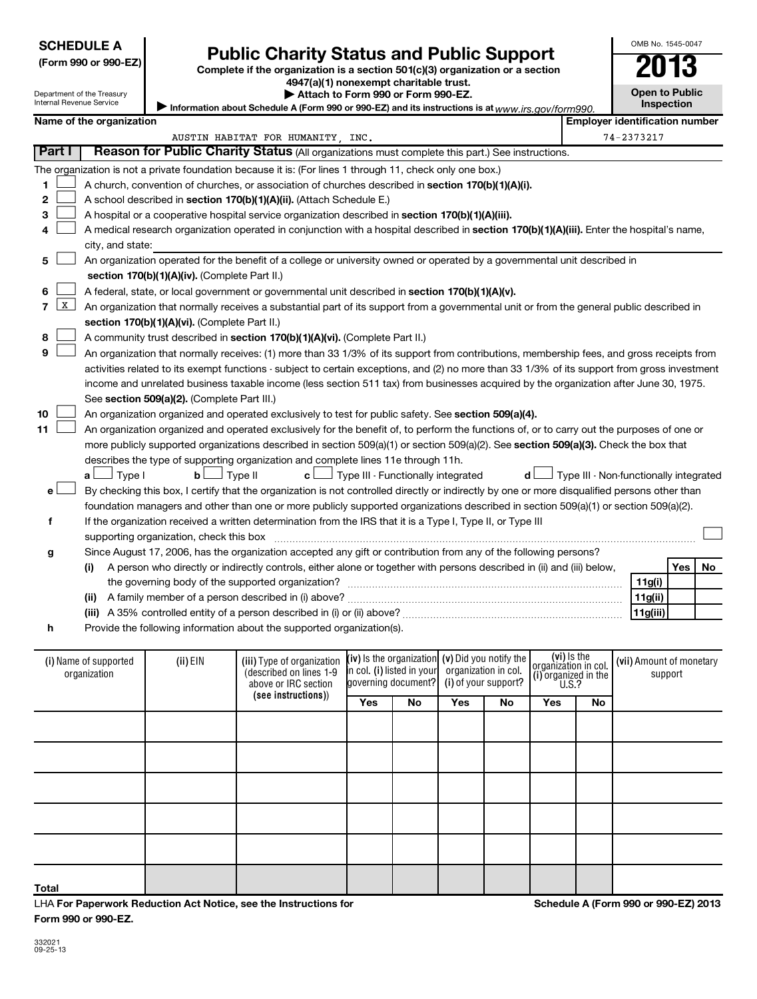| <b>SCHEDULE A</b> |  |  |  |
|-------------------|--|--|--|
|                   |  |  |  |

## **Public Charity Status and Public Support**

**(Form 990 or 990-EZ) Complete if the organization is a section 501(c)(3) organization or a section**

**Open to Public**

OMB No. 1545-0047

Yes | No

 $\pm$ 

**11g(iii)**

| Department of the Treasury |  |
|----------------------------|--|
| Internal Revenue Service   |  |

**1 2**

**8**

| Department of the Treasury<br><b>Internal Revenue Service</b> | 4947(a)(1) nonexempt charitable trust.<br>Attach to Form 990 or Form 990-EZ.<br>Information about Schedule A (Form 990 or 990-EZ) and its instructions is at $www.irs.gov/form990.$ |  | <b>Open to Public</b><br><b>Inspection</b> |  |
|---------------------------------------------------------------|-------------------------------------------------------------------------------------------------------------------------------------------------------------------------------------|--|--------------------------------------------|--|
| Name of the organization                                      |                                                                                                                                                                                     |  | <b>Employer identification number</b>      |  |
|                                                               | AUSTIN HABITAT FOR HUMANITY<br>INC.                                                                                                                                                 |  |                                            |  |
| <b>Part I</b>                                                 | Reason for Public Charity Status (All organizations must complete this part.) See instructions.                                                                                     |  |                                            |  |
|                                                               | The organization is not a private foundation because it is: (For lines 1 through 11, check only one box.)                                                                           |  |                                            |  |
|                                                               | A church, convention of churches, or association of churches described in section 170(b)(1)(A)(i).                                                                                  |  |                                            |  |

- A school described in **section 170(b)(1)(A)(ii).** (Attach Schedule E.)  $\sim$
- **3** A hospital or a cooperative hospital service organization described in section 170(b)(1)(A)(iii).  $\sim$
- **4** A medical research organization operated in conjunction with a hospital described in **section 170(b)(1)(A)(iii).** Enter the hospital's name, city, and state:  $\sim$
- **5 section 170(b)(1)(A)(iv).**  (Complete Part II.) An organization operated for the benefit of a college or university owned or operated by a governmental unit described in  $\sim$
- **6** A federal, state, or local government or governmental unit described in **section 170(b)(1)(A)(v).**  $\sim$
- **7 section 170(b)(1)(A)(vi).** (Complete Part II.) An organization that normally receives a substantial part of its support from a governmental unit or from the general public described in  $\mathbf{X}$ 
	- A community trust described in **section 170(b)(1)(A)(vi).** (Complete Part II.)  $\sim$
- **9** See s**ection 509(a)(2).** (Complete Part III.) An organization that normally receives: (1) more than 33 1/3% of its support from contributions, membership fees, and gross receipts from activities related to its exempt functions - subject to certain exceptions, and (2) no more than 33 1/3% of its support from gross investment income and unrelated business taxable income (less section 511 tax) from businesses acquired by the organization after June 30, 1975.  $\sim$
- **10** An organization organized and operated exclusively to test for public safety. See **section 509(a)(4).**  $\sim$
- **11** more publicly supported organizations described in section 509(a)(1) or section 509(a)(2). See **section 509(a)(3).** Check the box that An organization organized and operated exclusively for the benefit of, to perform the functions of, or to carry out the purposes of one or describes the type of supporting organization and complete lines 11e through 11h.  $\sim$ 
	- **a b c d** Type I Type II Type III Functionally integrated Type III Non-functionally integrated † † † † **e f** By checking this box, I certify that the organization is not controlled directly or indirectly by one or more disqualified persons other than foundation managers and other than one or more publicly supported organizations described in section 509(a)(1) or section 509(a)(2). If the organization received a written determination from the IRS that it is a Type I, Type II, or Type III †
	- **g** supporting organization, check this box ~~~~~~~~~~~~~~~~~~~~~~~~~~~~~~~~~~~~~~~~~~~~~~
		- **(i)** A person who directly or indirectly controls, either alone or together with persons described in (ii) and (iii) below, **11g(i) 11g(ii)** Since August 17, 2006, has the organization accepted any gift or contribution from any of the following persons? the governing body of the supported organization? ~~~~~~~~~~~~~~~~~~~~~~~~~~~~~~
		- **(ii)** A family member of a person described in (i) above? ~~~~~~~~~~~~~~~~~~~~~~~~~~~~~~
		- **(iii)** A 35% controlled entity of a person described in (i) or (ii) above? ~~~~~~~~~~~~~~~~~~~~~~~~
- **h** Provide the following information about the supported organization(s).

| (i) Name of supported<br>organization | $(ii)$ EIN | (iii) Type of organization<br>described on lines 1-9<br>above or IRC section |     | $(iv)$ is the organization $(v)$ Did you notify the<br>in col. (i) listed in your<br>governing document? (i) of your support? | organization in col. |    | (vi) Is the<br>organization in col.<br>(i) organized in the<br>$\begin{bmatrix} 0.8 \\ 0.000 \\ 0.0000 \\ 0.0000 \end{bmatrix}$ |    | (vii) Amount of monetary<br>support |
|---------------------------------------|------------|------------------------------------------------------------------------------|-----|-------------------------------------------------------------------------------------------------------------------------------|----------------------|----|---------------------------------------------------------------------------------------------------------------------------------|----|-------------------------------------|
|                                       |            | (see instructions))                                                          | Yes | No                                                                                                                            | Yes                  | No | Yes                                                                                                                             | No |                                     |
|                                       |            |                                                                              |     |                                                                                                                               |                      |    |                                                                                                                                 |    |                                     |
|                                       |            |                                                                              |     |                                                                                                                               |                      |    |                                                                                                                                 |    |                                     |
|                                       |            |                                                                              |     |                                                                                                                               |                      |    |                                                                                                                                 |    |                                     |
|                                       |            |                                                                              |     |                                                                                                                               |                      |    |                                                                                                                                 |    |                                     |
|                                       |            |                                                                              |     |                                                                                                                               |                      |    |                                                                                                                                 |    |                                     |
| Total                                 |            |                                                                              |     |                                                                                                                               |                      |    |                                                                                                                                 |    |                                     |

LHA **For Paperwork Reduction Act Notice, see the Instructions for Form 990 or 990-EZ.**

**Schedule A (Form 990 or 990-EZ) 2013**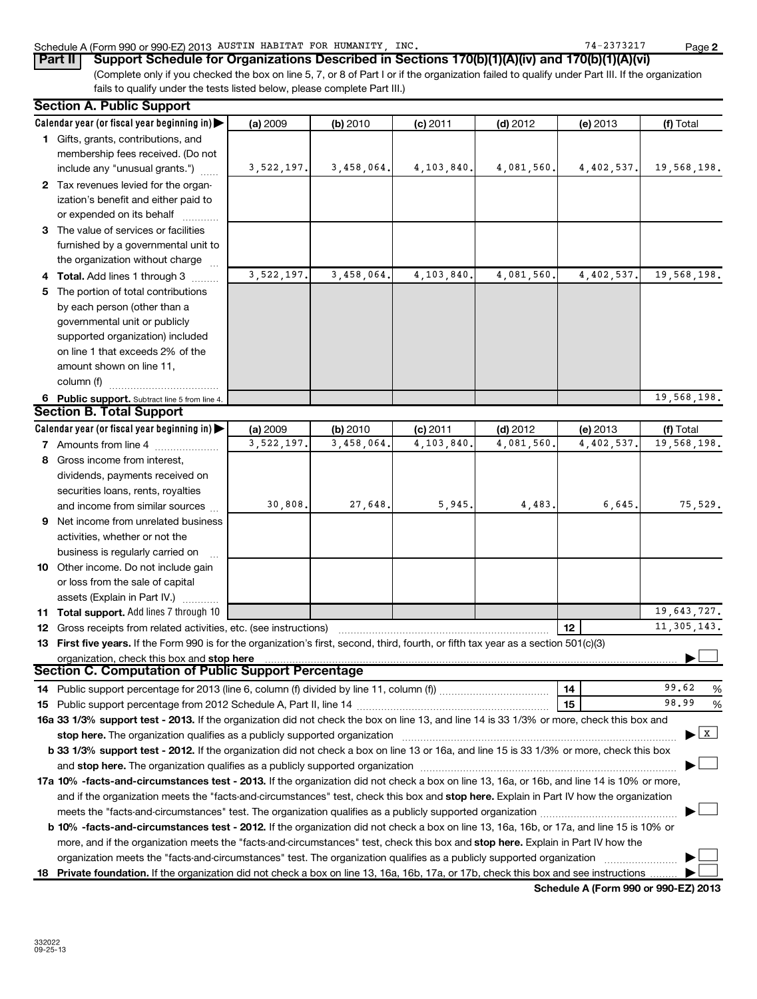### Schedule A (Form 990 or 990-EZ) 2013 AUSTIN HABITAT FOR HUMANITY, INC. The manufacture of the 1974-2373217 Page

| Schedule A |  |
|------------|--|
|            |  |

(Complete only if you checked the box on line 5, 7, or 8 of Part I or if the organization failed to qualify under Part III. If the organization fails to qualify under the tests listed below, please complete Part III.) **Part II** Support Schedule for Organizations Described in Sections 170(b)(1)(A)(iv) and 170(b)(1)(A)(vi)

| <b>Section A. Public Support</b>                                                                                                                                                                                               |            |            |            |            |            |                     |
|--------------------------------------------------------------------------------------------------------------------------------------------------------------------------------------------------------------------------------|------------|------------|------------|------------|------------|---------------------|
| Calendar year (or fiscal year beginning in)                                                                                                                                                                                    | (a) 2009   | (b) 2010   | $(c)$ 2011 | $(d)$ 2012 | (e) 2013   | (f) Total           |
| 1 Gifts, grants, contributions, and                                                                                                                                                                                            |            |            |            |            |            |                     |
| membership fees received. (Do not                                                                                                                                                                                              |            |            |            |            |            |                     |
| include any "unusual grants.")                                                                                                                                                                                                 | 3,522,197. | 3,458,064. | 4,103,840. | 4,081,560. | 4,402,537. | 19,568,198.         |
| 2 Tax revenues levied for the organ-                                                                                                                                                                                           |            |            |            |            |            |                     |
| ization's benefit and either paid to                                                                                                                                                                                           |            |            |            |            |            |                     |
| or expended on its behalf                                                                                                                                                                                                      |            |            |            |            |            |                     |
| 3 The value of services or facilities                                                                                                                                                                                          |            |            |            |            |            |                     |
| furnished by a governmental unit to                                                                                                                                                                                            |            |            |            |            |            |                     |
| the organization without charge                                                                                                                                                                                                |            |            |            |            |            |                     |
| 4 Total. Add lines 1 through 3                                                                                                                                                                                                 | 3,522,197. | 3,458,064. | 4,103,840  | 4,081,560. | 4,402,537  | 19,568,198.         |
| 5 The portion of total contributions                                                                                                                                                                                           |            |            |            |            |            |                     |
| by each person (other than a                                                                                                                                                                                                   |            |            |            |            |            |                     |
| governmental unit or publicly                                                                                                                                                                                                  |            |            |            |            |            |                     |
| supported organization) included                                                                                                                                                                                               |            |            |            |            |            |                     |
| on line 1 that exceeds 2% of the                                                                                                                                                                                               |            |            |            |            |            |                     |
| amount shown on line 11,                                                                                                                                                                                                       |            |            |            |            |            |                     |
| column (f)                                                                                                                                                                                                                     |            |            |            |            |            |                     |
| 6 Public support. Subtract line 5 from line 4.                                                                                                                                                                                 |            |            |            |            |            | 19,568,198.         |
| <b>Section B. Total Support</b>                                                                                                                                                                                                |            |            |            |            |            |                     |
| Calendar year (or fiscal year beginning in) $\blacktriangleright$                                                                                                                                                              | (a) 2009   | (b) 2010   | $(c)$ 2011 | $(d)$ 2012 | (e) 2013   | (f) Total           |
| 7 Amounts from line 4                                                                                                                                                                                                          | 3,522,197  | 3,458,064  | 4,103,840  | 4,081,560. | 4,402,537  | 19,568,198.         |
| 8 Gross income from interest,                                                                                                                                                                                                  |            |            |            |            |            |                     |
| dividends, payments received on                                                                                                                                                                                                |            |            |            |            |            |                     |
| securities loans, rents, royalties                                                                                                                                                                                             |            |            |            |            |            |                     |
| and income from similar sources                                                                                                                                                                                                | 30,808.    | 27,648.    | 5,945.     | 4,483.     | 6,645      | 75,529.             |
| 9 Net income from unrelated business                                                                                                                                                                                           |            |            |            |            |            |                     |
| activities, whether or not the                                                                                                                                                                                                 |            |            |            |            |            |                     |
| business is regularly carried on                                                                                                                                                                                               |            |            |            |            |            |                     |
| 10 Other income. Do not include gain                                                                                                                                                                                           |            |            |            |            |            |                     |
| or loss from the sale of capital                                                                                                                                                                                               |            |            |            |            |            |                     |
|                                                                                                                                                                                                                                |            |            |            |            |            |                     |
| assets (Explain in Part IV.)<br>11 Total support. Add lines 7 through 10                                                                                                                                                       |            |            |            |            |            | 19,643,727.         |
| <b>12</b> Gross receipts from related activities, etc. (see instructions)                                                                                                                                                      |            |            |            |            | 12         | 11, 305, 143.       |
| 13 First five years. If the Form 990 is for the organization's first, second, third, fourth, or fifth tax year as a section 501(c)(3)                                                                                          |            |            |            |            |            |                     |
| organization, check this box and stop here manufactured and stop here are all the manufactured and stop here are all the manufactured and stop here are all the manufactured and stop here are all the manufactured and stop h |            |            |            |            |            |                     |
| Section C. Computation of Public Support Percentage                                                                                                                                                                            |            |            |            |            |            |                     |
|                                                                                                                                                                                                                                |            |            |            |            | 14         | 99.62<br>%          |
|                                                                                                                                                                                                                                |            |            |            |            | 15         | 98.99<br>%          |
| 16a 33 1/3% support test - 2013. If the organization did not check the box on line 13, and line 14 is 33 1/3% or more, check this box and                                                                                      |            |            |            |            |            |                     |
|                                                                                                                                                                                                                                |            |            |            |            |            | $\lfloor x \rfloor$ |
| b 33 1/3% support test - 2012. If the organization did not check a box on line 13 or 16a, and line 15 is 33 1/3% or more, check this box                                                                                       |            |            |            |            |            |                     |
|                                                                                                                                                                                                                                |            |            |            |            |            |                     |
| 17a 10% -facts-and-circumstances test - 2013. If the organization did not check a box on line 13, 16a, or 16b, and line 14 is 10% or more,                                                                                     |            |            |            |            |            |                     |
| and if the organization meets the "facts-and-circumstances" test, check this box and stop here. Explain in Part IV how the organization                                                                                        |            |            |            |            |            |                     |
| meets the "facts-and-circumstances" test. The organization qualifies as a publicly supported organization                                                                                                                      |            |            |            |            |            |                     |
| b 10% -facts-and-circumstances test - 2012. If the organization did not check a box on line 13, 16a, 16b, or 17a, and line 15 is 10% or                                                                                        |            |            |            |            |            |                     |
|                                                                                                                                                                                                                                |            |            |            |            |            |                     |
| more, and if the organization meets the "facts-and-circumstances" test, check this box and stop here. Explain in Part IV how the                                                                                               |            |            |            |            |            |                     |
| organization meets the "facts-and-circumstances" test. The organization qualifies as a publicly supported organization                                                                                                         |            |            |            |            |            |                     |
| 18 Private foundation. If the organization did not check a box on line 13, 16a, 16b, 17a, or 17b, check this box and see instructions                                                                                          |            |            |            |            |            |                     |

**2**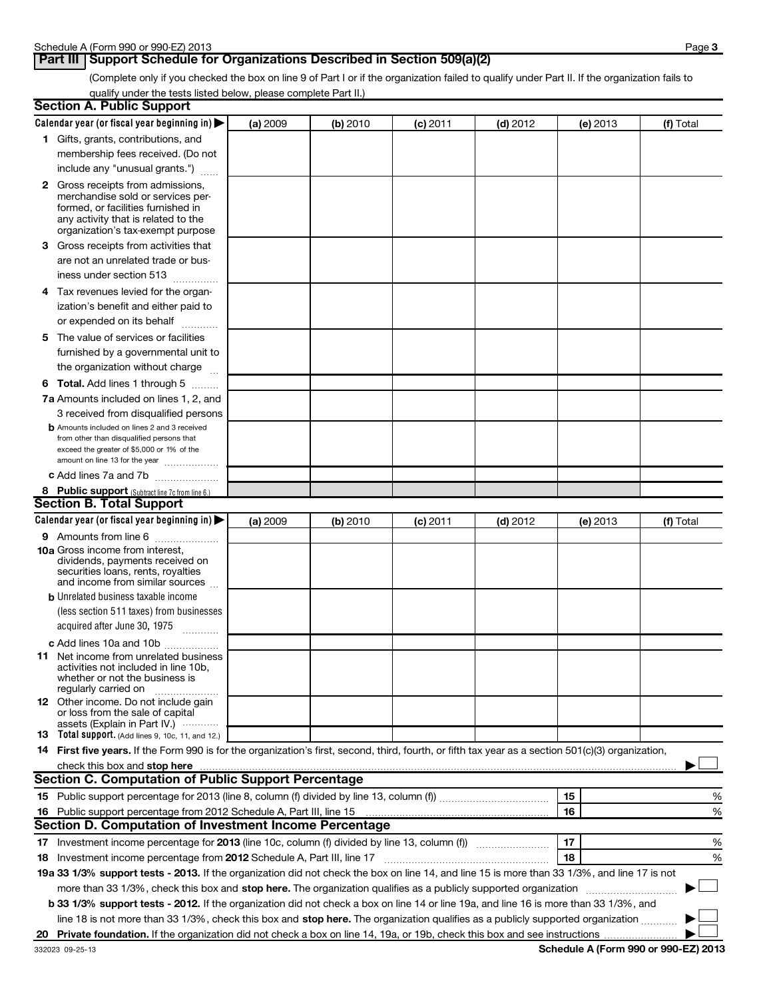## **Part III Support Schedule for Organizations Described in Section 509(a)(2)**

(Complete only if you checked the box on line 9 of Part I or if the organization failed to qualify under Part II. If the organization fails to qualify under the tests listed below, please complete Part II.)

| <b>Section A. Public Support</b>                                                                                                                                                                                               |          |          |            |            |          |           |
|--------------------------------------------------------------------------------------------------------------------------------------------------------------------------------------------------------------------------------|----------|----------|------------|------------|----------|-----------|
| Calendar year (or fiscal year beginning in)                                                                                                                                                                                    | (a) 2009 | (b) 2010 | $(c)$ 2011 | $(d)$ 2012 | (e) 2013 | (f) Total |
| 1 Gifts, grants, contributions, and                                                                                                                                                                                            |          |          |            |            |          |           |
| membership fees received. (Do not                                                                                                                                                                                              |          |          |            |            |          |           |
| include any "unusual grants.")                                                                                                                                                                                                 |          |          |            |            |          |           |
| <b>2</b> Gross receipts from admissions,                                                                                                                                                                                       |          |          |            |            |          |           |
| merchandise sold or services per-                                                                                                                                                                                              |          |          |            |            |          |           |
| formed, or facilities furnished in                                                                                                                                                                                             |          |          |            |            |          |           |
| any activity that is related to the<br>organization's tax-exempt purpose                                                                                                                                                       |          |          |            |            |          |           |
| 3 Gross receipts from activities that                                                                                                                                                                                          |          |          |            |            |          |           |
| are not an unrelated trade or bus-                                                                                                                                                                                             |          |          |            |            |          |           |
| iness under section 513                                                                                                                                                                                                        |          |          |            |            |          |           |
|                                                                                                                                                                                                                                |          |          |            |            |          |           |
| 4 Tax revenues levied for the organ-                                                                                                                                                                                           |          |          |            |            |          |           |
| ization's benefit and either paid to                                                                                                                                                                                           |          |          |            |            |          |           |
| or expended on its behalf                                                                                                                                                                                                      |          |          |            |            |          |           |
| 5 The value of services or facilities                                                                                                                                                                                          |          |          |            |            |          |           |
| furnished by a governmental unit to                                                                                                                                                                                            |          |          |            |            |          |           |
| the organization without charge                                                                                                                                                                                                |          |          |            |            |          |           |
| <b>6 Total.</b> Add lines 1 through 5                                                                                                                                                                                          |          |          |            |            |          |           |
| 7a Amounts included on lines 1, 2, and                                                                                                                                                                                         |          |          |            |            |          |           |
| 3 received from disqualified persons                                                                                                                                                                                           |          |          |            |            |          |           |
| <b>b</b> Amounts included on lines 2 and 3 received                                                                                                                                                                            |          |          |            |            |          |           |
| from other than disqualified persons that<br>exceed the greater of \$5,000 or 1% of the                                                                                                                                        |          |          |            |            |          |           |
| amount on line 13 for the year                                                                                                                                                                                                 |          |          |            |            |          |           |
| c Add lines 7a and 7b                                                                                                                                                                                                          |          |          |            |            |          |           |
| 8 Public support (Subtract line 7c from line 6.)                                                                                                                                                                               |          |          |            |            |          |           |
| <b>Section B. Total Support</b>                                                                                                                                                                                                |          |          |            |            |          |           |
| Calendar year (or fiscal year beginning in)                                                                                                                                                                                    | (a) 2009 | (b) 2010 | $(c)$ 2011 | $(d)$ 2012 | (e) 2013 | (f) Total |
| <b>9</b> Amounts from line 6                                                                                                                                                                                                   |          |          |            |            |          |           |
| <b>10a</b> Gross income from interest,                                                                                                                                                                                         |          |          |            |            |          |           |
| dividends, payments received on<br>securities loans, rents, royalties                                                                                                                                                          |          |          |            |            |          |           |
| and income from similar sources                                                                                                                                                                                                |          |          |            |            |          |           |
| <b>b</b> Unrelated business taxable income                                                                                                                                                                                     |          |          |            |            |          |           |
| (less section 511 taxes) from businesses                                                                                                                                                                                       |          |          |            |            |          |           |
| acquired after June 30, 1975                                                                                                                                                                                                   |          |          |            |            |          |           |
| c Add lines 10a and 10b                                                                                                                                                                                                        |          |          |            |            |          |           |
| <b>11</b> Net income from unrelated business                                                                                                                                                                                   |          |          |            |            |          |           |
| activities not included in line 10b,                                                                                                                                                                                           |          |          |            |            |          |           |
| whether or not the business is                                                                                                                                                                                                 |          |          |            |            |          |           |
| regularly carried on<br>12 Other income. Do not include gain                                                                                                                                                                   |          |          |            |            |          |           |
| or loss from the sale of capital                                                                                                                                                                                               |          |          |            |            |          |           |
| assets (Explain in Part IV.) $\cdots$                                                                                                                                                                                          |          |          |            |            |          |           |
| 13 Total support. (Add lines 9, 10c, 11, and 12.)                                                                                                                                                                              |          |          |            |            |          |           |
| 14 First five years. If the Form 990 is for the organization's first, second, third, fourth, or fifth tax year as a section 501(c)(3) organization,                                                                            |          |          |            |            |          |           |
| check this box and stop here measurements and the state of the state of the state of the state of the state of the state of the state of the state of the state of the state of the state of the state of the state of the sta |          |          |            |            |          |           |
| <b>Section C. Computation of Public Support Percentage</b>                                                                                                                                                                     |          |          |            |            |          |           |
|                                                                                                                                                                                                                                |          |          |            |            | 15       | %         |
| 16 Public support percentage from 2012 Schedule A, Part III, line 15                                                                                                                                                           |          |          |            |            | 16       | %         |
| <b>Section D. Computation of Investment Income Percentage</b>                                                                                                                                                                  |          |          |            |            |          |           |
| 17 Investment income percentage for 2013 (line 10c, column (f) divided by line 13, column (f))                                                                                                                                 |          |          |            |            | 17       | %         |
| 18 Investment income percentage from 2012 Schedule A, Part III, line 17                                                                                                                                                        |          |          |            |            | 18       | %         |
| 19a 33 1/3% support tests - 2013. If the organization did not check the box on line 14, and line 15 is more than 33 1/3%, and line 17 is not                                                                                   |          |          |            |            |          |           |
| more than 33 1/3%, check this box and stop here. The organization qualifies as a publicly supported organization                                                                                                               |          |          |            |            |          |           |
| b 33 1/3% support tests - 2012. If the organization did not check a box on line 14 or line 19a, and line 16 is more than 33 1/3%, and                                                                                          |          |          |            |            |          |           |
| line 18 is not more than 33 1/3%, check this box and stop here. The organization qualifies as a publicly supported organization                                                                                                |          |          |            |            |          |           |
|                                                                                                                                                                                                                                |          |          |            |            |          |           |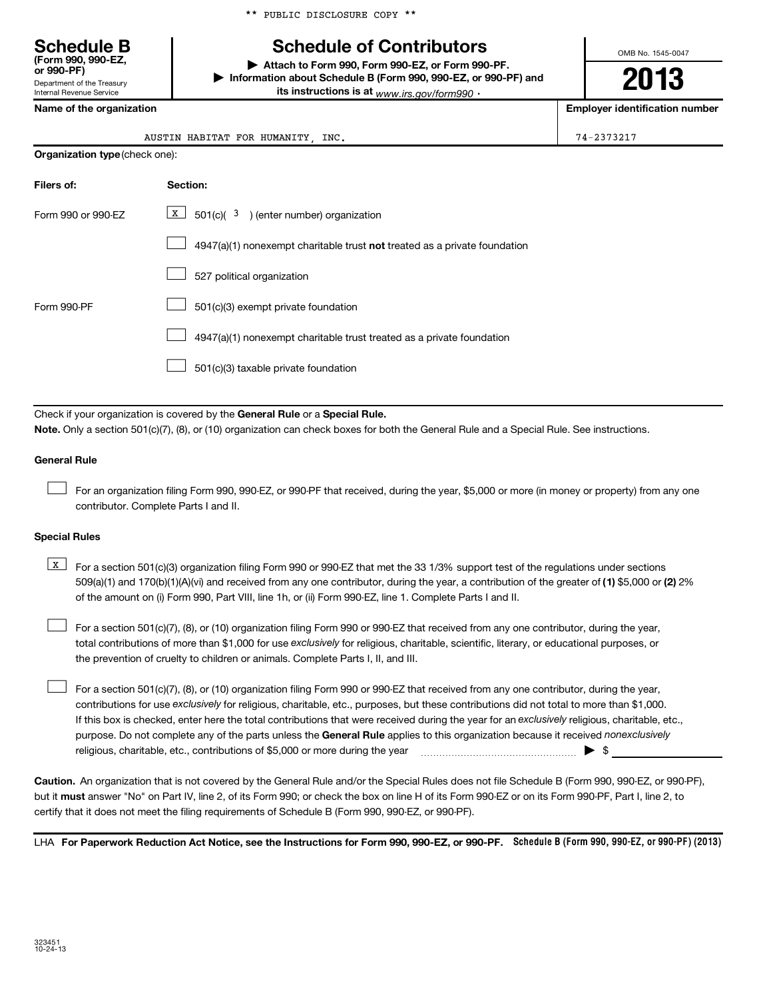|  |  | ** PUBLIC DISCLOSURE COPY ** |  |  |
|--|--|------------------------------|--|--|
|--|--|------------------------------|--|--|

## **Schedule B Schedule of Contributors**

**or 990-PF) | Attach to Form 990, Form 990-EZ, or Form 990-PF. | Information about Schedule B (Form 990, 990-EZ, or 990-PF) and its instructions is at** <sub>www.irs.gov/form990  $\cdot$ </sub>

OMB No. 1545-0047 **2013**

**Name of the organization Employer identification number**

|  | Name of the organization |
|--|--------------------------|

Department of the Treasury Internal Revenue Service

**(Form 990, 990-EZ,**

|                                |                                                                           | Employer racmemodation namber |
|--------------------------------|---------------------------------------------------------------------------|-------------------------------|
|                                | AUSTIN HABITAT FOR HUMANITY, INC.                                         | 74-2373217                    |
| Organization type (check one): |                                                                           |                               |
| Filers of:                     | Section:                                                                  |                               |
| Form 990 or 990-EZ             | $\boxed{\text{X}}$ 501(c)( 3) (enter number) organization                 |                               |
|                                | 4947(a)(1) nonexempt charitable trust not treated as a private foundation |                               |
|                                | 527 political organization                                                |                               |
| Form 990-PF                    | 501(c)(3) exempt private foundation                                       |                               |
|                                | 4947(a)(1) nonexempt charitable trust treated as a private foundation     |                               |
|                                | 501(c)(3) taxable private foundation                                      |                               |

Check if your organization is covered by the General Rule or a Special Rule. **Note.**  Only a section 501(c)(7), (8), or (10) organization can check boxes for both the General Rule and a Special Rule. See instructions.

#### **General Rule**

For an organization filing Form 990, 990-EZ, or 990-PF that received, during the year, \$5,000 or more (in money or property) from any one contributor. Complete Parts I and II.  $\left\vert \cdot\right\vert$ 

#### **Special Rules**

509(a)(1) and 170(b)(1)(A)(vi) and received from any one contributor, during the year, a contribution of the greater of (1**)** \$5,000 or (**2**) 2%  $\boxed{\text{X}}$  For a section 501(c)(3) organization filing Form 990 or 990-EZ that met the 33 1/3% support test of the regulations under sections of the amount on (i) Form 990, Part VIII, line 1h, or (ii) Form 990-EZ, line 1. Complete Parts I and II.

total contributions of more than \$1,000 for use exclusively for religious, charitable, scientific, literary, or educational purposes, or For a section 501(c)(7), (8), or (10) organization filing Form 990 or 990-EZ that received from any one contributor, during the year, the prevention of cruelty to children or animals. Complete Parts I, II, and III.  $\left\vert \cdot\right\vert$ 

purpose. Do not complete any of the parts unless the General Rule applies to this organization because it received nonexclusively contributions for use exclusively for religious, charitable, etc., purposes, but these contributions did not total to more than \$1,000. If this box is checked, enter here the total contributions that were received during the year for an exclusively religious, charitable, etc., For a section 501(c)(7), (8), or (10) organization filing Form 990 or 990-EZ that received from any one contributor, during the year, religious, charitable, etc., contributions of \$5,000 or more during the year  $\Box$   $\Box$   $\Box$   $\Box$  $\left\vert \cdot\right\vert$ 

**Caution.** An organization that is not covered by the General Rule and/or the Special Rules does not file Schedule B (Form 990, 990-EZ, or 990-PF), but it **must** answer "No" on Part IV, line 2, of its Form 990; or check the box on line H of its Form 990-EZ or on its Form 990-PF, Part I, line 2, to certify that it does not meet the filing requirements of Schedule B (Form 990, 990-EZ, or 990-PF).

LHA For Paperwork Reduction Act Notice, see the Instructions for Form 990, 990-EZ, or 990-PF. Schedule B (Form 990, 990-EZ, or 990-PF) (2013)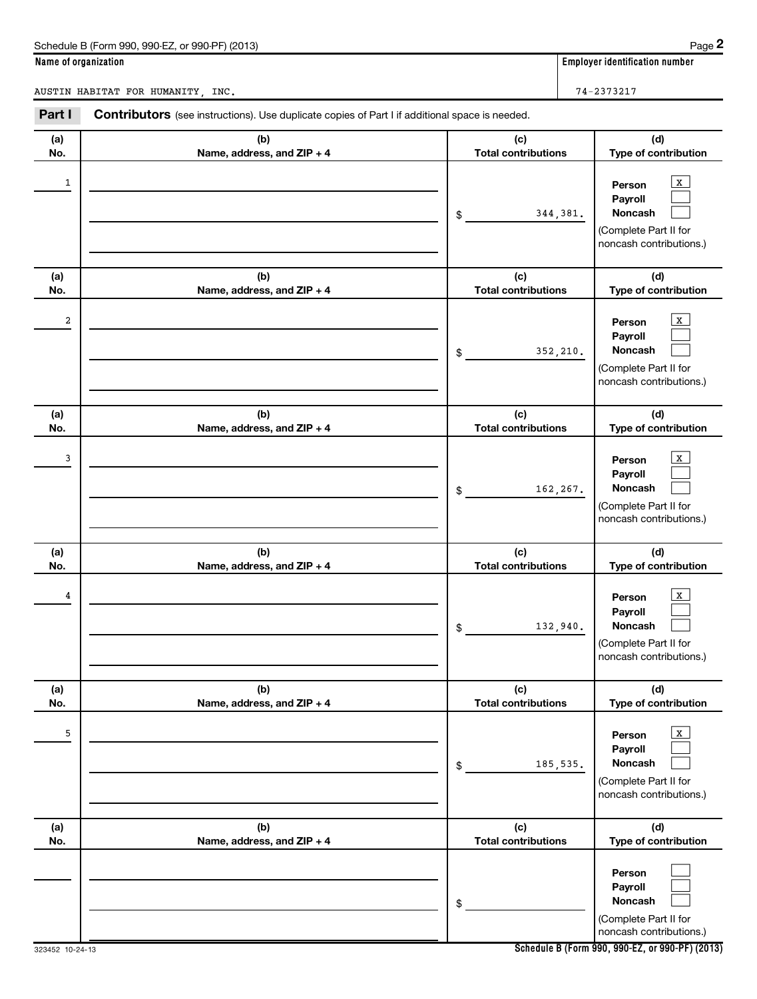| Schedule B (Form 990, 990-EZ, or 990-PF) (2013) | Page |
|-------------------------------------------------|------|
|-------------------------------------------------|------|

**Name of organization Employer identification number**

AUSTIN HABITAT FOR HUMANITY, INC. THE SERVICE SERVICE SERVICE SERVICE SERVICE SERVICE SERVICE SERVICE SERVICE S

**(a) No. (b) Name, address, and ZIP + 4 (c) Total contributions (d) Type of contribution Person Payroll Noncash (a) No. (b) Name, address, and ZIP + 4 (c) Total contributions (d) Type of contribution Person Payroll Noncash (a) No. (b) Name, address, and ZIP + 4 (c) Total contributions (d) Type of contribution Person Payroll Noncash (a) No. (b) Name, address, and ZIP + 4 (c) Total contributions (d) Type of contribution Person Payroll Noncash (a) No. (b) Name, address, and ZIP + 4 (c) Total contributions (d) Type of contribution Person Payroll Noncash (a) No. (b) Name, address, and ZIP + 4 (c) Total contributions (d) Type of contribution Person Payroll Noncash** Part I Contributors (see instructions). Use duplicate copies of Part I if additional space is needed. \$ (Complete Part II for noncash contributions.) \$ (Complete Part II for noncash contributions.) \$ (Complete Part II for noncash contributions.) \$ (Complete Part II for noncash contributions.) \$ (Complete Part II for noncash contributions.) \$ (Complete Part II for noncash contributions.)  $\vert x \vert$  $\Box$  $\Box$  $\vert x \vert$  $\Box$  $\Box$  $\mathbf{x}$  $\Box$  $\Box$  $\vert x \vert$  $\Box$  $\Box$  $\boxed{\mathbf{X}}$  $\Box$  $\Box$  $\Box$  $\Box$  $\Box$  $\begin{array}{|c|c|c|c|c|c|c|c|c|}\hline \ \text{1} & \text{Person} & \text{X} \ \hline \end{array}$ 344,381. 2 X 352,210.  $\frac{3}{2}$  Person  $\frac{1}{2}$ 162,267.  $\frac{4}{4}$  Person  $\frac{1}{2}$ 132,940. 5 X 185,535.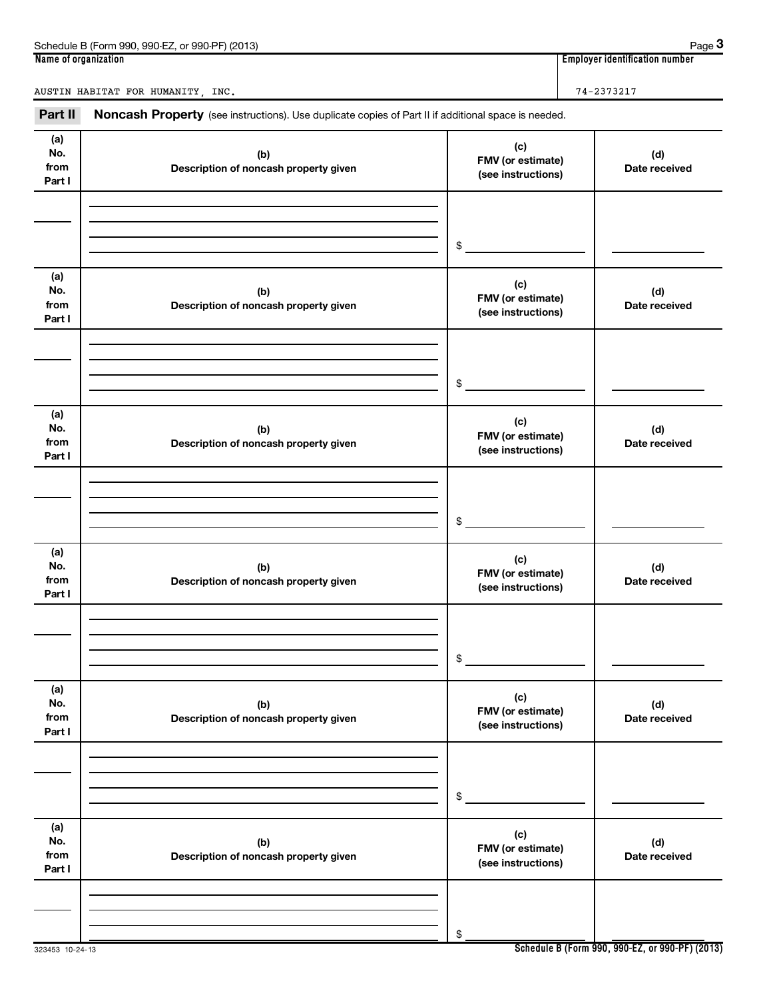| (2013)<br>. 990-EZ<br>Schedule B (Form<br>or 990-PF)<br><b>990</b> | Paqe                                     |
|--------------------------------------------------------------------|------------------------------------------|
| Name of<br>e of organization (                                     | <br>r identification number.<br>Employer |

AUSTIN HABITAT FOR HUMANITY, INC.  $74-2373217$ 

Part II Noncash Property (see instructions). Use duplicate copies of Part II if additional space is needed.

| (a)<br>No.<br>from<br>Part I | (b)<br>Description of noncash property given | (c)<br>FMV (or estimate)<br>(see instructions) | (d)<br>Date received |
|------------------------------|----------------------------------------------|------------------------------------------------|----------------------|
|                              |                                              |                                                |                      |
|                              |                                              |                                                |                      |
|                              |                                              | \$                                             |                      |
| (a)<br>No.<br>from<br>Part I | (b)<br>Description of noncash property given | (c)<br>FMV (or estimate)<br>(see instructions) | (d)<br>Date received |
|                              |                                              |                                                |                      |
|                              |                                              |                                                |                      |
|                              |                                              | \$                                             |                      |
| (a)<br>No.<br>from<br>Part I | (b)<br>Description of noncash property given | (c)<br>FMV (or estimate)<br>(see instructions) | (d)<br>Date received |
|                              |                                              |                                                |                      |
|                              |                                              |                                                |                      |
|                              |                                              | \$                                             |                      |
| (a)<br>No.<br>from<br>Part I | (b)<br>Description of noncash property given | (c)<br>FMV (or estimate)<br>(see instructions) | (d)<br>Date received |
|                              |                                              |                                                |                      |
|                              |                                              |                                                |                      |
|                              |                                              | \$                                             |                      |
| (a)<br>No.<br>from<br>Part I | (b)<br>Description of noncash property given | (c)<br>FMV (or estimate)<br>(see instructions) | (d)<br>Date received |
|                              |                                              |                                                |                      |
|                              |                                              |                                                |                      |
|                              |                                              | $\$$                                           |                      |
| (a)<br>No.<br>from<br>Part I | (b)<br>Description of noncash property given | (c)<br>FMV (or estimate)<br>(see instructions) | (d)<br>Date received |
|                              |                                              |                                                |                      |
|                              |                                              |                                                |                      |
|                              |                                              | \$                                             |                      |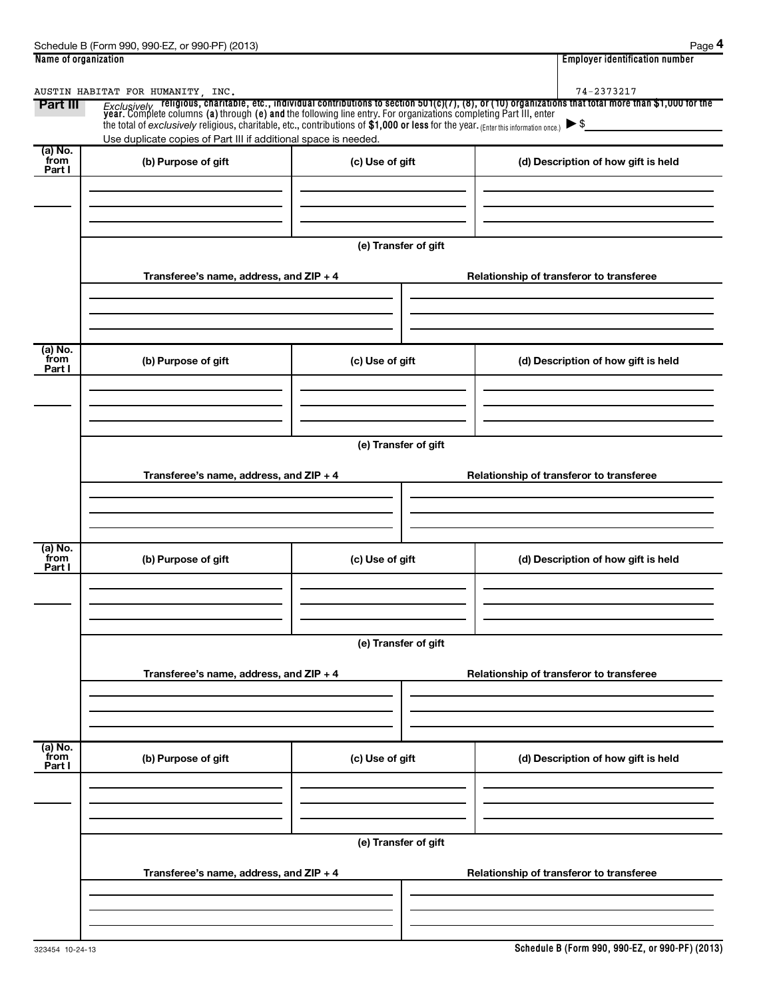|                           | AUSTIN HABITAT FOR HUMANITY, INC.                               |                      | 74-2373217                                                                                                                                                                                                                                      |
|---------------------------|-----------------------------------------------------------------|----------------------|-------------------------------------------------------------------------------------------------------------------------------------------------------------------------------------------------------------------------------------------------|
| Part III                  | Use duplicate copies of Part III if additional space is needed. |                      | $\frac{1}{100}$<br>Exclusively <b>religious, charitable, etc., individual contributions to section 501(c)(7), (8), or (10) organizations that total more than \$1,000 for the<br/>year. Complete columns (a) through (e) and the following </b> |
| (a) No.<br>from<br>Part I | (b) Purpose of gift                                             | (c) Use of gift      | (d) Description of how gift is held                                                                                                                                                                                                             |
|                           |                                                                 |                      |                                                                                                                                                                                                                                                 |
|                           |                                                                 | (e) Transfer of gift |                                                                                                                                                                                                                                                 |
|                           | Transferee's name, address, and ZIP + 4                         |                      | Relationship of transferor to transferee                                                                                                                                                                                                        |
| (a) No.<br>from<br>Part I | (b) Purpose of gift                                             | (c) Use of gift      | (d) Description of how gift is held                                                                                                                                                                                                             |
|                           |                                                                 |                      |                                                                                                                                                                                                                                                 |
|                           |                                                                 | (e) Transfer of gift |                                                                                                                                                                                                                                                 |
|                           | Transferee's name, address, and ZIP + 4                         |                      | Relationship of transferor to transferee                                                                                                                                                                                                        |
| (a) No.<br>from<br>Part I | (b) Purpose of gift                                             | (c) Use of gift      | (d) Description of how gift is held                                                                                                                                                                                                             |
|                           |                                                                 | (e) Transfer of gift |                                                                                                                                                                                                                                                 |
|                           | Transferee's name, address, and ZIP + 4                         |                      | Relationship of transferor to transferee                                                                                                                                                                                                        |
| (a) No.<br>from<br>Part I | (b) Purpose of gift                                             | (c) Use of gift      | (d) Description of how gift is held                                                                                                                                                                                                             |
|                           |                                                                 |                      |                                                                                                                                                                                                                                                 |
|                           |                                                                 | (e) Transfer of gift |                                                                                                                                                                                                                                                 |
|                           | Transferee's name, address, and ZIP + 4                         |                      | Relationship of transferor to transferee                                                                                                                                                                                                        |
|                           |                                                                 |                      |                                                                                                                                                                                                                                                 |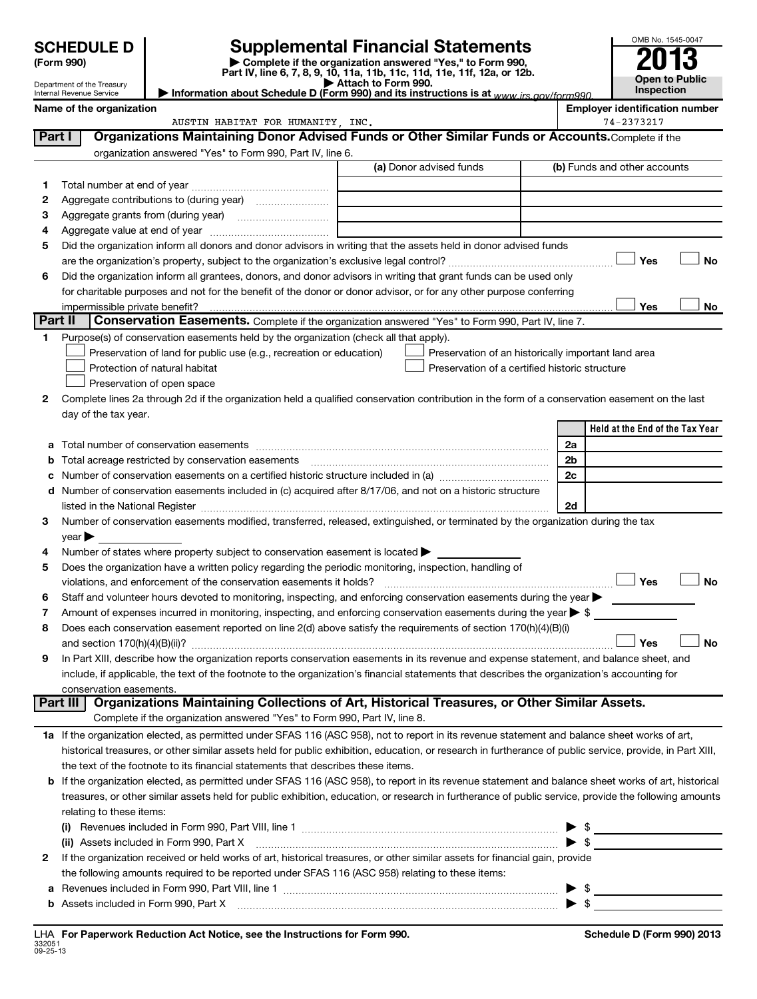|        | <b>SCHEDULE D</b>                   |                                                                                                                                                           |                     | <b>Supplemental Financial Statements</b>                                 |    | OMB No. 1545-0047                                                                                                                                                                                                                                                                                                                               |
|--------|-------------------------------------|-----------------------------------------------------------------------------------------------------------------------------------------------------------|---------------------|--------------------------------------------------------------------------|----|-------------------------------------------------------------------------------------------------------------------------------------------------------------------------------------------------------------------------------------------------------------------------------------------------------------------------------------------------|
|        | (Form 990)                          |                                                                                                                                                           |                     | Complete if the organization answered "Yes," to Form 990,                |    |                                                                                                                                                                                                                                                                                                                                                 |
|        | Department of the Treasury          |                                                                                                                                                           | Attach to Form 990. | Part IV, line 6, 7, 8, 9, 10, 11a, 11b, 11c, 11d, 11e, 11f, 12a, or 12b. |    | Open to Public                                                                                                                                                                                                                                                                                                                                  |
|        | Internal Revenue Service            | Information about Schedule D (Form 990) and its instructions is at www irs gov/form990                                                                    |                     |                                                                          |    | Inspection                                                                                                                                                                                                                                                                                                                                      |
|        | Name of the organization            | AUSTIN HABITAT FOR HUMANITY, INC.                                                                                                                         |                     |                                                                          |    | <b>Employer identification number</b><br>74-2373217                                                                                                                                                                                                                                                                                             |
| Part I |                                     | Organizations Maintaining Donor Advised Funds or Other Similar Funds or Accounts. Complete if the                                                         |                     |                                                                          |    |                                                                                                                                                                                                                                                                                                                                                 |
|        |                                     | organization answered "Yes" to Form 990, Part IV, line 6.                                                                                                 |                     |                                                                          |    |                                                                                                                                                                                                                                                                                                                                                 |
|        |                                     |                                                                                                                                                           |                     | (a) Donor advised funds                                                  |    | (b) Funds and other accounts                                                                                                                                                                                                                                                                                                                    |
| 1.     |                                     |                                                                                                                                                           |                     |                                                                          |    |                                                                                                                                                                                                                                                                                                                                                 |
| 2      |                                     |                                                                                                                                                           |                     |                                                                          |    |                                                                                                                                                                                                                                                                                                                                                 |
| З      |                                     |                                                                                                                                                           |                     |                                                                          |    |                                                                                                                                                                                                                                                                                                                                                 |
| 4      |                                     |                                                                                                                                                           |                     |                                                                          |    |                                                                                                                                                                                                                                                                                                                                                 |
| 5      |                                     | Did the organization inform all donors and donor advisors in writing that the assets held in donor advised funds                                          |                     |                                                                          |    |                                                                                                                                                                                                                                                                                                                                                 |
|        |                                     |                                                                                                                                                           |                     |                                                                          |    | <b>No</b><br>Yes                                                                                                                                                                                                                                                                                                                                |
| 6      |                                     | Did the organization inform all grantees, donors, and donor advisors in writing that grant funds can be used only                                         |                     |                                                                          |    |                                                                                                                                                                                                                                                                                                                                                 |
|        |                                     | for charitable purposes and not for the benefit of the donor or donor advisor, or for any other purpose conferring                                        |                     |                                                                          |    | Yes<br>No                                                                                                                                                                                                                                                                                                                                       |
|        | Part II                             | Conservation Easements. Complete if the organization answered "Yes" to Form 990, Part IV, line 7.                                                         |                     |                                                                          |    |                                                                                                                                                                                                                                                                                                                                                 |
| 1      |                                     | Purpose(s) of conservation easements held by the organization (check all that apply).                                                                     |                     |                                                                          |    |                                                                                                                                                                                                                                                                                                                                                 |
|        |                                     | Preservation of land for public use (e.g., recreation or education)                                                                                       |                     | Preservation of an historically important land area                      |    |                                                                                                                                                                                                                                                                                                                                                 |
|        |                                     | Protection of natural habitat                                                                                                                             |                     | Preservation of a certified historic structure                           |    |                                                                                                                                                                                                                                                                                                                                                 |
|        |                                     | Preservation of open space                                                                                                                                |                     |                                                                          |    |                                                                                                                                                                                                                                                                                                                                                 |
| 2      |                                     | Complete lines 2a through 2d if the organization held a qualified conservation contribution in the form of a conservation easement on the last            |                     |                                                                          |    |                                                                                                                                                                                                                                                                                                                                                 |
|        | day of the tax year.                |                                                                                                                                                           |                     |                                                                          |    |                                                                                                                                                                                                                                                                                                                                                 |
|        |                                     |                                                                                                                                                           |                     |                                                                          |    | Held at the End of the Tax Year                                                                                                                                                                                                                                                                                                                 |
|        |                                     |                                                                                                                                                           |                     |                                                                          | 2a |                                                                                                                                                                                                                                                                                                                                                 |
| b      |                                     | Total acreage restricted by conservation easements                                                                                                        |                     |                                                                          | 2b |                                                                                                                                                                                                                                                                                                                                                 |
|        |                                     |                                                                                                                                                           |                     |                                                                          | 2c |                                                                                                                                                                                                                                                                                                                                                 |
| d      |                                     | Number of conservation easements included in (c) acquired after 8/17/06, and not on a historic structure                                                  |                     |                                                                          | 2d |                                                                                                                                                                                                                                                                                                                                                 |
| 3      |                                     | Number of conservation easements modified, transferred, released, extinguished, or terminated by the organization during the tax                          |                     |                                                                          |    |                                                                                                                                                                                                                                                                                                                                                 |
|        | year                                |                                                                                                                                                           |                     |                                                                          |    |                                                                                                                                                                                                                                                                                                                                                 |
| 4      |                                     | Number of states where property subject to conservation easement is located $\blacktriangleright$                                                         |                     |                                                                          |    |                                                                                                                                                                                                                                                                                                                                                 |
| 5      |                                     | Does the organization have a written policy regarding the periodic monitoring, inspection, handling of                                                    |                     |                                                                          |    |                                                                                                                                                                                                                                                                                                                                                 |
|        |                                     | violations, and enforcement of the conservation easements it holds?                                                                                       |                     |                                                                          |    | Yes<br><b>No</b>                                                                                                                                                                                                                                                                                                                                |
| 6      |                                     | Staff and volunteer hours devoted to monitoring, inspecting, and enforcing conservation easements during the year                                         |                     |                                                                          |    |                                                                                                                                                                                                                                                                                                                                                 |
| 7      |                                     | Amount of expenses incurred in monitoring, inspecting, and enforcing conservation easements during the year $\triangleright$ \$                           |                     |                                                                          |    |                                                                                                                                                                                                                                                                                                                                                 |
| 8      |                                     | Does each conservation easement reported on line 2(d) above satisfy the requirements of section 170(h)(4)(B)(i)                                           |                     |                                                                          |    |                                                                                                                                                                                                                                                                                                                                                 |
|        |                                     |                                                                                                                                                           |                     |                                                                          |    | <b>No</b><br>Yes                                                                                                                                                                                                                                                                                                                                |
| 9      |                                     | In Part XIII, describe how the organization reports conservation easements in its revenue and expense statement, and balance sheet, and                   |                     |                                                                          |    |                                                                                                                                                                                                                                                                                                                                                 |
|        |                                     | include, if applicable, the text of the footnote to the organization's financial statements that describes the organization's accounting for              |                     |                                                                          |    |                                                                                                                                                                                                                                                                                                                                                 |
|        | conservation easements.<br>Part III | Organizations Maintaining Collections of Art, Historical Treasures, or Other Similar Assets.                                                              |                     |                                                                          |    |                                                                                                                                                                                                                                                                                                                                                 |
|        |                                     | Complete if the organization answered "Yes" to Form 990, Part IV, line 8.                                                                                 |                     |                                                                          |    |                                                                                                                                                                                                                                                                                                                                                 |
|        |                                     | 1a If the organization elected, as permitted under SFAS 116 (ASC 958), not to report in its revenue statement and balance sheet works of art,             |                     |                                                                          |    |                                                                                                                                                                                                                                                                                                                                                 |
|        |                                     | historical treasures, or other similar assets held for public exhibition, education, or research in furtherance of public service, provide, in Part XIII, |                     |                                                                          |    |                                                                                                                                                                                                                                                                                                                                                 |
|        |                                     | the text of the footnote to its financial statements that describes these items.                                                                          |                     |                                                                          |    |                                                                                                                                                                                                                                                                                                                                                 |
|        |                                     | If the organization elected, as permitted under SFAS 116 (ASC 958), to report in its revenue statement and balance sheet works of art, historical         |                     |                                                                          |    |                                                                                                                                                                                                                                                                                                                                                 |
|        |                                     | treasures, or other similar assets held for public exhibition, education, or research in furtherance of public service, provide the following amounts     |                     |                                                                          |    |                                                                                                                                                                                                                                                                                                                                                 |
|        | relating to these items:            |                                                                                                                                                           |                     |                                                                          |    |                                                                                                                                                                                                                                                                                                                                                 |
|        |                                     |                                                                                                                                                           |                     |                                                                          |    | $\mathfrak s$ and $\mathfrak s$ and $\mathfrak s$ and $\mathfrak s$ and $\mathfrak s$ and $\mathfrak s$ and $\mathfrak s$ and $\mathfrak s$ and $\mathfrak s$ and $\mathfrak s$ and $\mathfrak s$ and $\mathfrak s$ and $\mathfrak s$ and $\mathfrak s$ and $\mathfrak s$ and $\mathfrak s$ and $\mathfrak s$ and $\mathfrak s$ and $\mathfrak$ |
|        |                                     | (ii) Assets included in Form 990, Part X                                                                                                                  |                     |                                                                          |    |                                                                                                                                                                                                                                                                                                                                                 |
| 2      |                                     | If the organization received or held works of art, historical treasures, or other similar assets for financial gain, provide                              |                     |                                                                          |    |                                                                                                                                                                                                                                                                                                                                                 |
|        |                                     | the following amounts required to be reported under SFAS 116 (ASC 958) relating to these items:                                                           |                     |                                                                          |    | \$                                                                                                                                                                                                                                                                                                                                              |
|        |                                     |                                                                                                                                                           |                     |                                                                          |    |                                                                                                                                                                                                                                                                                                                                                 |

**b** Assets included in Form 990, Part X ~~~~~~~~~~~~~~~~~~~~~~~~~~~~~~~~~~~ | \$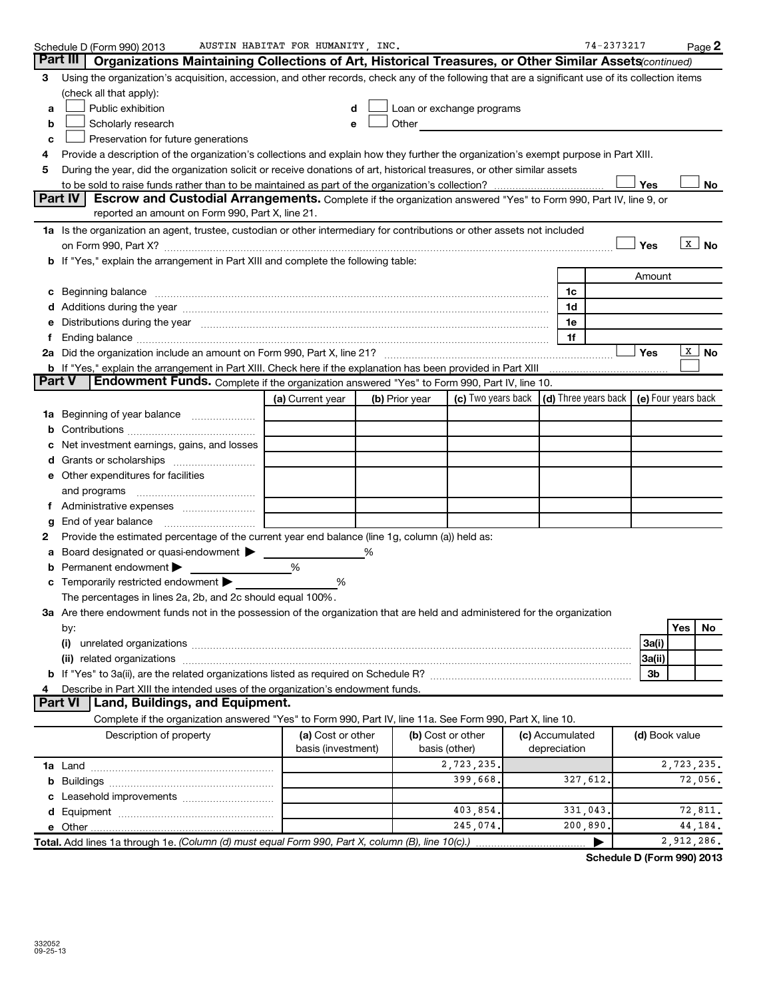|   | Schedule D (Form 990) 2013                                                                                                                                                                                                     | AUSTIN HABITAT FOR HUMANITY, INC. |   |                |                                                         |                 | 74-2373217                 |                     |     | Page 2            |
|---|--------------------------------------------------------------------------------------------------------------------------------------------------------------------------------------------------------------------------------|-----------------------------------|---|----------------|---------------------------------------------------------|-----------------|----------------------------|---------------------|-----|-------------------|
|   | Part III<br>Organizations Maintaining Collections of Art, Historical Treasures, or Other Similar Assets (continued)                                                                                                            |                                   |   |                |                                                         |                 |                            |                     |     |                   |
| 3 | Using the organization's acquisition, accession, and other records, check any of the following that are a significant use of its collection items                                                                              |                                   |   |                |                                                         |                 |                            |                     |     |                   |
|   | (check all that apply):                                                                                                                                                                                                        |                                   |   |                |                                                         |                 |                            |                     |     |                   |
| a | Public exhibition                                                                                                                                                                                                              |                                   |   |                | Loan or exchange programs                               |                 |                            |                     |     |                   |
| b | Scholarly research                                                                                                                                                                                                             |                                   |   | Other          |                                                         |                 |                            |                     |     |                   |
| c | Preservation for future generations                                                                                                                                                                                            |                                   |   |                |                                                         |                 |                            |                     |     |                   |
| 4 | Provide a description of the organization's collections and explain how they further the organization's exempt purpose in Part XIII.                                                                                           |                                   |   |                |                                                         |                 |                            |                     |     |                   |
| 5 | During the year, did the organization solicit or receive donations of art, historical treasures, or other similar assets                                                                                                       |                                   |   |                |                                                         |                 |                            |                     |     |                   |
|   |                                                                                                                                                                                                                                |                                   |   |                |                                                         |                 |                            | Yes                 |     | No                |
|   | Part IV<br><b>Escrow and Custodial Arrangements.</b> Complete if the organization answered "Yes" to Form 990, Part IV, line 9, or                                                                                              |                                   |   |                |                                                         |                 |                            |                     |     |                   |
|   | reported an amount on Form 990, Part X, line 21.                                                                                                                                                                               |                                   |   |                |                                                         |                 |                            |                     |     |                   |
|   | 1a Is the organization an agent, trustee, custodian or other intermediary for contributions or other assets not included                                                                                                       |                                   |   |                |                                                         |                 |                            |                     |     |                   |
|   | on Form 990, Part X? [11] matter and the contract of the contract of the contract of the contract of the contract of the contract of the contract of the contract of the contract of the contract of the contract of the contr |                                   |   |                |                                                         |                 |                            | Yes                 |     | $\overline{x}$ No |
|   | b If "Yes," explain the arrangement in Part XIII and complete the following table:                                                                                                                                             |                                   |   |                |                                                         |                 |                            |                     |     |                   |
|   |                                                                                                                                                                                                                                |                                   |   |                |                                                         |                 |                            | Amount              |     |                   |
|   |                                                                                                                                                                                                                                |                                   |   |                |                                                         | 1c              |                            |                     |     |                   |
|   | d Additions during the year manufactured and an account of the year manufactured and account of the year manufactured and account of the year manufactured and account of the year manufactured and account of the year manufa |                                   |   |                |                                                         | 1d              |                            |                     |     |                   |
|   | Distributions during the year manufactured and an account of the state of the state of the state of the state o                                                                                                                |                                   |   |                |                                                         | 1e              |                            |                     |     |                   |
| f | Ending balance <i>www.communicality.communicality.communicality.communicality.communicality.communicality.communicality.com</i>                                                                                                |                                   |   |                |                                                         | 1f              |                            |                     |     |                   |
|   |                                                                                                                                                                                                                                |                                   |   |                |                                                         |                 |                            | Yes                 |     | $\mathbf{X}$ No   |
|   | Part V<br><b>Endowment Funds.</b> Complete if the organization answered "Yes" to Form 990, Part IV, line 10.                                                                                                                   |                                   |   |                |                                                         |                 |                            |                     |     |                   |
|   |                                                                                                                                                                                                                                |                                   |   |                |                                                         |                 |                            | (e) Four years back |     |                   |
|   |                                                                                                                                                                                                                                | (a) Current year                  |   | (b) Prior year | (c) Two years back $\vert$ (d) Three years back $\vert$ |                 |                            |                     |     |                   |
|   | 1a Beginning of year balance                                                                                                                                                                                                   |                                   |   |                |                                                         |                 |                            |                     |     |                   |
| b |                                                                                                                                                                                                                                |                                   |   |                |                                                         |                 |                            |                     |     |                   |
|   | Net investment earnings, gains, and losses                                                                                                                                                                                     |                                   |   |                |                                                         |                 |                            |                     |     |                   |
| d |                                                                                                                                                                                                                                |                                   |   |                |                                                         |                 |                            |                     |     |                   |
|   | e Other expenditures for facilities                                                                                                                                                                                            |                                   |   |                |                                                         |                 |                            |                     |     |                   |
|   | and programs                                                                                                                                                                                                                   |                                   |   |                |                                                         |                 |                            |                     |     |                   |
| Ť |                                                                                                                                                                                                                                |                                   |   |                |                                                         |                 |                            |                     |     |                   |
|   | End of year balance                                                                                                                                                                                                            |                                   |   |                |                                                         |                 |                            |                     |     |                   |
| 2 | Provide the estimated percentage of the current year end balance (line 1g, column (a)) held as:                                                                                                                                |                                   |   |                |                                                         |                 |                            |                     |     |                   |
| а | Board designated or quasi-endowment >                                                                                                                                                                                          | %                                 | % |                |                                                         |                 |                            |                     |     |                   |
| b | Permanent endowment<br>Temporarily restricted endowment                                                                                                                                                                        |                                   |   |                |                                                         |                 |                            |                     |     |                   |
|   |                                                                                                                                                                                                                                | %                                 |   |                |                                                         |                 |                            |                     |     |                   |
|   | The percentages in lines 2a, 2b, and 2c should equal 100%.<br>3a Are there endowment funds not in the possession of the organization that are held and administered for the organization                                       |                                   |   |                |                                                         |                 |                            |                     |     |                   |
|   |                                                                                                                                                                                                                                |                                   |   |                |                                                         |                 |                            |                     | Yes | No                |
|   | by:                                                                                                                                                                                                                            |                                   |   |                |                                                         |                 |                            |                     |     |                   |
|   |                                                                                                                                                                                                                                |                                   |   |                |                                                         |                 |                            | 3a(i)               |     |                   |
|   | (ii) related organizations                                                                                                                                                                                                     |                                   |   |                |                                                         |                 |                            | 3a(ii)<br>3b        |     |                   |
|   | Describe in Part XIII the intended uses of the organization's endowment funds.                                                                                                                                                 |                                   |   |                |                                                         |                 |                            |                     |     |                   |
|   | Part VI<br>Land, Buildings, and Equipment.                                                                                                                                                                                     |                                   |   |                |                                                         |                 |                            |                     |     |                   |
|   | Complete if the organization answered "Yes" to Form 990, Part IV, line 11a. See Form 990, Part X, line 10.                                                                                                                     |                                   |   |                |                                                         |                 |                            |                     |     |                   |
|   | Description of property                                                                                                                                                                                                        | (a) Cost or other                 |   |                | (b) Cost or other                                       | (c) Accumulated |                            | (d) Book value      |     |                   |
|   |                                                                                                                                                                                                                                | basis (investment)                |   |                | basis (other)                                           | depreciation    |                            |                     |     |                   |
|   |                                                                                                                                                                                                                                |                                   |   |                | 2,723,235.                                              |                 |                            |                     |     | 2,723,235.        |
|   |                                                                                                                                                                                                                                |                                   |   |                | 399,668.                                                | 327,612         |                            |                     |     | 72,056.           |
|   |                                                                                                                                                                                                                                |                                   |   |                |                                                         |                 |                            |                     |     |                   |
|   |                                                                                                                                                                                                                                |                                   |   |                | 403,854.                                                | 331,043         |                            |                     |     | 72,811.           |
|   |                                                                                                                                                                                                                                |                                   |   |                | 245,074.                                                | 200,890         |                            |                     |     | 44,184.           |
|   | Total. Add lines 1a through 1e. (Column (d) must equal Form 990, Part X, column (B), line 10(c).)                                                                                                                              |                                   |   |                |                                                         |                 |                            |                     |     | 2,912,286.        |
|   |                                                                                                                                                                                                                                |                                   |   |                |                                                         |                 | Schedule D (Form 990) 2013 |                     |     |                   |
|   |                                                                                                                                                                                                                                |                                   |   |                |                                                         |                 |                            |                     |     |                   |

332052 09-25-13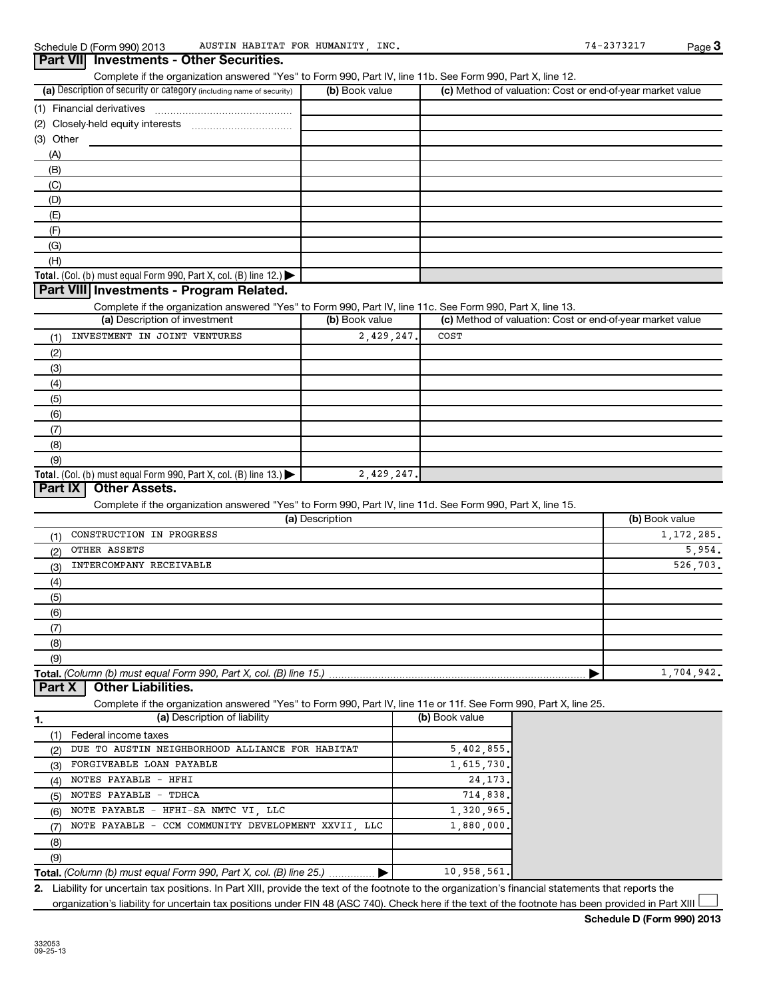| Complete if the organization answered "Yes" to Form 990, Part IV, line 11b. See Form 990, Part X, line 12.                                          |                 |                                                           |                |
|-----------------------------------------------------------------------------------------------------------------------------------------------------|-----------------|-----------------------------------------------------------|----------------|
| (a) Description of security or category (including name of security)                                                                                | (b) Book value  | (c) Method of valuation: Cost or end-of-year market value |                |
|                                                                                                                                                     |                 |                                                           |                |
|                                                                                                                                                     |                 |                                                           |                |
| (3) Other                                                                                                                                           |                 |                                                           |                |
| (A)                                                                                                                                                 |                 |                                                           |                |
| (B)                                                                                                                                                 |                 |                                                           |                |
| (C)                                                                                                                                                 |                 |                                                           |                |
| (D)                                                                                                                                                 |                 |                                                           |                |
| (E)                                                                                                                                                 |                 |                                                           |                |
| (F)                                                                                                                                                 |                 |                                                           |                |
| (G)                                                                                                                                                 |                 |                                                           |                |
| (H)                                                                                                                                                 |                 |                                                           |                |
| <b>Total.</b> (Col. (b) must equal Form 990, Part X, col. (B) line $12$ .)                                                                          |                 |                                                           |                |
| Part VIII Investments - Program Related.                                                                                                            |                 |                                                           |                |
| Complete if the organization answered "Yes" to Form 990, Part IV, line 11c. See Form 990, Part X, line 13.                                          |                 |                                                           |                |
| (a) Description of investment                                                                                                                       | (b) Book value  | (c) Method of valuation: Cost or end-of-year market value |                |
| INVESTMENT IN JOINT VENTURES<br>(1)                                                                                                                 | 2,429,247.      | COST                                                      |                |
| (2)                                                                                                                                                 |                 |                                                           |                |
| (3)                                                                                                                                                 |                 |                                                           |                |
| (4)                                                                                                                                                 |                 |                                                           |                |
| (5)                                                                                                                                                 |                 |                                                           |                |
| (6)                                                                                                                                                 |                 |                                                           |                |
| (7)                                                                                                                                                 |                 |                                                           |                |
| (8)                                                                                                                                                 |                 |                                                           |                |
| (9)                                                                                                                                                 |                 |                                                           |                |
| <b>Total.</b> (Col. (b) must equal Form 990, Part X, col. (B) line $13$ .)                                                                          | 2,429,247.      |                                                           |                |
| Part IX<br><b>Other Assets.</b>                                                                                                                     |                 |                                                           |                |
| Complete if the organization answered "Yes" to Form 990, Part IV, line 11d. See Form 990, Part X, line 15.                                          |                 |                                                           |                |
|                                                                                                                                                     | (a) Description |                                                           | (b) Book value |
| CONSTRUCTION IN PROGRESS<br>(1)                                                                                                                     |                 |                                                           | 1,172,285.     |
| OTHER ASSETS<br>(2)                                                                                                                                 |                 |                                                           | 5,954.         |
| INTERCOMPANY RECEIVABLE<br>(3)                                                                                                                      |                 |                                                           | 526,703.       |
|                                                                                                                                                     |                 |                                                           |                |
| (4)                                                                                                                                                 |                 |                                                           |                |
| (5)                                                                                                                                                 |                 |                                                           |                |
| (6)                                                                                                                                                 |                 |                                                           |                |
| (7)                                                                                                                                                 |                 |                                                           |                |
| (8)                                                                                                                                                 |                 |                                                           |                |
| (9)                                                                                                                                                 |                 |                                                           |                |
| Total. (Column (b) must equal Form 990, Part X, col. (B) line 15.)                                                                                  |                 |                                                           | 1,704,942.     |
| <b>Other Liabilities.</b><br>Part X                                                                                                                 |                 |                                                           |                |
| Complete if the organization answered "Yes" to Form 990, Part IV, line 11e or 11f. See Form 990, Part X, line 25.                                   |                 |                                                           |                |
| (a) Description of liability<br>1.                                                                                                                  |                 | (b) Book value                                            |                |
| (1)<br>Federal income taxes                                                                                                                         |                 |                                                           |                |
| DUE TO AUSTIN NEIGHBORHOOD ALLIANCE FOR HABITAT<br>(2)                                                                                              |                 | 5,402,855.                                                |                |
| FORGIVEABLE LOAN PAYABLE<br>(3)                                                                                                                     |                 | 1,615,730                                                 |                |
| NOTES PAYABLE - HFHI<br>(4)                                                                                                                         |                 | 24,173.                                                   |                |
| NOTES PAYABLE - TDHCA<br>(5)                                                                                                                        |                 | 714,838.                                                  |                |
| NOTE PAYABLE - HFHI-SA NMTC VI, LLC<br>(6)                                                                                                          |                 | 1,320,965                                                 |                |
| NOTE PAYABLE - CCM COMMUNITY DEVELOPMENT XXVII, LLC<br>(7)                                                                                          |                 | 1,880,000                                                 |                |
| (8)                                                                                                                                                 |                 |                                                           |                |
| (9)                                                                                                                                                 |                 |                                                           |                |
| Total. (Column (b) must equal Form 990, Part X, col. (B) line 25.)                                                                                  |                 | 10,958,561                                                |                |
| 2 Lighility for uncertain tay positions. In Part YIII, provide the text of the footnote to the organization's financial statements that reports the |                 |                                                           |                |

**2.** Liability for uncertain tax positions. In Part XIII, provide the text of the footnote to the organization's financial statements that reports the organization's liability for uncertain tax positions under FIN 48 (ASC 740). Check here if the text of the footnote has been provided in Part XIII  $\Box$ 

**Schedule D (Form 990) 2013**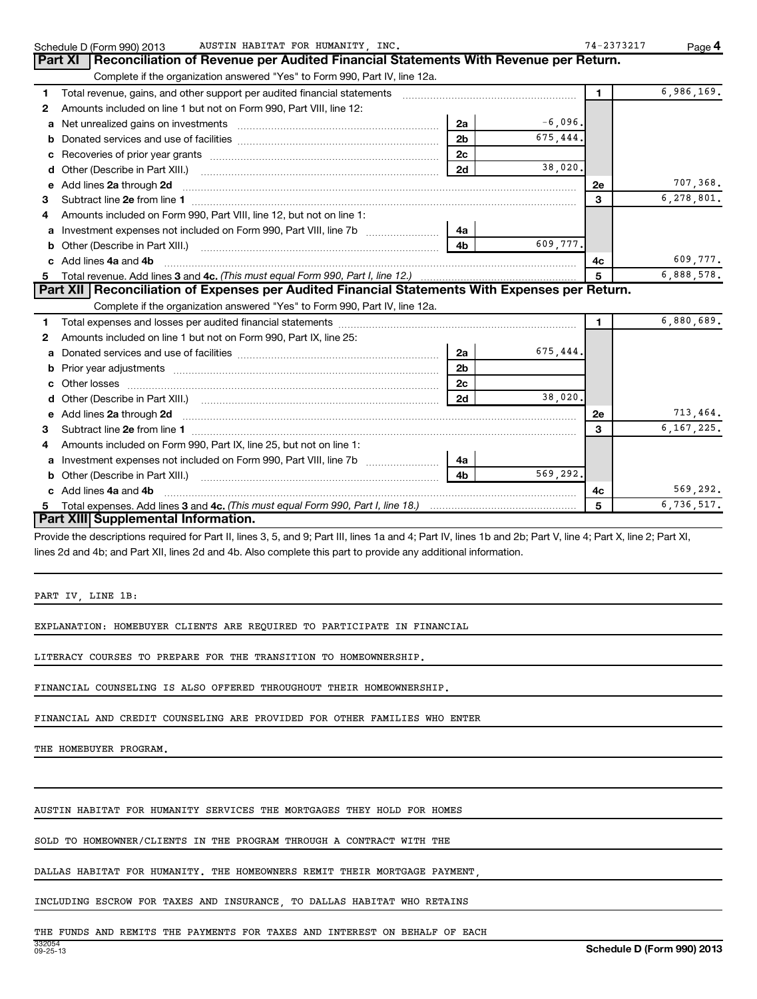|    | AUSTIN HABITAT FOR HUMANITY, INC.<br>Schedule D (Form 990) 2013                                                                   | 74-2373217     | Page 4       |
|----|-----------------------------------------------------------------------------------------------------------------------------------|----------------|--------------|
|    | Reconciliation of Revenue per Audited Financial Statements With Revenue per Return.<br>Part XI                                    |                |              |
|    | Complete if the organization answered "Yes" to Form 990, Part IV, line 12a.                                                       |                |              |
| 1  | Total revenue, gains, and other support per audited financial statements [[[[[[[[[[[[[[[[[[[[[[[[[]]]]]]]]]]]                     | $\blacksquare$ | 6,986,169.   |
| 2  | Amounts included on line 1 but not on Form 990, Part VIII, line 12:                                                               |                |              |
| a  | $-6,096.$<br>Net unrealized gains on investments [111] www.communicalizations.communically<br>2a                                  |                |              |
| b  | 675,444.<br>2 <sub>b</sub>                                                                                                        |                |              |
| c  | 2c<br>Recoveries of prior year grants [11,111] Recoveries of prior year grants [11,111] Recoveries of prior year grants           |                |              |
| d  | 38,020.<br>2d<br>Other (Describe in Part XIII.)                                                                                   |                |              |
| е  | Add lines 2a through 2d                                                                                                           | 2e             | 707,368.     |
| з  |                                                                                                                                   | 3              | 6,278,801.   |
| 4  | Amounts included on Form 990, Part VIII, line 12, but not on line 1:                                                              |                |              |
| a  | 4a                                                                                                                                |                |              |
| b  | 609,777.<br>4 <sub>b</sub>                                                                                                        |                |              |
| c. | Add lines 4a and 4b                                                                                                               | 4с             | 609,777.     |
| 5  | Total revenue. Add lines 3 and 4c. (This must equal Form 990, Part I, line 12.)                                                   | 5              | 6,888,578.   |
|    | Part XII   Reconciliation of Expenses per Audited Financial Statements With Expenses per Return.                                  |                |              |
|    | Complete if the organization answered "Yes" to Form 990, Part IV, line 12a.                                                       |                |              |
| 1  |                                                                                                                                   | $\blacksquare$ | 6,880,689.   |
| 2  | Amounts included on line 1 but not on Form 990, Part IX, line 25:                                                                 |                |              |
| a  | 675,444.<br>2a                                                                                                                    |                |              |
| b  | 2 <sub>b</sub><br>Prior year adjustments [1111] Prior year adjustments [111] Masseum Masseum Masseum Masseum Masseum Masseum Mass |                |              |
| c  | 2c                                                                                                                                |                |              |
| d  | 38,020.<br>2d                                                                                                                     |                |              |
| е  | Add lines 2a through 2d                                                                                                           | <b>2e</b>      | 713,464.     |
| 3  |                                                                                                                                   | 3              | 6, 167, 225. |
| 4  | Amounts included on Form 990, Part IX, line 25, but not on line 1:                                                                |                |              |
| a  | 4a                                                                                                                                |                |              |
| b  | 569.292.<br>4 <sub>h</sub>                                                                                                        |                |              |
| C. | Add lines 4a and 4b                                                                                                               | 4c             | 569,292.     |
| 5  |                                                                                                                                   | 5              | 6,736,517.   |
|    | Part XIII Supplemental Information.                                                                                               |                |              |

Provide the descriptions required for Part II, lines 3, 5, and 9; Part III, lines 1a and 4; Part IV, lines 1b and 2b; Part V, line 4; Part X, line 2; Part XI, lines 2d and 4b; and Part XII, lines 2d and 4b. Also complete this part to provide any additional information.

PART IV, LINE 1B:

EXPLANATION: HOMEBUYER CLIENTS ARE REQUIRED TO PARTICIPATE IN FINANCIAL

LITERACY COURSES TO PREPARE FOR THE TRANSITION TO HOMEOWNERSHIP.

FINANCIAL COUNSELING IS ALSO OFFERED THROUGHOUT THEIR HOMEOWNERSHIP.

FINANCIAL AND CREDIT COUNSELING ARE PROVIDED FOR OTHER FAMILIES WHO ENTER

THE HOMEBUYER PROGRAM.

AUSTIN HABITAT FOR HUMANITY SERVICES THE MORTGAGES THEY HOLD FOR HOMES

SOLD TO HOMEOWNER/CLIENTS IN THE PROGRAM THROUGH A CONTRACT WITH THE

DALLAS HABITAT FOR HUMANITY. THE HOMEOWNERS REMIT THEIR MORTGAGE PAYMENT,

INCLUDING ESCROW FOR TAXES AND INSURANCE, TO DALLAS HABITAT WHO RETAINS

THE FUNDS AND REMITS THE PAYMENTS FOR TAXES AND INTEREST ON BEHALF OF EACH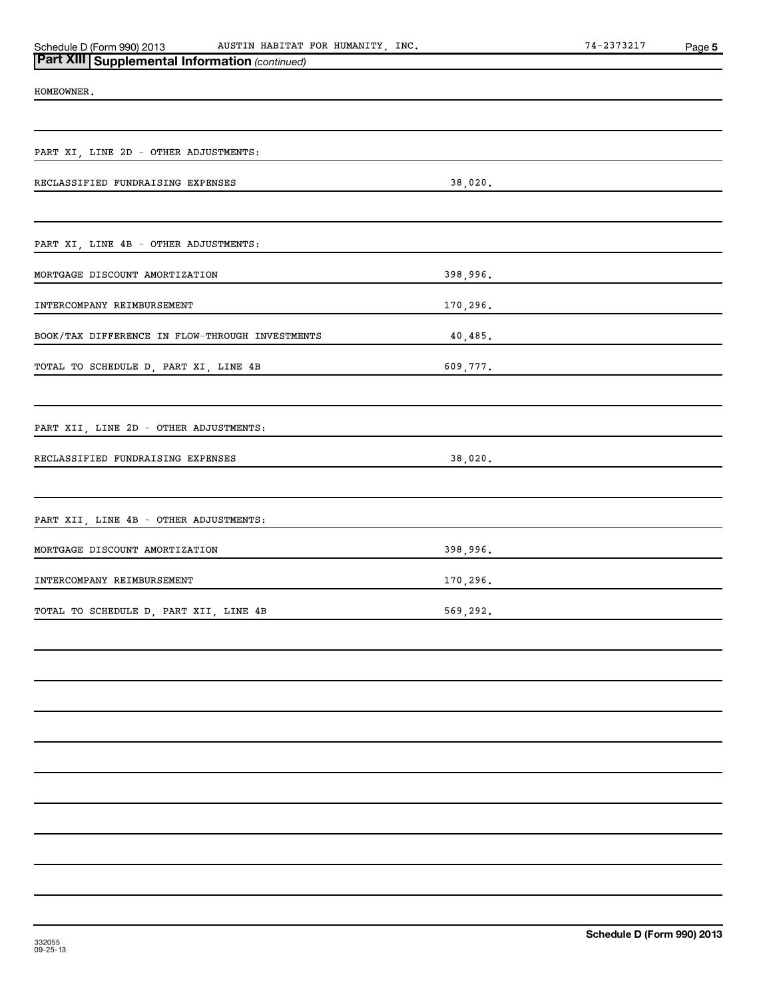| <b>Part XIII Supplemental Information</b> ( |        |
|---------------------------------------------|--------|
| Schedule D (Form 990) 2013                  | AUSTIN |

Schedule D (Form 990) 2013 Page AUSTIN HABITAT FOR HUMANITY, INC. 74-2373217

| <b>Part XIII Supplemental Information (continued)</b> |          |  |
|-------------------------------------------------------|----------|--|
| HOMEOWNER.                                            |          |  |
|                                                       |          |  |
| PART XI, LINE 2D - OTHER ADJUSTMENTS:                 |          |  |
| RECLASSIFIED FUNDRAISING EXPENSES                     | 38,020.  |  |
|                                                       |          |  |
| PART XI, LINE 4B - OTHER ADJUSTMENTS:                 |          |  |
| MORTGAGE DISCOUNT AMORTIZATION                        | 398,996. |  |
| INTERCOMPANY REIMBURSEMENT                            | 170,296. |  |
| BOOK/TAX DIFFERENCE IN FLOW-THROUGH INVESTMENTS       | 40,485.  |  |
| TOTAL TO SCHEDULE D, PART XI, LINE 4B                 | 609,777. |  |
|                                                       |          |  |
| PART XII, LINE 2D - OTHER ADJUSTMENTS:                |          |  |
| RECLASSIFIED FUNDRAISING EXPENSES                     | 38,020.  |  |
|                                                       |          |  |
| PART XII, LINE 4B - OTHER ADJUSTMENTS:                |          |  |
| MORTGAGE DISCOUNT AMORTIZATION                        | 398,996. |  |
| INTERCOMPANY REIMBURSEMENT                            | 170,296. |  |
| TOTAL TO SCHEDULE D, PART XII, LINE 4B                | 569,292. |  |
|                                                       |          |  |
|                                                       |          |  |
|                                                       |          |  |
|                                                       |          |  |
|                                                       |          |  |
|                                                       |          |  |
|                                                       |          |  |
|                                                       |          |  |
|                                                       |          |  |
|                                                       |          |  |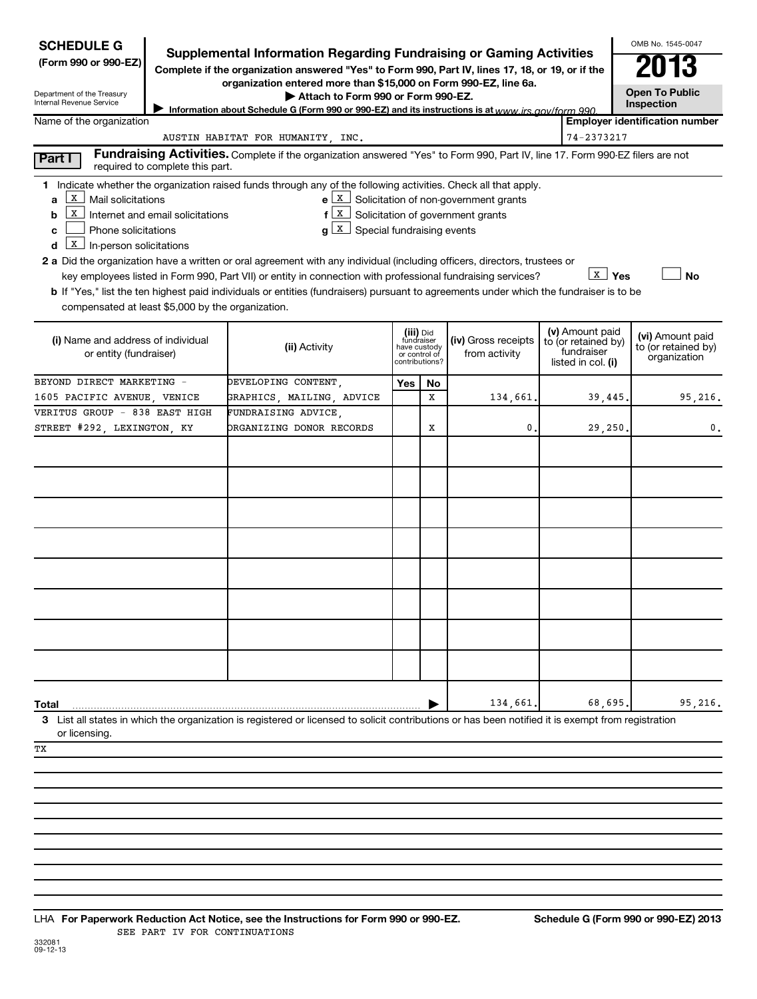| <b>SCHEDULE G</b><br>(Form 990 or 990-EZ)<br>Department of the Treasury<br>Internal Revenue Service<br>Name of the organization                                                                                                                                                                                                                                                                                                                                                                                                                                                                                                                             | <b>Supplemental Information Regarding Fundraising or Gaming Activities</b><br>Complete if the organization answered "Yes" to Form 990, Part IV, lines 17, 18, or 19, or if the<br>organization entered more than \$15,000 on Form 990-EZ, line 6a.<br>Attach to Form 990 or Form 990-EZ.<br>Information about Schedule G (Form 990 or 990-EZ) and its instructions is at www irs gov/form 990<br>AUSTIN HABITAT FOR HUMANITY, INC. |                               |                                           |                                                                                                                                  | 74-2373217                                                                 | OMB No. 1545-0047<br>2013<br><b>Open To Public</b><br>Inspection<br><b>Employer identification number</b> |
|-------------------------------------------------------------------------------------------------------------------------------------------------------------------------------------------------------------------------------------------------------------------------------------------------------------------------------------------------------------------------------------------------------------------------------------------------------------------------------------------------------------------------------------------------------------------------------------------------------------------------------------------------------------|------------------------------------------------------------------------------------------------------------------------------------------------------------------------------------------------------------------------------------------------------------------------------------------------------------------------------------------------------------------------------------------------------------------------------------|-------------------------------|-------------------------------------------|----------------------------------------------------------------------------------------------------------------------------------|----------------------------------------------------------------------------|-----------------------------------------------------------------------------------------------------------|
| Part I                                                                                                                                                                                                                                                                                                                                                                                                                                                                                                                                                                                                                                                      | Fundraising Activities. Complete if the organization answered "Yes" to Form 990, Part IV, line 17. Form 990-EZ filers are not                                                                                                                                                                                                                                                                                                      |                               |                                           |                                                                                                                                  |                                                                            |                                                                                                           |
| required to complete this part.<br>1 Indicate whether the organization raised funds through any of the following activities. Check all that apply.<br>$\boxed{\text{x}}$ Mail solicitations<br>a<br>X<br>Internet and email solicitations<br>b<br>Phone solicitations<br>C<br>$\boxed{\mathbf{x}}$ In-person solicitations<br>d<br>2 a Did the organization have a written or oral agreement with any individual (including officers, directors, trustees or<br>b If "Yes," list the ten highest paid individuals or entities (fundraisers) pursuant to agreements under which the fundraiser is to be<br>compensated at least \$5,000 by the organization. | f<br>$g\left\lfloor \frac{X}{x} \right\rfloor$ Special fundraising events<br>key employees listed in Form 990, Part VII) or entity in connection with professional fundraising services?                                                                                                                                                                                                                                           |                               |                                           | $\mathbf{e}$ $\boxed{\mathbf{X}}$ Solicitation of non-government grants<br>$\lfloor x \rfloor$ Solicitation of government grants | $\lfloor x \rfloor$ Yes                                                    | No                                                                                                        |
| (i) Name and address of individual<br>or entity (fundraiser)                                                                                                                                                                                                                                                                                                                                                                                                                                                                                                                                                                                                | (ii) Activity                                                                                                                                                                                                                                                                                                                                                                                                                      | have custody<br>or control of | (iii) Did<br>fundraiser<br>contributions? | (iv) Gross receipts<br>from activity                                                                                             | (v) Amount paid<br>to (or retained by)<br>fundraiser<br>listed in col. (i) | (vi) Amount paid<br>to (or retained by)<br>organization                                                   |
| BEYOND DIRECT MARKETING -                                                                                                                                                                                                                                                                                                                                                                                                                                                                                                                                                                                                                                   | DEVELOPING CONTENT,                                                                                                                                                                                                                                                                                                                                                                                                                | Yes                           | No                                        |                                                                                                                                  |                                                                            |                                                                                                           |
| 1605 PACIFIC AVENUE, VENICE<br>VERITUS GROUP - 838 EAST HIGH                                                                                                                                                                                                                                                                                                                                                                                                                                                                                                                                                                                                | GRAPHICS, MAILING, ADVICE<br>FUNDRAISING ADVICE,                                                                                                                                                                                                                                                                                                                                                                                   |                               | x                                         | 134,661.                                                                                                                         | 39,445.                                                                    | 95,216.                                                                                                   |
| STREET #292, LEXINGTON, KY                                                                                                                                                                                                                                                                                                                                                                                                                                                                                                                                                                                                                                  | ORGANIZING DONOR RECORDS                                                                                                                                                                                                                                                                                                                                                                                                           |                               | х                                         | 0.                                                                                                                               | 29,250                                                                     | $\mathbf{0}$ .                                                                                            |
|                                                                                                                                                                                                                                                                                                                                                                                                                                                                                                                                                                                                                                                             |                                                                                                                                                                                                                                                                                                                                                                                                                                    |                               |                                           |                                                                                                                                  |                                                                            |                                                                                                           |
| Total<br>3 List all states in which the organization is registered or licensed to solicit contributions or has been notified it is exempt from registration<br>or licensing.                                                                                                                                                                                                                                                                                                                                                                                                                                                                                |                                                                                                                                                                                                                                                                                                                                                                                                                                    |                               |                                           | 134,661.                                                                                                                         | 68,695.                                                                    | 95,216.                                                                                                   |
| ТX                                                                                                                                                                                                                                                                                                                                                                                                                                                                                                                                                                                                                                                          |                                                                                                                                                                                                                                                                                                                                                                                                                                    |                               |                                           |                                                                                                                                  |                                                                            |                                                                                                           |
|                                                                                                                                                                                                                                                                                                                                                                                                                                                                                                                                                                                                                                                             |                                                                                                                                                                                                                                                                                                                                                                                                                                    |                               |                                           |                                                                                                                                  |                                                                            |                                                                                                           |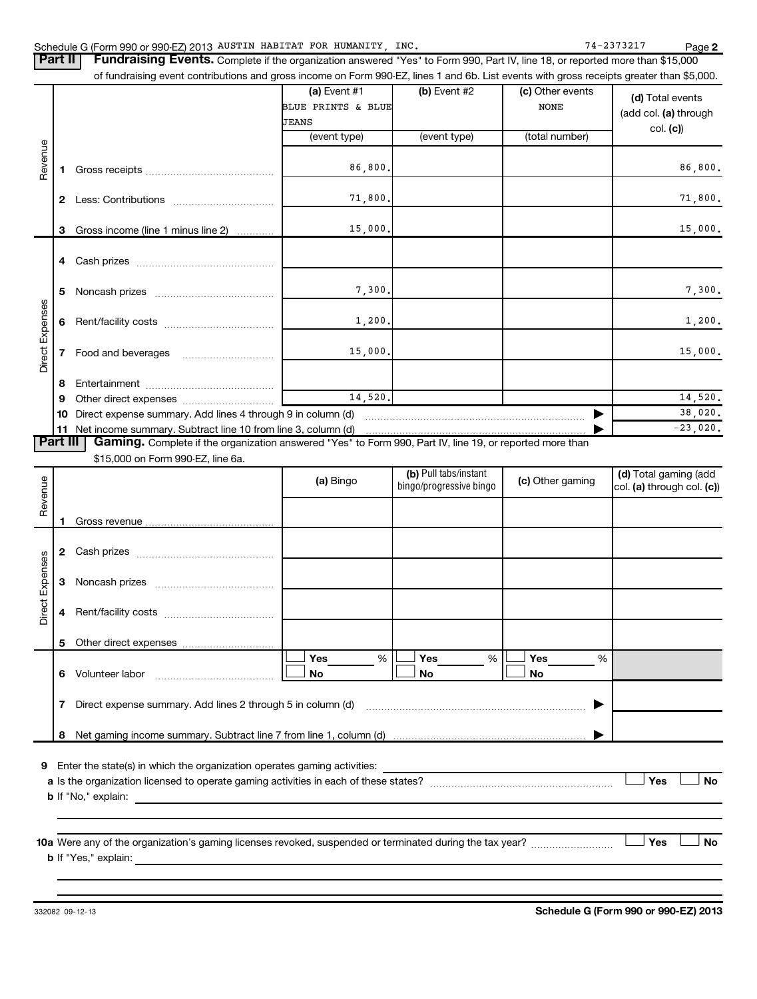Part II | Fundraising Events. Complete if the organization answered "Yes" to Form 990, Part IV, line 18, or reported more than \$15,000 of fundraising event contributions and gross income on Form 990-EZ, lines 1 and 6b. List events with gross receipts greater than \$5,000. **(a)** Event  $#1$  **(b)** Event  $#2$ (c) Other events **(d)**  Total events BLUE PRINTS & BLUE NONE (add col. (a) through JEANS col. **(c)**) (event type) (event type) (total number) Revenue 86,800. 86,800. **1** Gross receipts ~~~~~~~~~~~~~~ 71,800. 71,800. **2** Less: Contributions ~~~~~~~~~~~ 15,000. 15,000. **3** Gross income (line 1 minus line 2) . . . . . . . . . . . . **4** Cash prizes ~~~~~~~~~~~~~~~ 7,300. 7,300. **5** Noncash prizes **www.community.org Direct Expenses** Direct Expenses  $1,200.$  1,200. Rent/facility costs ~~~~~~~~~~~~ **6** 15,000. 15,000. **7** Food and beverages **2006 8** Entertainment **2006 CONVERTS Entertainment** 14,520. 14,520. **9** Other direct expenses  $\ldots$  **...........................** 38,020. **10** Direct expense summary. Add lines 4 through 9 in column (d) ~~~~~~~~~~~~~~~~~~~~~~~~ | -23,020.**11** Net income summary. Subtract line 10 from line 3, column (d) | Part III | Gaming. Complete if the organization answered "Yes" to Form 990, Part IV, line 19, or reported more than \$15,000 on Form 990-EZ, line 6a. (b) Pull tabs/instant **(a)** Bingo **b (b)** Pull tabs/instant **(c)** Other gaming **(d)** Total gaming (add **(a)** Bingo **C** bings/gregate is and the collection of the collection Revenue bingo/progressive bingo col. **(a)** through col. **(c)**) **1** Gross revenue **2** Cash prizes <sub>……………………………………</sub> Expenses Direct Expenses **3** Noncash prizes **was consumed as a set of the S** Direct **4** Rent/facility costs ~~~~~~~~~~~~ **5** Other direct expenses  $|\Box$   $\mathsf{Yes}$  =  $\%$   $|\Box$   $\mathsf{Yes}$  =  $\%$   $|\Box$ **Yes Yes Yes** % % %  $|\Box$  No  $|\Box$  No  $|\Box$ **6** Volunteer labor ~~~~~~~~~~~~~ **No No No 7** Direct expense summary. Add lines 2 through 5 in column (d) ~~~~~~~~~~~~~~~~~~~~~~~~ | Net gaming income summary. Subtract line 7 from line 1, column (d) **8** | **9** Enter the state(s) in which the organization operates gaming activities:  $\Box$  Yes  $\Box$  No **a** Is the organization licensed to operate gaming activities in each of these states? ~~~~~~~~~~~~~~~~~~~~ **b** If "No," explain: **10 a Yes No** Were any of the organization's gaming licenses revoked, suspended or terminated during the tax year? ~~~~~~~~~ † † **b** If "Yes," explain: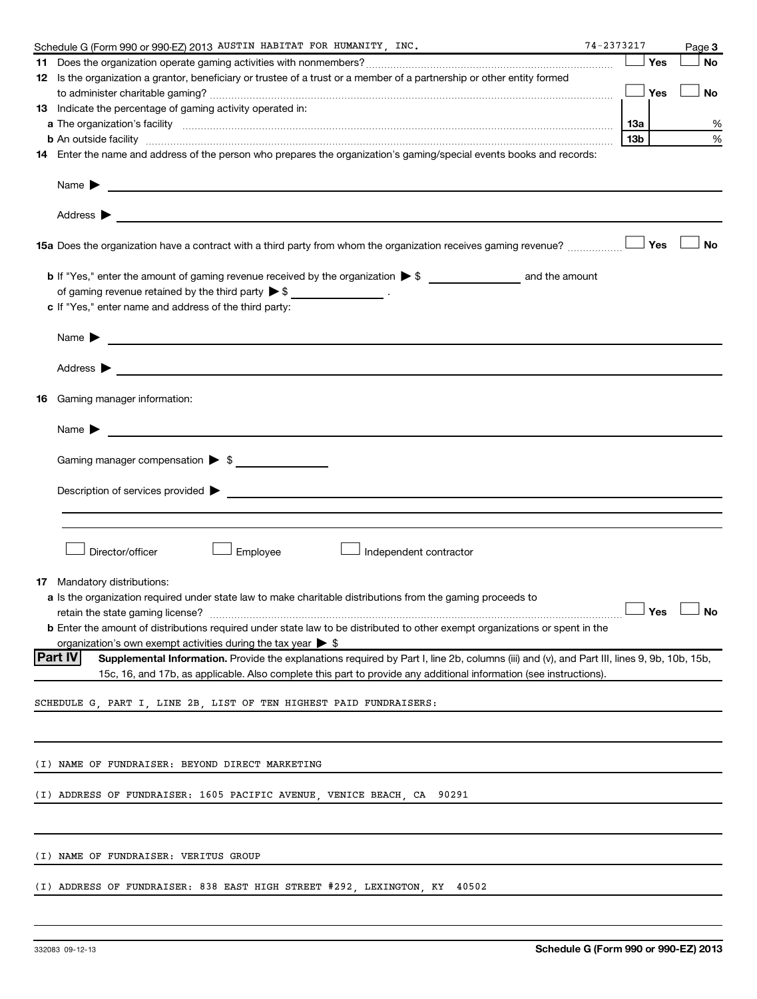| Schedule G (Form 990 or 990-EZ) 2013 AUSTIN HABITAT FOR HUMANITY, INC.                                                                                                                                                                                                              | 74-2373217      |     | Page 3               |
|-------------------------------------------------------------------------------------------------------------------------------------------------------------------------------------------------------------------------------------------------------------------------------------|-----------------|-----|----------------------|
|                                                                                                                                                                                                                                                                                     |                 | Yes | <b>No</b>            |
| 12 Is the organization a grantor, beneficiary or trustee of a trust or a member of a partnership or other entity formed                                                                                                                                                             |                 |     |                      |
|                                                                                                                                                                                                                                                                                     |                 | Yes | No                   |
| <b>13</b> Indicate the percentage of gaming activity operated in:                                                                                                                                                                                                                   |                 |     |                      |
|                                                                                                                                                                                                                                                                                     | 1За             |     | %                    |
| <b>b</b> An outside facility <i>www.communicality www.communicality.communicality www.communicality www.communicality.communicality www.communicality.com</i>                                                                                                                       | 13 <sub>b</sub> |     | %                    |
| 14 Enter the name and address of the person who prepares the organization's gaming/special events books and records:                                                                                                                                                                |                 |     |                      |
| Name $\blacktriangleright$<br><u> 1989 - Johann Stoff, amerikansk politiker (d. 1989)</u>                                                                                                                                                                                           |                 |     |                      |
| 15a Does the organization have a contract with a third party from whom the organization receives gaming revenue?                                                                                                                                                                    |                 | Yes | <b>No</b>            |
| of gaming revenue retained by the third party $\triangleright$ \$ _________________.<br>c If "Yes," enter name and address of the third party:                                                                                                                                      |                 |     |                      |
| Name $\blacktriangleright$<br><u> 1989 - Johann Harry Harry Harry Harry Harry Harry Harry Harry Harry Harry Harry Harry Harry Harry Harry Harry</u>                                                                                                                                 |                 |     |                      |
|                                                                                                                                                                                                                                                                                     |                 |     |                      |
| <b>16</b> Gaming manager information:                                                                                                                                                                                                                                               |                 |     |                      |
| Name $\blacktriangleright$                                                                                                                                                                                                                                                          |                 |     |                      |
| Gaming manager compensation > \$                                                                                                                                                                                                                                                    |                 |     |                      |
|                                                                                                                                                                                                                                                                                     |                 |     |                      |
|                                                                                                                                                                                                                                                                                     |                 |     |                      |
| Director/officer<br>Employee<br>Independent contractor                                                                                                                                                                                                                              |                 |     |                      |
| <b>17</b> Mandatory distributions:<br>a Is the organization required under state law to make charitable distributions from the gaming proceeds to                                                                                                                                   |                 |     |                      |
|                                                                                                                                                                                                                                                                                     |                 |     | $\Box$ Yes $\Box$ No |
| <b>b</b> Enter the amount of distributions required under state law to be distributed to other exempt organizations or spent in the<br>organization's own exempt activities during the tax year $\triangleright$ \$                                                                 |                 |     |                      |
| <b>Part IV</b><br>Supplemental Information. Provide the explanations required by Part I, line 2b, columns (iii) and (v), and Part III, lines 9, 9b, 10b, 15b,<br>15c, 16, and 17b, as applicable. Also complete this part to provide any additional information (see instructions). |                 |     |                      |
| SCHEDULE G, PART I, LINE 2B, LIST OF TEN HIGHEST PAID FUNDRAISERS:                                                                                                                                                                                                                  |                 |     |                      |
|                                                                                                                                                                                                                                                                                     |                 |     |                      |
| (I) NAME OF FUNDRAISER: BEYOND DIRECT MARKETING                                                                                                                                                                                                                                     |                 |     |                      |
| (I) ADDRESS OF FUNDRAISER: 1605 PACIFIC AVENUE, VENICE BEACH, CA 90291                                                                                                                                                                                                              |                 |     |                      |
|                                                                                                                                                                                                                                                                                     |                 |     |                      |
| (I) NAME OF FUNDRAISER: VERITUS GROUP                                                                                                                                                                                                                                               |                 |     |                      |
| (I) ADDRESS OF FUNDRAISER: 838 EAST HIGH STREET #292, LEXINGTON, KY 40502                                                                                                                                                                                                           |                 |     |                      |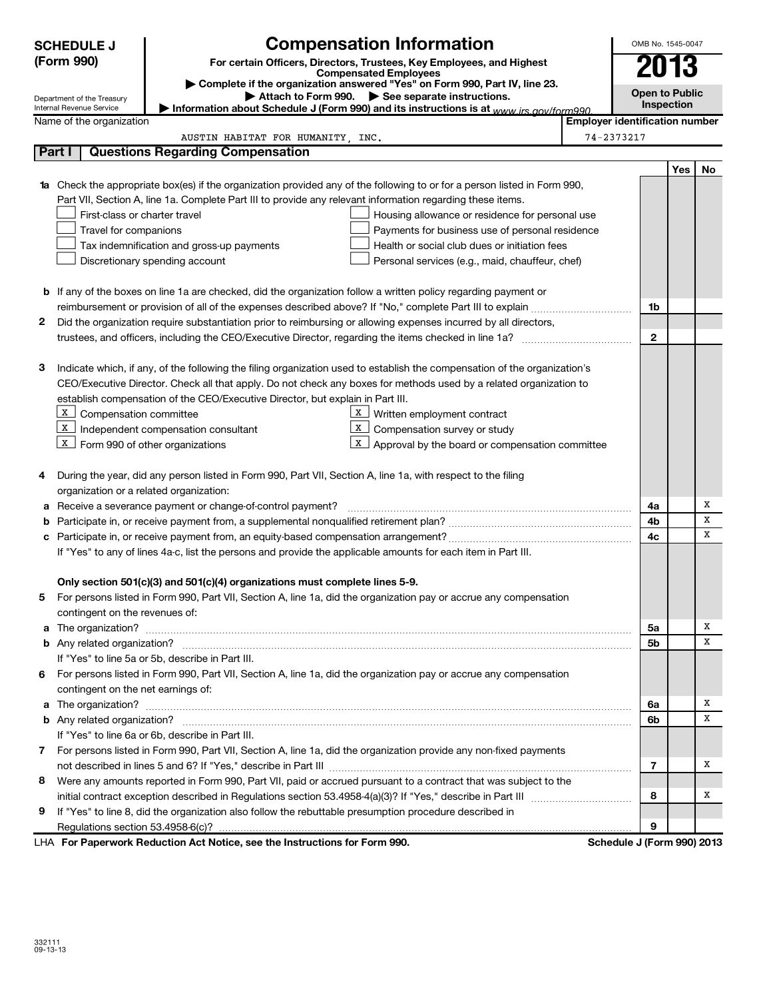| <b>SCHEDULE J</b>          | <b>Compensation Information</b>                                                                                                                                                                                                                                                                                                                                                                                                                                                                                                                                                    | OMB No. 1545-0047                     |           |
|----------------------------|------------------------------------------------------------------------------------------------------------------------------------------------------------------------------------------------------------------------------------------------------------------------------------------------------------------------------------------------------------------------------------------------------------------------------------------------------------------------------------------------------------------------------------------------------------------------------------|---------------------------------------|-----------|
| (Form 990)                 | For certain Officers, Directors, Trustees, Key Employees, and Highest                                                                                                                                                                                                                                                                                                                                                                                                                                                                                                              |                                       | U13       |
|                            | <b>Compensated Employees</b><br>Complete if the organization answered "Yes" on Form 990, Part IV, line 23.                                                                                                                                                                                                                                                                                                                                                                                                                                                                         |                                       |           |
| Department of the Treasury | Attach to Form 990.<br>$\triangleright$ See separate instructions.                                                                                                                                                                                                                                                                                                                                                                                                                                                                                                                 | <b>Open to Public</b>                 |           |
| Internal Revenue Service   | Information about Schedule J (Form 990) and its instructions is at www irs gov/form990                                                                                                                                                                                                                                                                                                                                                                                                                                                                                             | Inspection                            |           |
| Name of the organization   |                                                                                                                                                                                                                                                                                                                                                                                                                                                                                                                                                                                    | <b>Employer identification number</b> |           |
| Part I                     | AUSTIN HABITAT FOR HUMANITY, INC.<br><b>Questions Regarding Compensation</b>                                                                                                                                                                                                                                                                                                                                                                                                                                                                                                       | 74-2373217                            |           |
|                            |                                                                                                                                                                                                                                                                                                                                                                                                                                                                                                                                                                                    |                                       | Yes<br>No |
|                            | <b>1a</b> Check the appropriate box(es) if the organization provided any of the following to or for a person listed in Form 990,<br>Part VII, Section A, line 1a. Complete Part III to provide any relevant information regarding these items.<br>First-class or charter travel<br>Housing allowance or residence for personal use                                                                                                                                                                                                                                                 |                                       |           |
|                            | Travel for companions<br>Payments for business use of personal residence                                                                                                                                                                                                                                                                                                                                                                                                                                                                                                           |                                       |           |
|                            | Health or social club dues or initiation fees<br>Tax indemnification and gross-up payments                                                                                                                                                                                                                                                                                                                                                                                                                                                                                         |                                       |           |
|                            | Discretionary spending account<br>Personal services (e.g., maid, chauffeur, chef)                                                                                                                                                                                                                                                                                                                                                                                                                                                                                                  |                                       |           |
|                            | <b>b</b> If any of the boxes on line 1a are checked, did the organization follow a written policy regarding payment or<br>reimbursement or provision of all of the expenses described above? If "No," complete Part III to explain                                                                                                                                                                                                                                                                                                                                                 | 1b                                    |           |
| 2                          | Did the organization require substantiation prior to reimbursing or allowing expenses incurred by all directors,                                                                                                                                                                                                                                                                                                                                                                                                                                                                   |                                       |           |
|                            |                                                                                                                                                                                                                                                                                                                                                                                                                                                                                                                                                                                    | $\mathbf{2}$                          |           |
| з                          | Indicate which, if any, of the following the filing organization used to establish the compensation of the organization's<br>CEO/Executive Director. Check all that apply. Do not check any boxes for methods used by a related organization to<br>establish compensation of the CEO/Executive Director, but explain in Part III.<br>$X$ Compensation committee<br>Written employment contract<br>X<br>Х<br>$X$ Independent compensation consultant<br>Compensation survey or study<br>$X$ Form 990 of other organizations<br>X<br>Approval by the board or compensation committee |                                       |           |
| 4                          | During the year, did any person listed in Form 990, Part VII, Section A, line 1a, with respect to the filing                                                                                                                                                                                                                                                                                                                                                                                                                                                                       |                                       |           |
|                            | organization or a related organization:                                                                                                                                                                                                                                                                                                                                                                                                                                                                                                                                            |                                       |           |
| а                          | Receive a severance payment or change-of-control payment?                                                                                                                                                                                                                                                                                                                                                                                                                                                                                                                          | 4a                                    | х         |
|                            |                                                                                                                                                                                                                                                                                                                                                                                                                                                                                                                                                                                    | 4b                                    | х<br>x    |
|                            |                                                                                                                                                                                                                                                                                                                                                                                                                                                                                                                                                                                    | 4c                                    |           |
|                            | If "Yes" to any of lines 4a-c, list the persons and provide the applicable amounts for each item in Part III.                                                                                                                                                                                                                                                                                                                                                                                                                                                                      |                                       |           |
| 5                          | Only section 501(c)(3) and 501(c)(4) organizations must complete lines 5-9.<br>For persons listed in Form 990, Part VII, Section A, line 1a, did the organization pay or accrue any compensation<br>contingent on the revenues of:                                                                                                                                                                                                                                                                                                                                                 |                                       |           |
| a The organization?        |                                                                                                                                                                                                                                                                                                                                                                                                                                                                                                                                                                                    | 5a                                    | х<br>x    |
|                            |                                                                                                                                                                                                                                                                                                                                                                                                                                                                                                                                                                                    | 5b                                    |           |
| 6.                         | If "Yes" to line 5a or 5b, describe in Part III.<br>For persons listed in Form 990, Part VII, Section A, line 1a, did the organization pay or accrue any compensation<br>contingent on the net earnings of:                                                                                                                                                                                                                                                                                                                                                                        |                                       |           |
|                            |                                                                                                                                                                                                                                                                                                                                                                                                                                                                                                                                                                                    | 6a                                    | х         |
|                            |                                                                                                                                                                                                                                                                                                                                                                                                                                                                                                                                                                                    | 6b                                    | x         |
|                            | If "Yes" to line 6a or 6b, describe in Part III.                                                                                                                                                                                                                                                                                                                                                                                                                                                                                                                                   |                                       |           |
|                            | 7 For persons listed in Form 990, Part VII, Section A, line 1a, did the organization provide any non-fixed payments                                                                                                                                                                                                                                                                                                                                                                                                                                                                | 7                                     | х         |
| 8                          | Were any amounts reported in Form 990, Part VII, paid or accrued pursuant to a contract that was subject to the                                                                                                                                                                                                                                                                                                                                                                                                                                                                    |                                       |           |
|                            |                                                                                                                                                                                                                                                                                                                                                                                                                                                                                                                                                                                    | 8                                     | x         |
| 9                          | If "Yes" to line 8, did the organization also follow the rebuttable presumption procedure described in                                                                                                                                                                                                                                                                                                                                                                                                                                                                             |                                       |           |
|                            |                                                                                                                                                                                                                                                                                                                                                                                                                                                                                                                                                                                    | 9                                     |           |
|                            | LHA For Paperwork Reduction Act Notice, see the Instructions for Form 990.                                                                                                                                                                                                                                                                                                                                                                                                                                                                                                         | Schedule J (Form 990) 2013            |           |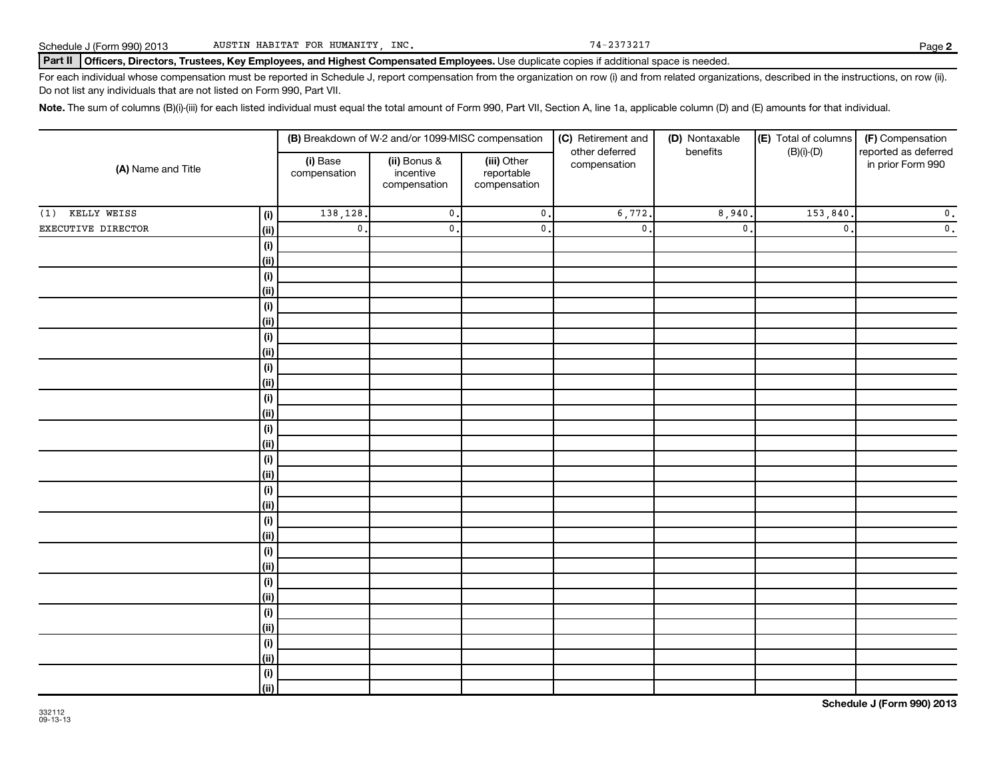Part II | Officers, Directors, Trustees, Key Employees, and Highest Compensated Employees. Use duplicate copies if additional space is needed.

For each individual whose compensation must be reported in Schedule J, report compensation from the organization on row (i) and from related organizations, described in the instructions, on row (ii). Do not list any individuals that are not listed on Form 990, Part VII.

Note. The sum of columns (B)(i)-(iii) for each listed individual must equal the total amount of Form 990, Part VII, Section A, line 1a, applicable column (D) and (E) amounts for that individual.

| (A) Name and Title |             |                          | (B) Breakdown of W-2 and/or 1099-MISC compensation |                                           | (C) Retirement and<br>other deferred | (D) Nontaxable<br>benefits | (E) Total of columns<br>$(B)(i)-(D)$ | (F) Compensation<br>reported as deferred |
|--------------------|-------------|--------------------------|----------------------------------------------------|-------------------------------------------|--------------------------------------|----------------------------|--------------------------------------|------------------------------------------|
|                    |             | (i) Base<br>compensation | (ii) Bonus &<br>incentive<br>compensation          | (iii) Other<br>reportable<br>compensation | compensation                         |                            |                                      | in prior Form 990                        |
| $(1)$ KELLY WEISS  | (i)         | 138,128.                 | $\mathbf 0$ .                                      | $\mathbf 0$ .                             | 6,772.                               | 8,940.                     | 153,840.                             | $\overline{\mathbf{0}}$ .                |
| EXECUTIVE DIRECTOR | (ii)        | $\mathfrak o$ .          | $\mathbf 0$ .                                      | $\mathbf 0$ .                             | $\mathbf{0}$                         | $\mathbf{0}$               | $\mathbf 0$ .                        | $\overline{\mathbf{0}}$ .                |
|                    | (i)         |                          |                                                    |                                           |                                      |                            |                                      |                                          |
|                    | (ii)        |                          |                                                    |                                           |                                      |                            |                                      |                                          |
|                    | (i)         |                          |                                                    |                                           |                                      |                            |                                      |                                          |
|                    | (ii)        |                          |                                                    |                                           |                                      |                            |                                      |                                          |
|                    | (i)         |                          |                                                    |                                           |                                      |                            |                                      |                                          |
|                    | (ii)        |                          |                                                    |                                           |                                      |                            |                                      |                                          |
|                    | (i)         |                          |                                                    |                                           |                                      |                            |                                      |                                          |
|                    | (ii)        |                          |                                                    |                                           |                                      |                            |                                      |                                          |
|                    | (i)         |                          |                                                    |                                           |                                      |                            |                                      |                                          |
|                    | (ii)        |                          |                                                    |                                           |                                      |                            |                                      |                                          |
|                    | (i)         |                          |                                                    |                                           |                                      |                            |                                      |                                          |
|                    | (ii)        |                          |                                                    |                                           |                                      |                            |                                      |                                          |
|                    | (i)         |                          |                                                    |                                           |                                      |                            |                                      |                                          |
|                    | (ii)        |                          |                                                    |                                           |                                      |                            |                                      |                                          |
|                    | (i)         |                          |                                                    |                                           |                                      |                            |                                      |                                          |
|                    | (ii)<br>(i) |                          |                                                    |                                           |                                      |                            |                                      |                                          |
|                    | (ii)        |                          |                                                    |                                           |                                      |                            |                                      |                                          |
|                    | (i)         |                          |                                                    |                                           |                                      |                            |                                      |                                          |
|                    | (ii)        |                          |                                                    |                                           |                                      |                            |                                      |                                          |
|                    | (i)         |                          |                                                    |                                           |                                      |                            |                                      |                                          |
|                    | (ii)        |                          |                                                    |                                           |                                      |                            |                                      |                                          |
|                    | (i)         |                          |                                                    |                                           |                                      |                            |                                      |                                          |
|                    | (ii)        |                          |                                                    |                                           |                                      |                            |                                      |                                          |
|                    | (i)         |                          |                                                    |                                           |                                      |                            |                                      |                                          |
|                    | (ii)        |                          |                                                    |                                           |                                      |                            |                                      |                                          |
|                    | (i)         |                          |                                                    |                                           |                                      |                            |                                      |                                          |
|                    | (ii)        |                          |                                                    |                                           |                                      |                            |                                      |                                          |
|                    | (i)         |                          |                                                    |                                           |                                      |                            |                                      |                                          |
|                    | (ii)        |                          |                                                    |                                           |                                      |                            |                                      |                                          |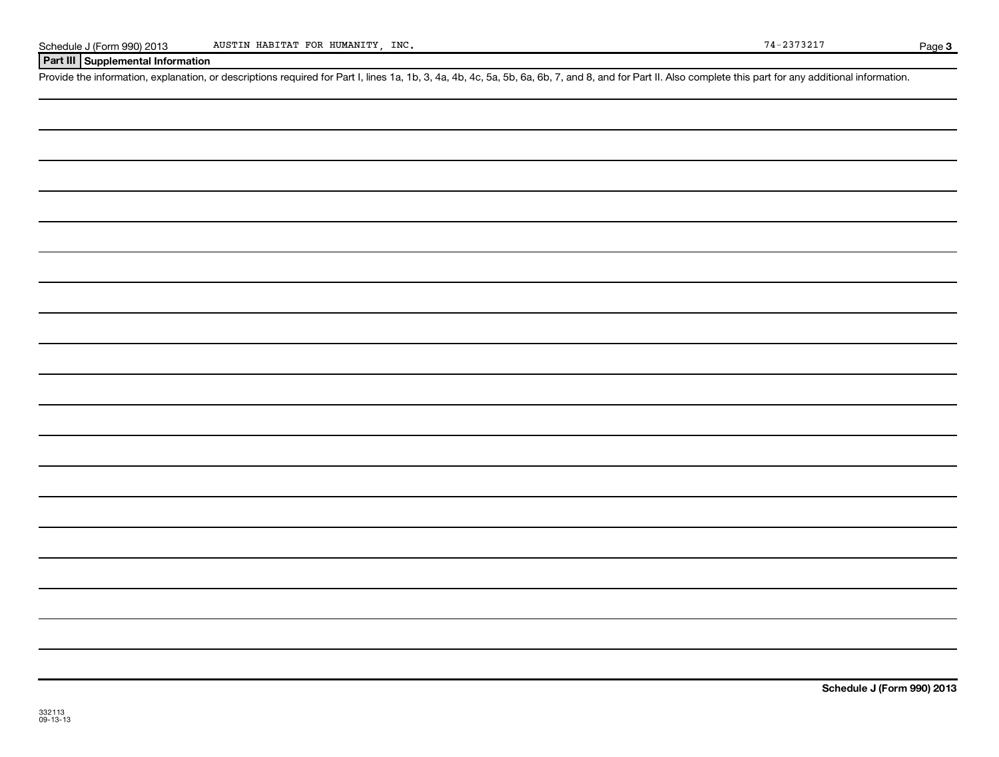## **Part III Supplemental Information**

Provide the information, explanation, or descriptions required for Part I, lines 1a, 1b, 3, 4a, 4b, 4c, 5a, 5b, 6a, 6b, 7, and 8, and for Part II. Also complete this part for any additional information.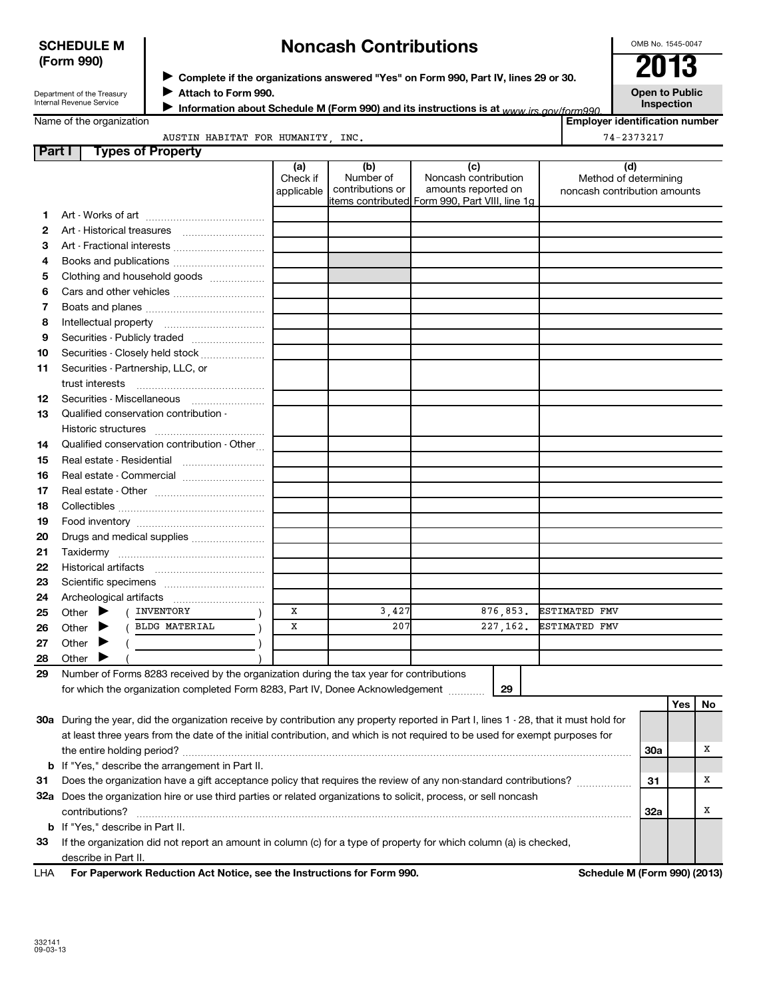## **SCHEDULE M (Form 990)**

## **Noncash Contributions**

OMB No. 1545-0047

| Department of the Treasury |  |
|----------------------------|--|
| Internal Revenue Service   |  |

◆ Complete if the organizations answered "Yes" on Form 990, Part IV, lines 29 or 30.<br>▶ Complete if the organizations answered "Yes" on Form 990, Part IV, lines 29 or 30.

**Attach to Form 990.** J

**Information about Schedule M (Form 990) and its instructions is at www irs gov/form990.** 

**Open to Public**

**Inspection**

**Employer identification number**

74-2373217

Name of the organization

| AUSTIN HABITAT FOR HUMANITY, INC. | : of Dronarty |  |  |
|-----------------------------------|---------------|--|--|
|                                   |               |  |  |

| Part I | <b>Types of Property</b>                                                                                                               |                        |                               |                                                |                                                       |     |     |    |
|--------|----------------------------------------------------------------------------------------------------------------------------------------|------------------------|-------------------------------|------------------------------------------------|-------------------------------------------------------|-----|-----|----|
|        |                                                                                                                                        | (a)                    | (b)                           | (c)                                            | (d)                                                   |     |     |    |
|        |                                                                                                                                        | Check if<br>applicable | Number of<br>contributions or | Noncash contribution<br>amounts reported on    | Method of determining<br>noncash contribution amounts |     |     |    |
|        |                                                                                                                                        |                        |                               | items contributed Form 990, Part VIII, line 1g |                                                       |     |     |    |
| 1.     |                                                                                                                                        |                        |                               |                                                |                                                       |     |     |    |
| 2      |                                                                                                                                        |                        |                               |                                                |                                                       |     |     |    |
| З      | Art - Fractional interests                                                                                                             |                        |                               |                                                |                                                       |     |     |    |
| 4      | Books and publications                                                                                                                 |                        |                               |                                                |                                                       |     |     |    |
| 5      | Clothing and household goods                                                                                                           |                        |                               |                                                |                                                       |     |     |    |
| 6      |                                                                                                                                        |                        |                               |                                                |                                                       |     |     |    |
| 7      |                                                                                                                                        |                        |                               |                                                |                                                       |     |     |    |
| 8      | Intellectual property                                                                                                                  |                        |                               |                                                |                                                       |     |     |    |
| 9      | Securities - Publicly traded                                                                                                           |                        |                               |                                                |                                                       |     |     |    |
| 10     | Securities - Closely held stock                                                                                                        |                        |                               |                                                |                                                       |     |     |    |
| 11     | Securities - Partnership, LLC, or                                                                                                      |                        |                               |                                                |                                                       |     |     |    |
|        | trust interests                                                                                                                        |                        |                               |                                                |                                                       |     |     |    |
| 12     |                                                                                                                                        |                        |                               |                                                |                                                       |     |     |    |
| 13     | Qualified conservation contribution -                                                                                                  |                        |                               |                                                |                                                       |     |     |    |
|        |                                                                                                                                        |                        |                               |                                                |                                                       |     |     |    |
| 14     | Qualified conservation contribution - Other                                                                                            |                        |                               |                                                |                                                       |     |     |    |
| 15     | Real estate - Residential                                                                                                              |                        |                               |                                                |                                                       |     |     |    |
| 16     | Real estate - Commercial                                                                                                               |                        |                               |                                                |                                                       |     |     |    |
| 17     |                                                                                                                                        |                        |                               |                                                |                                                       |     |     |    |
| 18     |                                                                                                                                        |                        |                               |                                                |                                                       |     |     |    |
| 19     |                                                                                                                                        |                        |                               |                                                |                                                       |     |     |    |
| 20     | Drugs and medical supplies                                                                                                             |                        |                               |                                                |                                                       |     |     |    |
| 21     |                                                                                                                                        |                        |                               |                                                |                                                       |     |     |    |
| 22     |                                                                                                                                        |                        |                               |                                                |                                                       |     |     |    |
| 23     |                                                                                                                                        |                        |                               |                                                |                                                       |     |     |    |
| 24     |                                                                                                                                        |                        |                               |                                                |                                                       |     |     |    |
| 25     | INVENTORY<br>Other $\blacktriangleright$                                                                                               | x                      | 3,427                         | 876,853.                                       | ESTIMATED FMV                                         |     |     |    |
| 26     | <b>BLDG MATERIAL</b><br>Other $\blacktriangleright$                                                                                    | x                      | 207                           | 227, 162.                                      | ESTIMATED FMV                                         |     |     |    |
| 27     | Other<br>▸                                                                                                                             |                        |                               |                                                |                                                       |     |     |    |
| 28     | Other $\blacktriangleright$                                                                                                            |                        |                               |                                                |                                                       |     |     |    |
| 29     | Number of Forms 8283 received by the organization during the tax year for contributions                                                |                        |                               |                                                |                                                       |     |     |    |
|        | for which the organization completed Form 8283, Part IV, Donee Acknowledgement                                                         |                        |                               | 29                                             |                                                       |     |     |    |
|        |                                                                                                                                        |                        |                               |                                                |                                                       |     | Yes | No |
|        | 30a During the year, did the organization receive by contribution any property reported in Part I, lines 1 - 28, that it must hold for |                        |                               |                                                |                                                       |     |     |    |
|        | at least three years from the date of the initial contribution, and which is not required to be used for exempt purposes for           |                        |                               |                                                |                                                       |     |     |    |
|        |                                                                                                                                        |                        |                               |                                                |                                                       | 30a |     | х  |
|        | <b>b</b> If "Yes," describe the arrangement in Part II.                                                                                |                        |                               |                                                |                                                       |     |     |    |
| 31     | Does the organization have a gift acceptance policy that requires the review of any non-standard contributions?                        |                        |                               |                                                |                                                       | 31  |     | х  |
|        | 32a Does the organization hire or use third parties or related organizations to solicit, process, or sell noncash                      |                        |                               |                                                |                                                       |     |     |    |
|        | contributions?                                                                                                                         |                        |                               |                                                |                                                       | 32a |     | х  |
|        | <b>b</b> If "Yes," describe in Part II.                                                                                                |                        |                               |                                                |                                                       |     |     |    |
| 33     | If the organization did not report an amount in column (c) for a type of property for which column (a) is checked,                     |                        |                               |                                                |                                                       |     |     |    |
|        | describe in Part II.                                                                                                                   |                        |                               |                                                |                                                       |     |     |    |

**For Paperwork Reduction Act Notice, see the Instructions for Form 990. Schedule M (Form 990) (2013)** LHA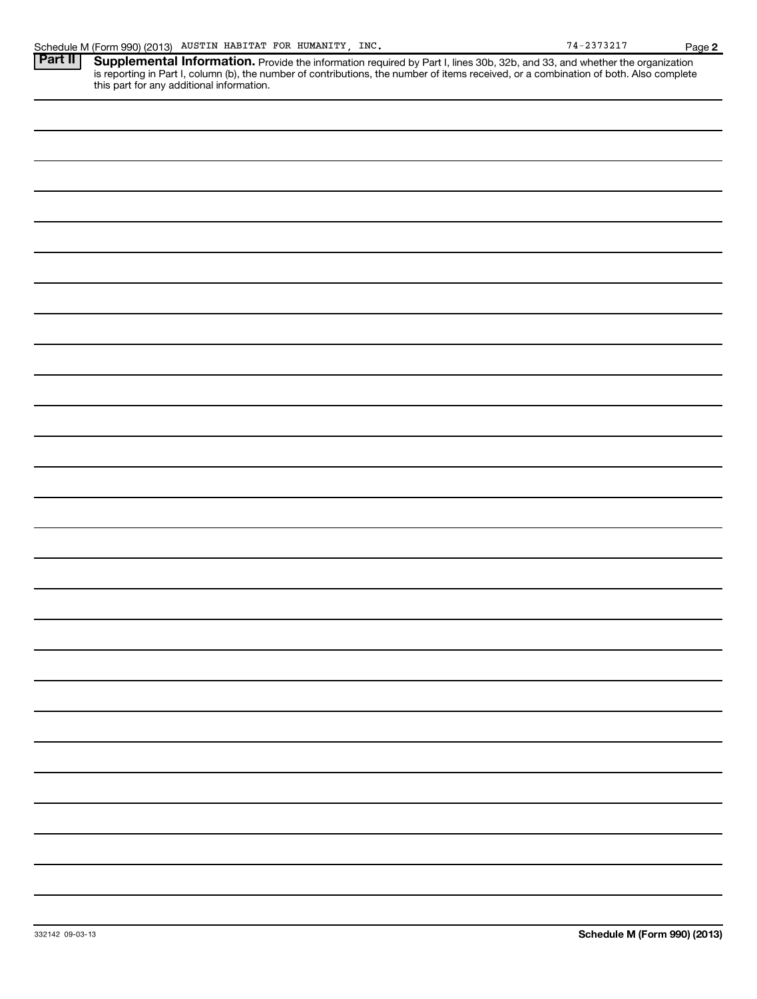| Part II | <b>Supplemental Information.</b> Provide the information required by Part I, lines 30b, 32b, and 33, and whether the organization is reporting in Part I, column (b), the number of contributions, the number of items received, or |
|---------|-------------------------------------------------------------------------------------------------------------------------------------------------------------------------------------------------------------------------------------|
|         |                                                                                                                                                                                                                                     |
|         |                                                                                                                                                                                                                                     |
|         |                                                                                                                                                                                                                                     |
|         |                                                                                                                                                                                                                                     |
|         |                                                                                                                                                                                                                                     |
|         |                                                                                                                                                                                                                                     |
|         |                                                                                                                                                                                                                                     |
|         |                                                                                                                                                                                                                                     |
|         |                                                                                                                                                                                                                                     |
|         |                                                                                                                                                                                                                                     |
|         |                                                                                                                                                                                                                                     |
|         |                                                                                                                                                                                                                                     |
|         |                                                                                                                                                                                                                                     |
|         |                                                                                                                                                                                                                                     |
|         |                                                                                                                                                                                                                                     |
|         |                                                                                                                                                                                                                                     |
|         |                                                                                                                                                                                                                                     |
|         |                                                                                                                                                                                                                                     |
|         |                                                                                                                                                                                                                                     |
|         |                                                                                                                                                                                                                                     |
|         |                                                                                                                                                                                                                                     |
|         |                                                                                                                                                                                                                                     |
|         |                                                                                                                                                                                                                                     |
|         |                                                                                                                                                                                                                                     |
|         |                                                                                                                                                                                                                                     |
|         |                                                                                                                                                                                                                                     |
|         |                                                                                                                                                                                                                                     |
|         |                                                                                                                                                                                                                                     |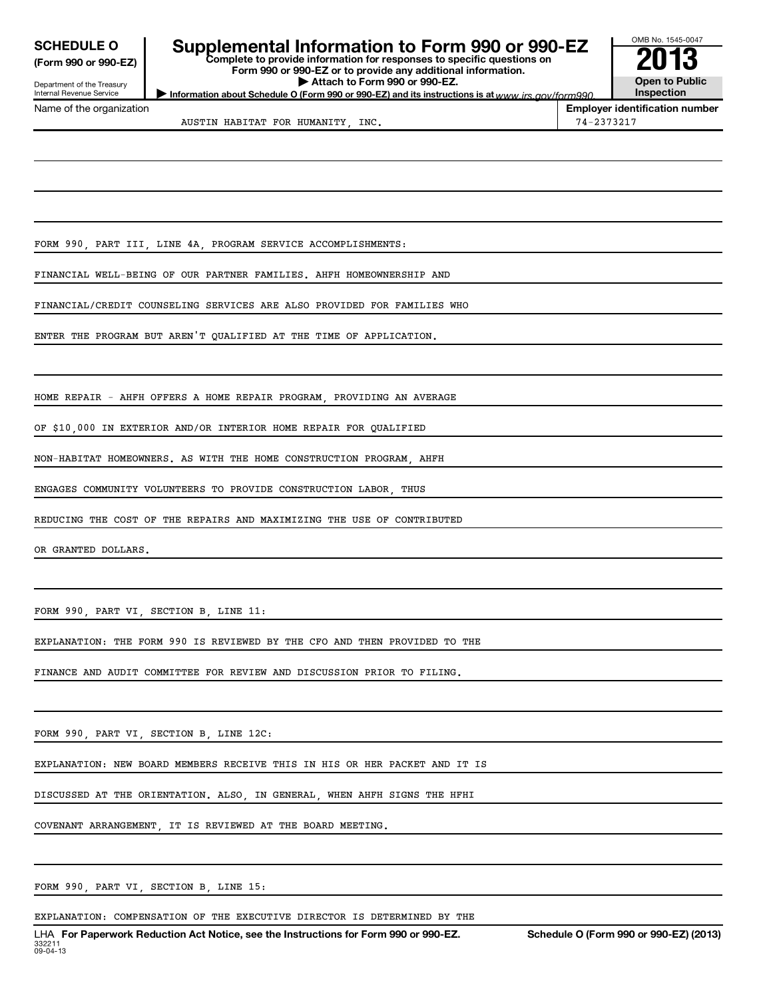## **(Form 990 or 990-EZ)**

## Department of the Treasury

#### **Complete to provide information for responses to specific questions on Form 990 or 990-EZ or to provide any additional information. SCHEDULE O Supplemental Information to Form 990 or 990-EZ 2013**

**Information about Schedule O (Form 990 or 990-EZ) and its instructions is at www.irs.gov/form990. | Attach to Form 990 or 990-EZ.**



Name of the organization

## OMB No. 1545-0047 **Open to Public Inspection**

AUSTIN HABITAT FOR HUMANITY, INC.  $74-2373217$ 

**Employer identification number**

FORM 990, PART III, LINE 4A, PROGRAM SERVICE ACCOMPLISHMENTS:

FINANCIAL WELL-BEING OF OUR PARTNER FAMILIES. AHFH HOMEOWNERSHIP AND

FINANCIAL/CREDIT COUNSELING SERVICES ARE ALSO PROVIDED FOR FAMILIES WHO

ENTER THE PROGRAM BUT AREN'T QUALIFIED AT THE TIME OF APPLICATION.

HOME REPAIR - AHFH OFFERS A HOME REPAIR PROGRAM, PROVIDING AN AVERAGE

OF \$10,000 IN EXTERIOR AND/OR INTERIOR HOME REPAIR FOR QUALIFIED

NON-HABITAT HOMEOWNERS. AS WITH THE HOME CONSTRUCTION PROGRAM, AHFH

ENGAGES COMMUNITY VOLUNTEERS TO PROVIDE CONSTRUCTION LABOR, THUS

REDUCING THE COST OF THE REPAIRS AND MAXIMIZING THE USE OF CONTRIBUTED

OR GRANTED DOLLARS.

FORM 990, PART VI, SECTION B, LINE 11:

EXPLANATION: THE FORM 990 IS REVIEWED BY THE CFO AND THEN PROVIDED TO THE

FINANCE AND AUDIT COMMITTEE FOR REVIEW AND DISCUSSION PRIOR TO FILING.

FORM 990, PART VI, SECTION B, LINE 12C:

EXPLANATION: NEW BOARD MEMBERS RECEIVE THIS IN HIS OR HER PACKET AND IT IS

DISCUSSED AT THE ORIENTATION. ALSO, IN GENERAL, WHEN AHFH SIGNS THE HFHI

COVENANT ARRANGEMENT, IT IS REVIEWED AT THE BOARD MEETING.

FORM 990, PART VI, SECTION B, LINE 15:

EXPLANATION: COMPENSATION OF THE EXECUTIVE DIRECTOR IS DETERMINED BY THE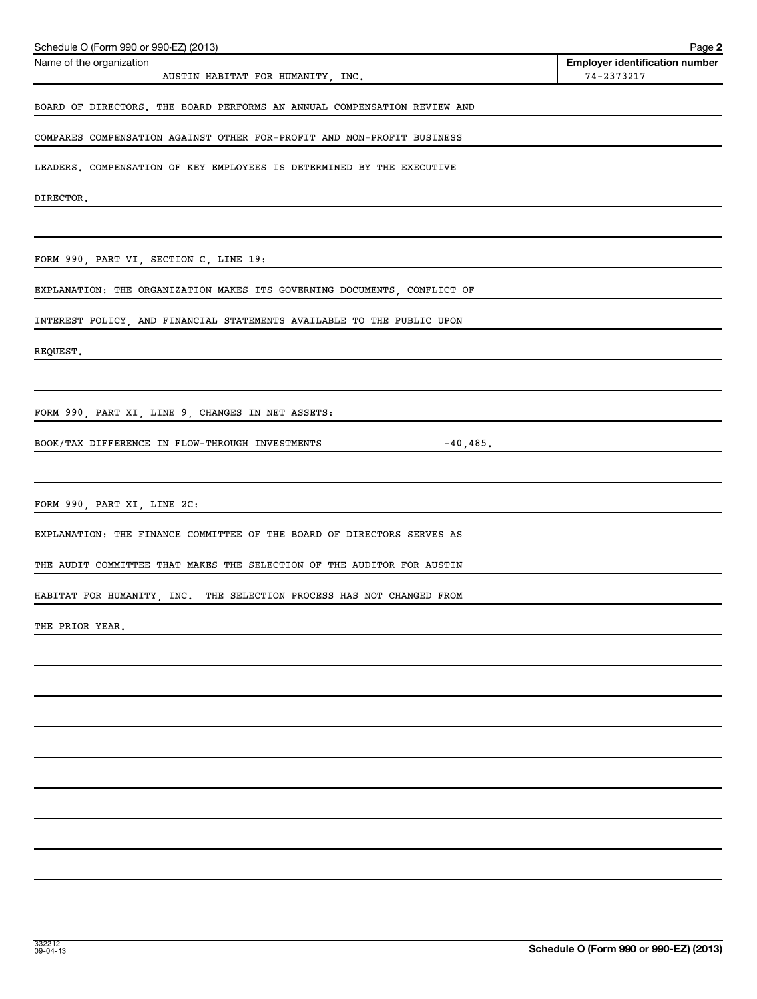| Schedule O (Form 990 or 990-EZ) (2013)                                   | Page 2                                              |
|--------------------------------------------------------------------------|-----------------------------------------------------|
| Name of the organization<br>AUSTIN HABITAT FOR HUMANITY, INC.            | <b>Employer identification number</b><br>74-2373217 |
| BOARD OF DIRECTORS. THE BOARD PERFORMS AN ANNUAL COMPENSATION REVIEW AND |                                                     |
| COMPARES COMPENSATION AGAINST OTHER FOR-PROFIT AND NON-PROFIT BUSINESS   |                                                     |
| LEADERS. COMPENSATION OF KEY EMPLOYEES IS DETERMINED BY THE EXECUTIVE    |                                                     |
| DIRECTOR.                                                                |                                                     |
|                                                                          |                                                     |
| FORM 990, PART VI, SECTION C, LINE 19:                                   |                                                     |
| EXPLANATION: THE ORGANIZATION MAKES ITS GOVERNING DOCUMENTS, CONFLICT OF |                                                     |
| INTEREST POLICY, AND FINANCIAL STATEMENTS AVAILABLE TO THE PUBLIC UPON   |                                                     |
| REQUEST.                                                                 |                                                     |
|                                                                          |                                                     |
| FORM 990, PART XI, LINE 9, CHANGES IN NET ASSETS:                        |                                                     |
| BOOK/TAX DIFFERENCE IN FLOW-THROUGH INVESTMENTS<br>$-40$ ,485.           |                                                     |
|                                                                          |                                                     |
| FORM 990, PART XI, LINE 2C:                                              |                                                     |
| EXPLANATION: THE FINANCE COMMITTEE OF THE BOARD OF DIRECTORS SERVES AS   |                                                     |
| THE AUDIT COMMITTEE THAT MAKES THE SELECTION OF THE AUDITOR FOR AUSTIN   |                                                     |
| HABITAT FOR HUMANITY, INC. THE SELECTION PROCESS HAS NOT CHANGED FROM    |                                                     |
| THE PRIOR YEAR.                                                          |                                                     |
|                                                                          |                                                     |
|                                                                          |                                                     |
|                                                                          |                                                     |
|                                                                          |                                                     |
|                                                                          |                                                     |
|                                                                          |                                                     |
|                                                                          |                                                     |
|                                                                          |                                                     |
|                                                                          |                                                     |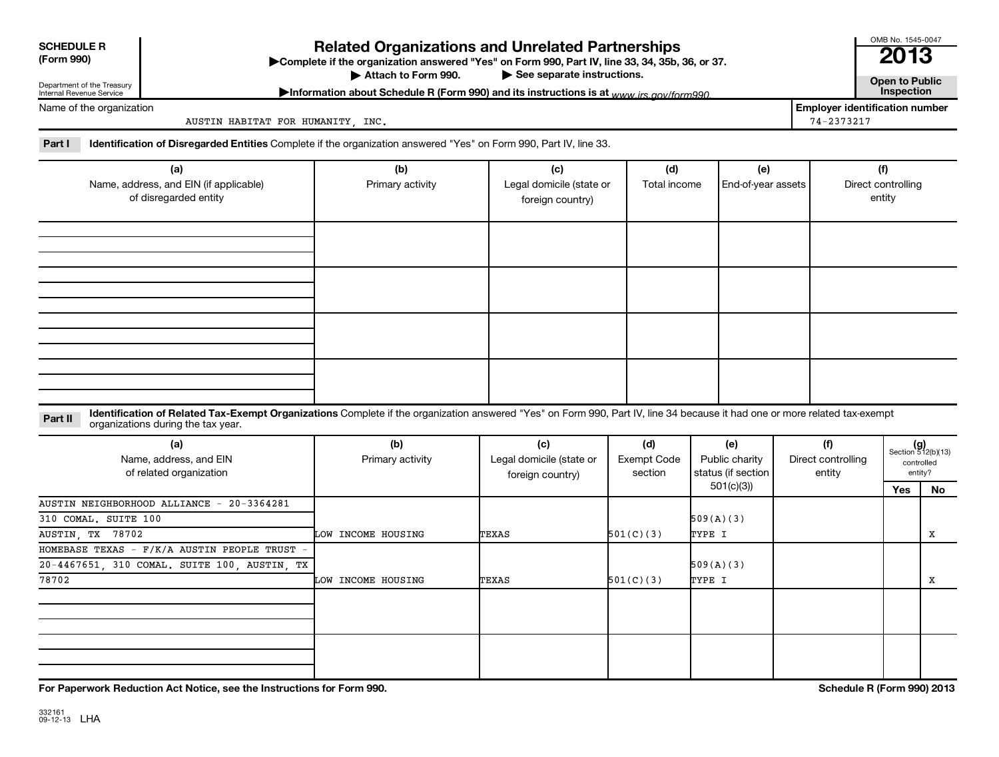| <b>SCHEDULE R</b>         |  |
|---------------------------|--|
| $(T_{\text{extra}}$ $000$ |  |

**(Form 990) Complete if the organizations and Unrelated Partnerships**<br> **Related Organization answered "Yes" on Form 990, Part IV, line 33, 34, 35b, 36, or 37.**<br>
■ 2013 Attach to Form 990.

▶ See separate instructions.<br> **Attachment instructions is at** *MMM irs qov/form* **990. Contract instruction inspection** Information about Schedule R (Form 990) and its instructions is at <sub>www</sub> irs.gov/form990.

Name of the organization

Department of the Treasury Internal Revenue Service

AUSTIN HABITAT FOR HUMANITY, INC. THE SERVICE OF STRAINING SERVICE SERVICE SERVICE SERVICE SERVICE SERVICE SERVICE SERVICE SERVICE SERVICE SERVICE SERVICE SERVICE SERVICE SERVICE SERVICE SERVICE SERVICE SERVICE SERVICE SER

**Employer identification number**

OMB No. 1545-0047

Part I lentification of Disregarded Entities Complete if the organization answered "Yes" on Form 990, Part IV, line 33.

| (a)<br>Name, address, and EIN (if applicable)<br>of disregarded entity | (b)<br>Primary activity | (c)<br>Legal domicile (state or<br>foreign country) | (d)<br>Total income | (e)<br>End-of-year assets | (f)<br>Direct controlling<br>entity |
|------------------------------------------------------------------------|-------------------------|-----------------------------------------------------|---------------------|---------------------------|-------------------------------------|
|                                                                        |                         |                                                     |                     |                           |                                     |
|                                                                        |                         |                                                     |                     |                           |                                     |
|                                                                        |                         |                                                     |                     |                           |                                     |
|                                                                        |                         |                                                     |                     |                           |                                     |

Part II ldentification of Related Tax-Exempt Organizations Complete if the organization answered "Yes" on Form 990, Part IV, line 34 because it had one or more related tax-exempt<br>Complete it is a seminary way were presente organizations during the tax year.

| (a)<br>Name, address, and EIN<br>of related organization | (b)<br>Primary activity | (c)<br>Legal domicile (state or<br>foreign country) | (d)<br>Exempt Code<br>section | (e)<br>Public charity<br>status (if section | (f)<br>Direct controlling<br>entity |     | $(g)$<br>Section 512(b)(13)<br>controlled<br>entity? |
|----------------------------------------------------------|-------------------------|-----------------------------------------------------|-------------------------------|---------------------------------------------|-------------------------------------|-----|------------------------------------------------------|
|                                                          |                         |                                                     |                               | 501(c)(3)                                   |                                     | Yes | No                                                   |
| AUSTIN NEIGHBORHOOD ALLIANCE - 20-3364281                |                         |                                                     |                               |                                             |                                     |     |                                                      |
| 310 COMAL. SUITE 100                                     |                         |                                                     |                               | 509(A)(3)                                   |                                     |     |                                                      |
| AUSTIN, TX 78702                                         | LOW INCOME HOUSING      | TEXAS                                               | 501(C)(3)                     | TYPE I                                      |                                     |     | Х                                                    |
| HOMEBASE TEXAS - $F/K/A$ AUSTIN PEOPLE TRUST -           |                         |                                                     |                               |                                             |                                     |     |                                                      |
| 20-4467651, 310 COMAL. SUITE 100, AUSTIN, TX             |                         |                                                     |                               | 509(A)(3)                                   |                                     |     |                                                      |
| 78702                                                    | LOW INCOME HOUSING      | TEXAS                                               | 501(C)(3)                     | TYPE I                                      |                                     |     | X                                                    |
|                                                          |                         |                                                     |                               |                                             |                                     |     |                                                      |
|                                                          |                         |                                                     |                               |                                             |                                     |     |                                                      |
|                                                          |                         |                                                     |                               |                                             |                                     |     |                                                      |
|                                                          |                         |                                                     |                               |                                             |                                     |     |                                                      |
|                                                          |                         |                                                     |                               |                                             |                                     |     |                                                      |

**For Paperwork Reduction Act Notice, see the Instructions for Form 990. Schedule R (Form 990) 2013**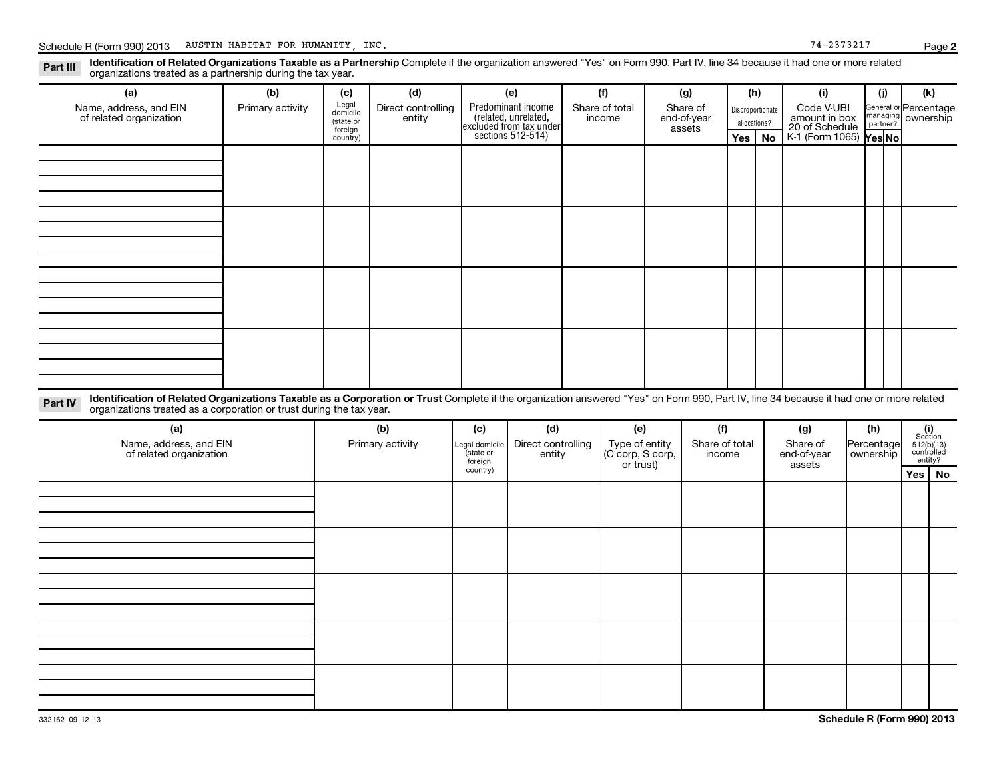Part III Identification of Related Organizations Taxable as a Partnership Complete if the organization answered "Yes" on Form 990, Part IV, line 34 because it had one or more related<br>Read to consistions tracted as a partne organizations treated as a partnership during the tax year.

| (a)                                               | (b)                                                                                                                                                                                                                                                            | (c)                                       | (d)                          |                     | (e)                                                                   |                                                               | (f)                                             |                                  | (g)            | (h) |                                                                  | (i)                   | (j)                                                        |  | (k)                                          |
|---------------------------------------------------|----------------------------------------------------------------------------------------------------------------------------------------------------------------------------------------------------------------------------------------------------------------|-------------------------------------------|------------------------------|---------------------|-----------------------------------------------------------------------|---------------------------------------------------------------|-------------------------------------------------|----------------------------------|----------------|-----|------------------------------------------------------------------|-----------------------|------------------------------------------------------------|--|----------------------------------------------|
| Name, address, and EIN<br>of related organization | Primary activity                                                                                                                                                                                                                                               | Legal<br>domicile<br>(state or<br>foreign | Direct controlling<br>entity |                     | Predominant income<br>(related, unrelated,<br>excluded from tax under | Share of total<br>Share of<br>end-of-year<br>income<br>assets |                                                 | Disproportionate<br>allocations? |                |     | Code V-UBI<br>amount in box<br>20 of Schedule<br>K-1 (Form 1065) |                       | General or Percentage<br>nanaging<br>ownership<br>partner? |  |                                              |
|                                                   |                                                                                                                                                                                                                                                                | country)                                  |                              |                     | sections $512-514$ )                                                  |                                                               |                                                 |                                  |                | Yes | <b>No</b>                                                        |                       | Yes No                                                     |  |                                              |
|                                                   |                                                                                                                                                                                                                                                                |                                           |                              |                     |                                                                       |                                                               |                                                 |                                  |                |     |                                                                  |                       |                                                            |  |                                              |
|                                                   |                                                                                                                                                                                                                                                                |                                           |                              |                     |                                                                       |                                                               |                                                 |                                  |                |     |                                                                  |                       |                                                            |  |                                              |
|                                                   |                                                                                                                                                                                                                                                                |                                           |                              |                     |                                                                       |                                                               |                                                 |                                  |                |     |                                                                  |                       |                                                            |  |                                              |
|                                                   |                                                                                                                                                                                                                                                                |                                           |                              |                     |                                                                       |                                                               |                                                 |                                  |                |     |                                                                  |                       |                                                            |  |                                              |
|                                                   |                                                                                                                                                                                                                                                                |                                           |                              |                     |                                                                       |                                                               |                                                 |                                  |                |     |                                                                  |                       |                                                            |  |                                              |
|                                                   |                                                                                                                                                                                                                                                                |                                           |                              |                     |                                                                       |                                                               |                                                 |                                  |                |     |                                                                  |                       |                                                            |  |                                              |
|                                                   |                                                                                                                                                                                                                                                                |                                           |                              |                     |                                                                       |                                                               |                                                 |                                  |                |     |                                                                  |                       |                                                            |  |                                              |
|                                                   |                                                                                                                                                                                                                                                                |                                           |                              |                     |                                                                       |                                                               |                                                 |                                  |                |     |                                                                  |                       |                                                            |  |                                              |
|                                                   |                                                                                                                                                                                                                                                                |                                           |                              |                     |                                                                       |                                                               |                                                 |                                  |                |     |                                                                  |                       |                                                            |  |                                              |
|                                                   |                                                                                                                                                                                                                                                                |                                           |                              |                     |                                                                       |                                                               |                                                 |                                  |                |     |                                                                  |                       |                                                            |  |                                              |
|                                                   |                                                                                                                                                                                                                                                                |                                           |                              |                     |                                                                       |                                                               |                                                 |                                  |                |     |                                                                  |                       |                                                            |  |                                              |
|                                                   |                                                                                                                                                                                                                                                                |                                           |                              |                     |                                                                       |                                                               |                                                 |                                  |                |     |                                                                  |                       |                                                            |  |                                              |
|                                                   |                                                                                                                                                                                                                                                                |                                           |                              |                     |                                                                       |                                                               |                                                 |                                  |                |     |                                                                  |                       |                                                            |  |                                              |
| Part IV                                           | Identification of Related Organizations Taxable as a Corporation or Trust Complete if the organization answered "Yes" on Form 990, Part IV, line 34 because it had one or more related<br>organizations treated as a corporation or trust during the tax year. |                                           |                              |                     |                                                                       |                                                               |                                                 |                                  |                |     |                                                                  |                       |                                                            |  |                                              |
| (a)                                               |                                                                                                                                                                                                                                                                |                                           | (b)                          | (c)                 | (d)                                                                   |                                                               | (e)                                             |                                  | (f)            |     |                                                                  |                       | (h)                                                        |  |                                              |
| Name, address, and EIN                            |                                                                                                                                                                                                                                                                |                                           | Primary activity             | Legal domicile      | Direct controlling                                                    |                                                               |                                                 |                                  | Share of total |     |                                                                  | (g)<br>Share of       | Percentage                                                 |  | $(i)$<br>Section<br>512(b)(13)<br>controlled |
| of related organization                           |                                                                                                                                                                                                                                                                |                                           |                              | state or<br>foreign | entity                                                                |                                                               | Type of entity<br>(C corp, S corp,<br>or trust) |                                  | income         |     |                                                                  | end-of-year<br>assets | ownership                                                  |  | entity?                                      |
|                                                   |                                                                                                                                                                                                                                                                |                                           |                              | country)            |                                                                       |                                                               |                                                 |                                  |                |     |                                                                  |                       |                                                            |  | Yes<br><b>No</b>                             |
|                                                   |                                                                                                                                                                                                                                                                |                                           |                              |                     |                                                                       |                                                               |                                                 |                                  |                |     |                                                                  |                       |                                                            |  |                                              |
|                                                   |                                                                                                                                                                                                                                                                |                                           |                              |                     |                                                                       |                                                               |                                                 |                                  |                |     |                                                                  |                       |                                                            |  |                                              |
|                                                   |                                                                                                                                                                                                                                                                |                                           |                              |                     |                                                                       |                                                               |                                                 |                                  |                |     |                                                                  |                       |                                                            |  |                                              |
|                                                   |                                                                                                                                                                                                                                                                |                                           |                              |                     |                                                                       |                                                               |                                                 |                                  |                |     |                                                                  |                       |                                                            |  |                                              |
|                                                   |                                                                                                                                                                                                                                                                |                                           |                              |                     |                                                                       |                                                               |                                                 |                                  |                |     |                                                                  |                       |                                                            |  |                                              |
|                                                   |                                                                                                                                                                                                                                                                |                                           |                              |                     |                                                                       |                                                               |                                                 |                                  |                |     |                                                                  |                       |                                                            |  |                                              |
|                                                   |                                                                                                                                                                                                                                                                |                                           |                              |                     |                                                                       |                                                               |                                                 |                                  |                |     |                                                                  |                       |                                                            |  |                                              |
|                                                   |                                                                                                                                                                                                                                                                |                                           |                              |                     |                                                                       |                                                               |                                                 |                                  |                |     |                                                                  |                       |                                                            |  |                                              |
|                                                   |                                                                                                                                                                                                                                                                |                                           |                              |                     |                                                                       |                                                               |                                                 |                                  |                |     |                                                                  |                       |                                                            |  |                                              |
|                                                   |                                                                                                                                                                                                                                                                |                                           |                              |                     |                                                                       |                                                               |                                                 |                                  |                |     |                                                                  |                       |                                                            |  |                                              |
|                                                   |                                                                                                                                                                                                                                                                |                                           |                              |                     |                                                                       |                                                               |                                                 |                                  |                |     |                                                                  |                       |                                                            |  |                                              |
|                                                   |                                                                                                                                                                                                                                                                |                                           |                              |                     |                                                                       |                                                               |                                                 |                                  |                |     |                                                                  |                       |                                                            |  |                                              |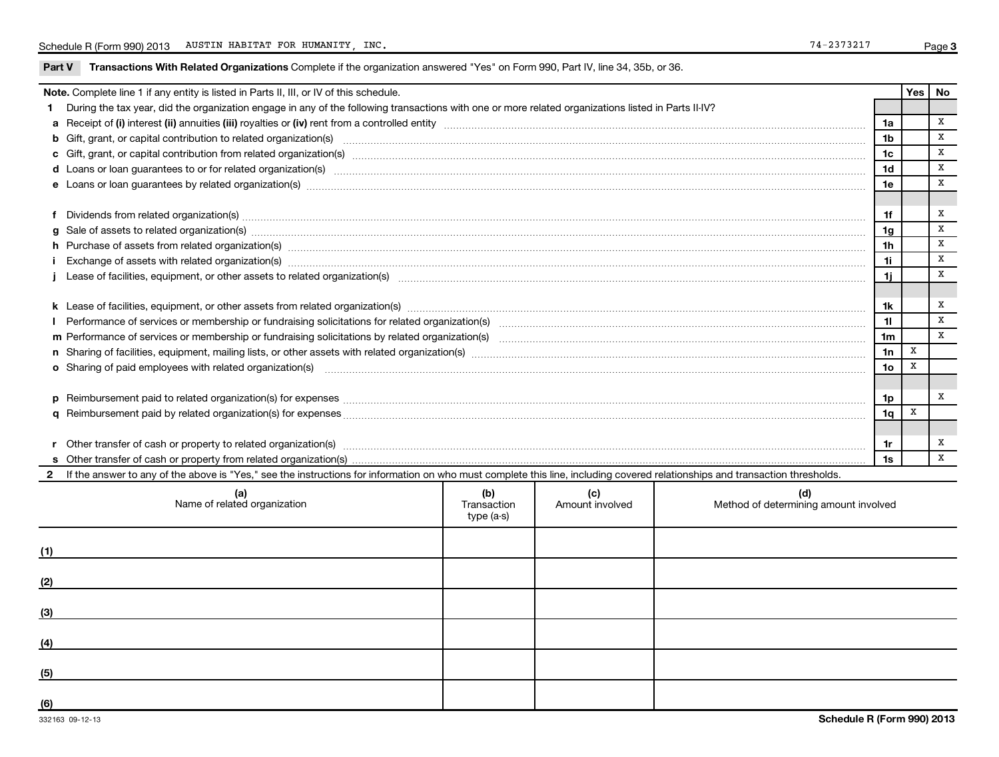|     | Note. Complete line 1 if any entity is listed in Parts II, III, or IV of this schedule.                                                                                                                                                          |             |                 |                                       |                | Yes          | No           |
|-----|--------------------------------------------------------------------------------------------------------------------------------------------------------------------------------------------------------------------------------------------------|-------------|-----------------|---------------------------------------|----------------|--------------|--------------|
|     | During the tax year, did the organization engage in any of the following transactions with one or more related organizations listed in Parts II-IV?                                                                                              |             |                 |                                       |                |              |              |
|     | 1a                                                                                                                                                                                                                                               |             |                 |                                       |                |              |              |
|     | b Gift, grant, or capital contribution to related organization(s) enconverse contract and contribution to related organization(s) enconverse contract and contribution to related organization(s) enconverse contract and cont<br>1 <sub>b</sub> |             |                 |                                       |                |              |              |
|     | 1c                                                                                                                                                                                                                                               |             |                 |                                       |                |              |              |
|     | d Loans or loan guarantees to or for related organization(s) encourance contains and contains a container and container and container and container and container and container and container and container and container and                    |             |                 |                                       |                |              |              |
|     | e Loans or loan guarantees by related organization(s) www.assession.com/www.assession.com/www.assession.com/www.assession.com/www.assession.com/www.assession.com/www.assession.com/www.assession.com/www.assession.com/www.as                   |             |                 |                                       | 1e             |              | X            |
|     |                                                                                                                                                                                                                                                  |             |                 |                                       |                |              |              |
|     |                                                                                                                                                                                                                                                  |             |                 |                                       | 1f             |              | x            |
|     | g Sale of assets to related organization(s) manufactured assemblance contract to the contract of the contract or contract or contract or contract or contract or contract or contract or contract or contract or contract or c                   |             |                 |                                       | 1 <sub>q</sub> |              | x            |
|     |                                                                                                                                                                                                                                                  |             |                 |                                       | 1 <sub>h</sub> |              | X            |
|     | i Exchange of assets with related organization(s) machinesis and content to the content of the content of the content of the content of the content of the content of the content of the content of the content of the content                   |             |                 |                                       | 1i.            |              | X            |
|     |                                                                                                                                                                                                                                                  |             |                 |                                       | 1i.            |              | X            |
|     |                                                                                                                                                                                                                                                  |             |                 |                                       |                |              |              |
|     |                                                                                                                                                                                                                                                  |             |                 |                                       | 1k             |              | X            |
|     |                                                                                                                                                                                                                                                  |             |                 |                                       | 11             |              | X            |
|     |                                                                                                                                                                                                                                                  |             |                 |                                       | 1 <sub>m</sub> |              | x            |
|     | n Sharing of facilities, equipment, mailing lists, or other assets with related organization(s) marror manufactured material contents and the state of facilities, equipment, mailing lists, or other assets with related orga<br>1n             |             |                 |                                       |                |              |              |
|     | o Sharing of paid employees with related organization(s) manufaction(s) and all contracts are seen as a set of the state or starting of paid employees with related organization(s) manufactured and contracts are set of the<br>1 <sub>o</sub>  |             |                 |                                       |                |              |              |
|     |                                                                                                                                                                                                                                                  |             |                 |                                       |                |              |              |
|     |                                                                                                                                                                                                                                                  |             |                 |                                       | 1p             |              | x            |
|     |                                                                                                                                                                                                                                                  |             |                 |                                       | 1a             | $\mathbf{x}$ |              |
|     |                                                                                                                                                                                                                                                  |             |                 |                                       |                |              |              |
|     |                                                                                                                                                                                                                                                  |             |                 |                                       | 1r             |              | х            |
|     |                                                                                                                                                                                                                                                  |             |                 |                                       | 1s             |              | $\mathbf{x}$ |
|     | If the answer to any of the above is "Yes," see the instructions for information on who must complete this line, including covered relationships and transaction thresholds.                                                                     |             |                 |                                       |                |              |              |
|     | (a)                                                                                                                                                                                                                                              | (b)         | (c)             | (d)                                   |                |              |              |
|     | Name of related organization                                                                                                                                                                                                                     | Transaction | Amount involved | Method of determining amount involved |                |              |              |
|     |                                                                                                                                                                                                                                                  | $type(a-s)$ |                 |                                       |                |              |              |
|     |                                                                                                                                                                                                                                                  |             |                 |                                       |                |              |              |
| (1) |                                                                                                                                                                                                                                                  |             |                 |                                       |                |              |              |
|     |                                                                                                                                                                                                                                                  |             |                 |                                       |                |              |              |
| (2) |                                                                                                                                                                                                                                                  |             |                 |                                       |                |              |              |
|     |                                                                                                                                                                                                                                                  |             |                 |                                       |                |              |              |
| (3) |                                                                                                                                                                                                                                                  |             |                 |                                       |                |              |              |
|     |                                                                                                                                                                                                                                                  |             |                 |                                       |                |              |              |
| (4) |                                                                                                                                                                                                                                                  |             |                 |                                       |                |              |              |
|     |                                                                                                                                                                                                                                                  |             |                 |                                       |                |              |              |
| (5) |                                                                                                                                                                                                                                                  |             |                 |                                       |                |              |              |
|     |                                                                                                                                                                                                                                                  |             |                 |                                       |                |              |              |
| (6) |                                                                                                                                                                                                                                                  |             |                 |                                       |                |              |              |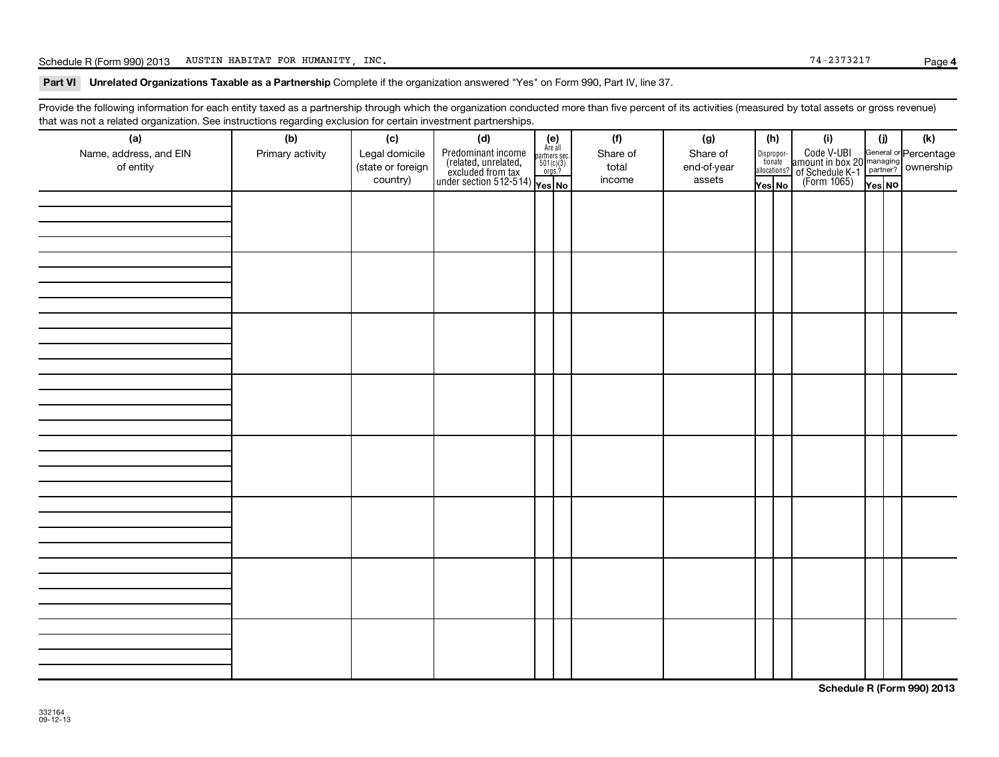Part VI Unrelated Organizations Taxable as a Partnership Complete if the organization answered "Yes" on Form 990, Part IV, line 37.

Provide the following information for each entity taxed as a partnership through which the organization conducted more than five percent of its activities (measured by total assets or gross revenue) that was not a related organization. See instructions regarding exclusion for certain investment partnerships.

| (a)<br>Name, address, and EIN<br>of entity | ~<br>$\tilde{\phantom{a}}$<br>(b)<br>Primary activity | (c)<br>Legal domicile<br>(state or foreign<br>country) | (d)<br>Predominant income<br>(related, unrelated, $\frac{\text{Area}}{\text{501(c)(3)}}$<br>excluded from tax<br>under section 512-514)<br>Yes No | $(e)$<br>Are all | (f)<br>Share of<br>total<br>income | (g)<br>Share of<br>end-of-year<br>assets | (h)<br>Disproportionate<br>allocations?<br>Yes No | (i)<br>Code V-UBI<br>amount in box 20 managing<br>2 of Schedule K-1 partner?<br>(Form 1065)<br>$\frac{1}{\sqrt{10}}$ | (i)<br>Yes NO | $(\mathsf{k})$ |
|--------------------------------------------|-------------------------------------------------------|--------------------------------------------------------|---------------------------------------------------------------------------------------------------------------------------------------------------|------------------|------------------------------------|------------------------------------------|---------------------------------------------------|----------------------------------------------------------------------------------------------------------------------|---------------|----------------|
|                                            |                                                       |                                                        |                                                                                                                                                   |                  |                                    |                                          |                                                   |                                                                                                                      |               |                |
|                                            |                                                       |                                                        |                                                                                                                                                   |                  |                                    |                                          |                                                   |                                                                                                                      |               |                |
|                                            |                                                       |                                                        |                                                                                                                                                   |                  |                                    |                                          |                                                   |                                                                                                                      |               |                |
|                                            |                                                       |                                                        |                                                                                                                                                   |                  |                                    |                                          |                                                   |                                                                                                                      |               |                |
|                                            |                                                       |                                                        |                                                                                                                                                   |                  |                                    |                                          |                                                   |                                                                                                                      |               |                |
|                                            |                                                       |                                                        |                                                                                                                                                   |                  |                                    |                                          |                                                   |                                                                                                                      |               |                |
|                                            |                                                       |                                                        |                                                                                                                                                   |                  |                                    |                                          |                                                   |                                                                                                                      |               |                |
|                                            |                                                       |                                                        |                                                                                                                                                   |                  |                                    |                                          |                                                   |                                                                                                                      |               |                |

**Schedule R (Form 990) 2013**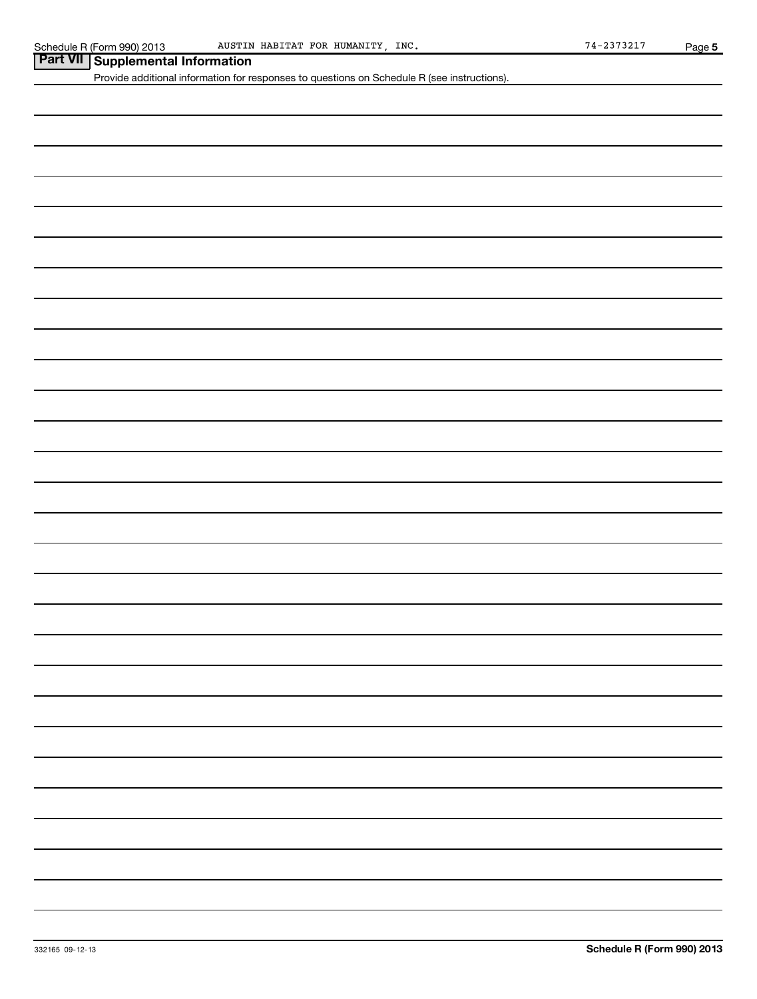| AUSTIN HABITAT FOR HUMANITY, INC.<br>Schedule R (Form 990) 2013                                                                                   | $74 - 2373217$ | Page 5 |
|---------------------------------------------------------------------------------------------------------------------------------------------------|----------------|--------|
| <b>Part VII</b><br><b>Supplemental Information</b><br>Provide additional information for responses to questions on Schedule R (see instructions). |                |        |
|                                                                                                                                                   |                |        |
|                                                                                                                                                   |                |        |
|                                                                                                                                                   |                |        |
|                                                                                                                                                   |                |        |
|                                                                                                                                                   |                |        |
|                                                                                                                                                   |                |        |
|                                                                                                                                                   |                |        |
|                                                                                                                                                   |                |        |
|                                                                                                                                                   |                |        |
|                                                                                                                                                   |                |        |
|                                                                                                                                                   |                |        |
|                                                                                                                                                   |                |        |
|                                                                                                                                                   |                |        |
|                                                                                                                                                   |                |        |
|                                                                                                                                                   |                |        |
|                                                                                                                                                   |                |        |
|                                                                                                                                                   |                |        |
|                                                                                                                                                   |                |        |
|                                                                                                                                                   |                |        |
|                                                                                                                                                   |                |        |
|                                                                                                                                                   |                |        |
|                                                                                                                                                   |                |        |
|                                                                                                                                                   |                |        |
|                                                                                                                                                   |                |        |
|                                                                                                                                                   |                |        |
|                                                                                                                                                   |                |        |
|                                                                                                                                                   |                |        |
|                                                                                                                                                   |                |        |
|                                                                                                                                                   |                |        |
|                                                                                                                                                   |                |        |
|                                                                                                                                                   |                |        |
|                                                                                                                                                   |                |        |
|                                                                                                                                                   |                |        |
|                                                                                                                                                   |                |        |
|                                                                                                                                                   |                |        |
|                                                                                                                                                   |                |        |
|                                                                                                                                                   |                |        |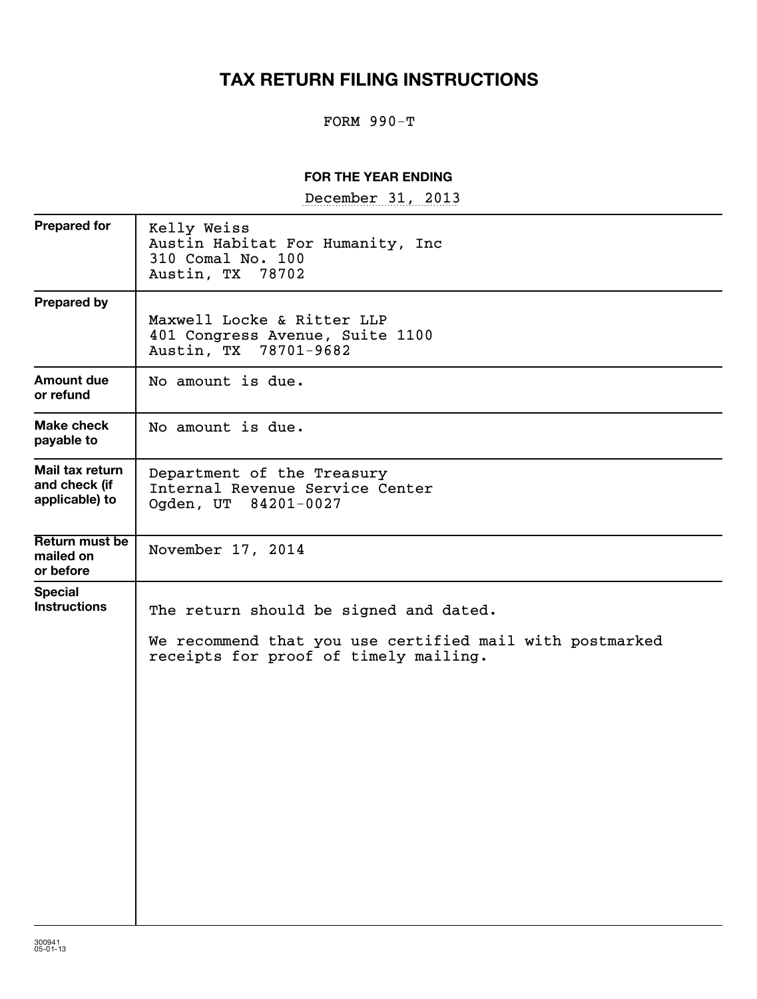## **TAX RETURN FILING INSTRUCTIONS**

## FORM 990-T

## **FOR THE YEAR ENDING**

December 31, 2013

| <b>Prepared for</b>                                | Kelly Weiss<br>Austin Habitat For Humanity, Inc<br>310 Comal No. 100<br>Austin, TX 78702                                                    |
|----------------------------------------------------|---------------------------------------------------------------------------------------------------------------------------------------------|
| <b>Prepared by</b>                                 | Maxwell Locke & Ritter LLP<br>401 Congress Avenue, Suite 1100<br>Austin, TX 78701-9682                                                      |
| Amount due<br>or refund                            | No amount is due.                                                                                                                           |
| Make check<br>payable to                           | No amount is due.                                                                                                                           |
| Mail tax return<br>and check (if<br>applicable) to | Department of the Treasury<br>Internal Revenue Service Center<br>Ogden, UT 84201-0027                                                       |
| Return must be<br>mailed on<br>or before           | November 17, 2014                                                                                                                           |
| <b>Special</b><br><b>Instructions</b>              | The return should be signed and dated.<br>We recommend that you use certified mail with postmarked<br>receipts for proof of timely mailing. |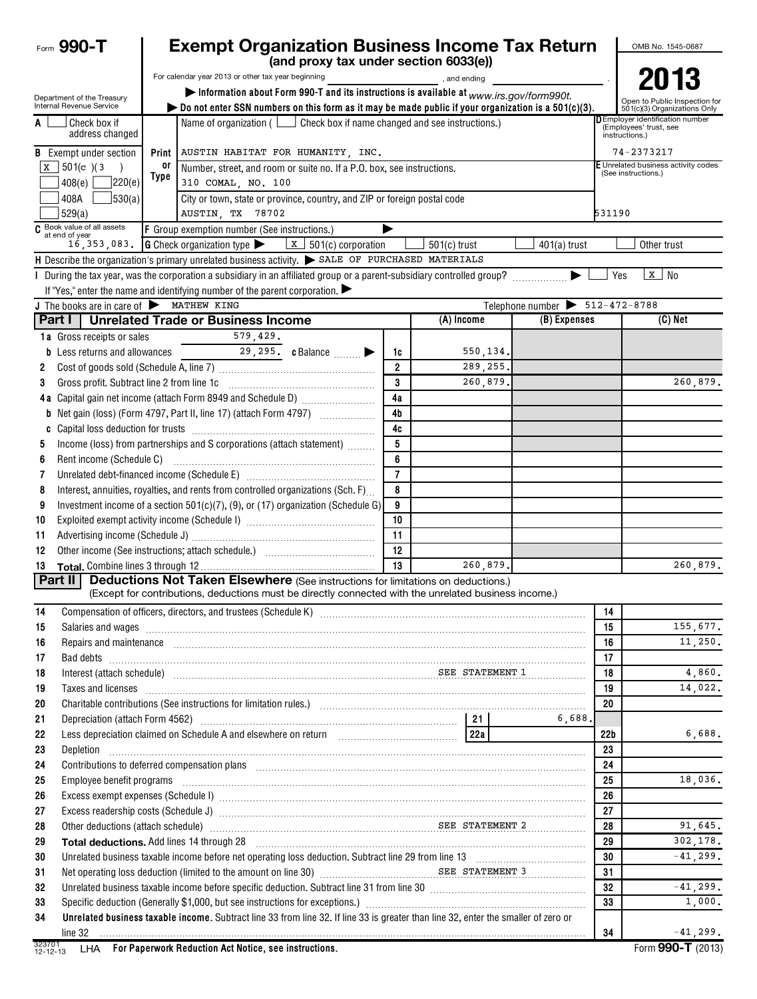|          | <b>Exempt Organization Business Income Tax Return</b><br>Form 990-T                                            |            |                                                                                                                                                                                                                                           |                                                                                         |                |                |                                                |                                          | OMB No. 1545-0687                                                       |
|----------|----------------------------------------------------------------------------------------------------------------|------------|-------------------------------------------------------------------------------------------------------------------------------------------------------------------------------------------------------------------------------------------|-----------------------------------------------------------------------------------------|----------------|----------------|------------------------------------------------|------------------------------------------|-------------------------------------------------------------------------|
|          |                                                                                                                |            |                                                                                                                                                                                                                                           | (and proxy tax under section 6033(e))                                                   |                |                |                                                |                                          |                                                                         |
|          |                                                                                                                |            | For calendar year 2013 or other tax year beginning                                                                                                                                                                                        |                                                                                         |                | , and ending   |                                                |                                          |                                                                         |
|          | Department of the Treasury                                                                                     |            |                                                                                                                                                                                                                                           | Information about Form 990-T and its instructions is available at www.irs.gov/form990t. |                |                |                                                |                                          | Open to Public Inspection for                                           |
|          | Internal Revenue Service                                                                                       |            | $\triangleright$ Do not enter SSN numbers on this form as it may be made public if your organization is a 501(c)(3).                                                                                                                      |                                                                                         |                |                |                                                |                                          | 501(c)(3) Organizations Only<br><b>D</b> Employer identification number |
| A        | Check box if<br>address changed                                                                                |            |                                                                                                                                                                                                                                           | Name of organization ( $\Box$ Check box if name changed and see instructions.)          |                |                |                                                | (Employees' trust, see<br>instructions.) |                                                                         |
|          | <b>B</b> Exempt under section                                                                                  | Print      | AUSTIN HABITAT FOR HUMANITY, INC.                                                                                                                                                                                                         |                                                                                         |                |                |                                                | 74-2373217                               |                                                                         |
| ΙX       | $501(c)$ (3)                                                                                                   | or<br>Type | Number, street, and room or suite no. If a P.O. box, see instructions.                                                                                                                                                                    |                                                                                         |                |                |                                                |                                          | <b>E</b> Unrelated business activity codes<br>(See instructions.)       |
|          | 220(e)<br>408(e)                                                                                               |            | 310 COMAL, NO. 100                                                                                                                                                                                                                        | City or town, state or province, country, and ZIP or foreign postal code                |                |                |                                                |                                          |                                                                         |
|          | 30(a)<br>408A<br>529(a)                                                                                        |            | 531190                                                                                                                                                                                                                                    |                                                                                         |                |                |                                                |                                          |                                                                         |
|          | C Book value of all assets                                                                                     |            | AUSTIN, TX 78702<br>F Group exemption number (See instructions.)                                                                                                                                                                          |                                                                                         |                |                |                                                |                                          |                                                                         |
|          | at end of year                                                                                                 |            | 16, 353, 083. G Check organization type                                                                                                                                                                                                   | $\boxed{\mathbf{x}}$ 501(c) corporation                                                 |                | $501(c)$ trust | $401(a)$ trust                                 |                                          | Other trust                                                             |
|          |                                                                                                                |            | H Describe the organization's primary unrelated business activity. SALE OF PURCHASED MATERIALS                                                                                                                                            |                                                                                         |                |                |                                                |                                          |                                                                         |
|          |                                                                                                                |            | During the tax year, was the corporation a subsidiary in an affiliated group or a parent-subsidiary controlled group?                                                                                                                     |                                                                                         |                |                |                                                |                                          | $\boxed{\mathbf{X}}$ No<br>Yes                                          |
|          |                                                                                                                |            | If "Yes," enter the name and identifying number of the parent corporation.                                                                                                                                                                |                                                                                         |                |                |                                                |                                          |                                                                         |
|          | J The books are in care of MATHEW KING                                                                         |            |                                                                                                                                                                                                                                           |                                                                                         |                |                | Telephone number $\triangleright$ 512-472-8788 |                                          |                                                                         |
|          | Part I                                                                                                         |            | <b>Unrelated Trade or Business Income</b>                                                                                                                                                                                                 |                                                                                         |                | (A) Income     | (B) Expenses                                   |                                          | $(C)$ Net                                                               |
|          | 1a Gross receipts or sales                                                                                     |            | 579,429.                                                                                                                                                                                                                                  |                                                                                         |                |                |                                                |                                          |                                                                         |
| b        | Less returns and allowances                                                                                    |            |                                                                                                                                                                                                                                           | 29, 295. c Balance                                                                      | 1c             | 550,134.       |                                                |                                          |                                                                         |
| 2        |                                                                                                                |            |                                                                                                                                                                                                                                           |                                                                                         | $\overline{2}$ | 289,255.       |                                                |                                          |                                                                         |
| 3        | Gross profit. Subtract line 2 from line 1c                                                                     |            |                                                                                                                                                                                                                                           |                                                                                         | 3              | 260,879.       |                                                |                                          | 260,879.                                                                |
|          |                                                                                                                |            |                                                                                                                                                                                                                                           |                                                                                         | 4a             |                |                                                |                                          |                                                                         |
| b        |                                                                                                                |            |                                                                                                                                                                                                                                           |                                                                                         | 4 <sub>b</sub> |                |                                                |                                          |                                                                         |
|          |                                                                                                                |            |                                                                                                                                                                                                                                           |                                                                                         | 4c             |                |                                                |                                          |                                                                         |
| 5        |                                                                                                                |            | Income (loss) from partnerships and S corporations (attach statement)                                                                                                                                                                     |                                                                                         | 5<br>6         |                |                                                |                                          |                                                                         |
| 6<br>7   | Rent income (Schedule C)                                                                                       |            |                                                                                                                                                                                                                                           |                                                                                         | $\overline{7}$ |                |                                                |                                          |                                                                         |
| 8        |                                                                                                                |            | Interest, annuities, royalties, and rents from controlled organizations (Sch. F)                                                                                                                                                          |                                                                                         | 8              |                |                                                |                                          |                                                                         |
| 9        |                                                                                                                |            | Investment income of a section 501(c)(7), (9), or (17) organization (Schedule G)                                                                                                                                                          |                                                                                         | 9              |                |                                                |                                          |                                                                         |
| 10       |                                                                                                                |            |                                                                                                                                                                                                                                           |                                                                                         | 10             |                |                                                |                                          |                                                                         |
| 11       |                                                                                                                |            |                                                                                                                                                                                                                                           |                                                                                         | 11             |                |                                                |                                          |                                                                         |
| 12       |                                                                                                                |            |                                                                                                                                                                                                                                           |                                                                                         | 12             |                |                                                |                                          |                                                                         |
| 13       |                                                                                                                |            |                                                                                                                                                                                                                                           |                                                                                         | 13             | 260,879.       |                                                |                                          | 260,879.                                                                |
|          | Part II                                                                                                        |            | <b>Deductions Not Taken Elsewhere</b> (See instructions for limitations on deductions.)                                                                                                                                                   |                                                                                         |                |                |                                                |                                          |                                                                         |
|          |                                                                                                                |            | (Except for contributions, deductions must be directly connected with the unrelated business income.)                                                                                                                                     |                                                                                         |                |                |                                                |                                          |                                                                         |
| 14       |                                                                                                                |            |                                                                                                                                                                                                                                           |                                                                                         |                |                |                                                | 14                                       |                                                                         |
| 15       |                                                                                                                |            | Salaries and wages <b>construction and construction of the construction</b> and construction of the construction of the                                                                                                                   |                                                                                         |                |                |                                                | 15                                       | 155,677.                                                                |
| 16       |                                                                                                                |            | Repairs and maintenance <i>maintenance</i> and contained a series and maintenance and maintenance and maintenance and                                                                                                                     |                                                                                         |                |                |                                                | 16                                       | 11,250.                                                                 |
| 17       |                                                                                                                |            | Bad debts <b>www.communities.communities.communities.com</b> munities.com                                                                                                                                                                 |                                                                                         |                |                |                                                | 17                                       |                                                                         |
| 18       |                                                                                                                |            | Interest (attach schedule) material methods of the strategy of the set of the set of the set of the set of the set of the set of the set of the set of the set of the set of the set of the set of the set of the set of the s            |                                                                                         |                |                |                                                | 18                                       | 4,860.                                                                  |
| 19       |                                                                                                                |            | Taxes and licenses <b>commissions</b> and licenses <b>contract the contract of the contract of the contract of the contract of the contract of the contract of the contract of the contract of the contract of the contract of the co</b> |                                                                                         |                |                |                                                | 19                                       | 14,022.                                                                 |
| 20<br>21 |                                                                                                                |            |                                                                                                                                                                                                                                           |                                                                                         |                |                | 6,688.                                         | 20                                       |                                                                         |
| 22       |                                                                                                                |            |                                                                                                                                                                                                                                           |                                                                                         |                |                |                                                | 22 <sub>b</sub>                          | 6,688.                                                                  |
| 23       | Depletion                                                                                                      |            |                                                                                                                                                                                                                                           |                                                                                         |                |                |                                                | 23                                       |                                                                         |
| 24       |                                                                                                                |            |                                                                                                                                                                                                                                           |                                                                                         |                |                |                                                | 24                                       |                                                                         |
| 25       | Contributions to deferred compensation plans [11] manufactured contributions to deferred compensation plans [1 |            |                                                                                                                                                                                                                                           |                                                                                         |                |                |                                                |                                          | 18,036.                                                                 |
| 26       |                                                                                                                |            |                                                                                                                                                                                                                                           |                                                                                         |                |                |                                                |                                          |                                                                         |
| 27       |                                                                                                                |            |                                                                                                                                                                                                                                           |                                                                                         |                |                |                                                | 27                                       |                                                                         |
| 28       |                                                                                                                |            | Other deductions (attach schedule) manufacturer and the settlement of the settlement of the settlement of the settlement of the settlement of the settlement of the settlement of the settlement of the settlement of the sett            |                                                                                         |                |                | .                                              | 28                                       | 91,645.                                                                 |
| 29       |                                                                                                                |            | Total deductions. Add lines 14 through 28 [11] manuscription contract to the first of the manuscription of the manuscription of the manuscription of the manuscription of the manuscription of the manuscription of the manusc            |                                                                                         |                |                |                                                | 29                                       | 302,178.                                                                |
| 30       |                                                                                                                |            |                                                                                                                                                                                                                                           |                                                                                         |                |                |                                                | 30                                       | $-41,299.$                                                              |
| 31       |                                                                                                                |            |                                                                                                                                                                                                                                           |                                                                                         |                |                | .                                              | 31                                       |                                                                         |
| 32       |                                                                                                                |            | Unrelated business taxable income before specific deduction. Subtract line 31 from line 30 [11] [11] Unrelated business taxable income before specific deduction. Subtract line 31 from line 30 [11] $\ldots$                             |                                                                                         |                |                |                                                | 32                                       | $-41, 299.$                                                             |
| 33       |                                                                                                                |            |                                                                                                                                                                                                                                           |                                                                                         |                |                |                                                | 33                                       | 1,000.                                                                  |
| 34       |                                                                                                                |            | Unrelated business taxable income. Subtract line 33 from line 32. If line 33 is greater than line 32, enter the smaller of zero or                                                                                                        |                                                                                         |                |                |                                                |                                          |                                                                         |
|          |                                                                                                                |            |                                                                                                                                                                                                                                           |                                                                                         |                |                |                                                | 34                                       | $-41, 299.$                                                             |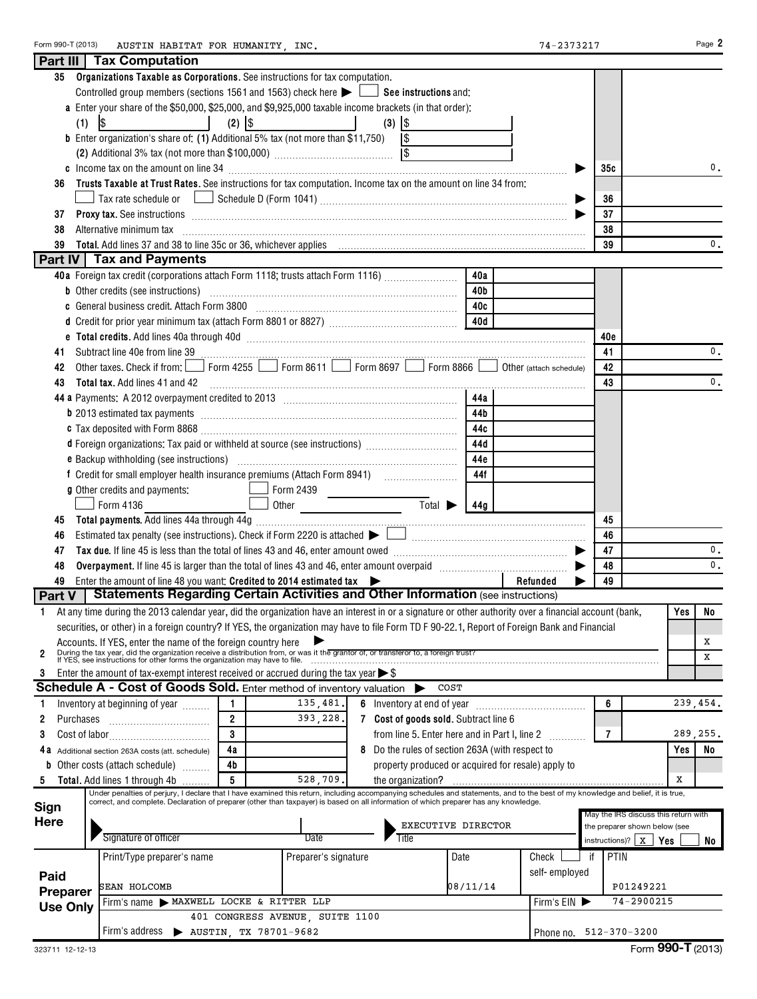**Part III Tax Computation**

|                                     | 35 Organizations Taxable as Corporations. See instructions for tax computation.                                                                                                                                                                                                                                           |               |                                      |           |  |  |  |  |  |
|-------------------------------------|---------------------------------------------------------------------------------------------------------------------------------------------------------------------------------------------------------------------------------------------------------------------------------------------------------------------------|---------------|--------------------------------------|-----------|--|--|--|--|--|
|                                     | Controlled group members (sections 1561 and 1563) check here $\blacktriangleright \Box$ See instructions and:                                                                                                                                                                                                             |               |                                      |           |  |  |  |  |  |
|                                     | a Enter your share of the \$50,000, \$25,000, and \$9,925,000 taxable income brackets (in that order):                                                                                                                                                                                                                    |               |                                      |           |  |  |  |  |  |
|                                     | $\lvert \mathcal{S} \rvert$<br>$(2)$ $ $ \$<br>(1)<br>$(3)$ $ $ \$                                                                                                                                                                                                                                                        |               |                                      |           |  |  |  |  |  |
|                                     | <b>b</b> Enter organization's share of: (1) Additional 5% tax (not more than \$11,750)<br>$\sqrt{3}$                                                                                                                                                                                                                      |               |                                      |           |  |  |  |  |  |
|                                     |                                                                                                                                                                                                                                                                                                                           |               |                                      |           |  |  |  |  |  |
|                                     |                                                                                                                                                                                                                                                                                                                           |               | 35с                                  | 0.        |  |  |  |  |  |
| 36                                  | Trusts Taxable at Trust Rates. See instructions for tax computation. Income tax on the amount on line 34 from:                                                                                                                                                                                                            |               |                                      |           |  |  |  |  |  |
|                                     | 36                                                                                                                                                                                                                                                                                                                        |               |                                      |           |  |  |  |  |  |
| 37<br>37                            |                                                                                                                                                                                                                                                                                                                           |               |                                      |           |  |  |  |  |  |
| Alternative minimum tax<br>38<br>38 |                                                                                                                                                                                                                                                                                                                           |               |                                      |           |  |  |  |  |  |
| 39                                  |                                                                                                                                                                                                                                                                                                                           |               | 39                                   | 0.        |  |  |  |  |  |
|                                     | Part IV   Tax and Payments                                                                                                                                                                                                                                                                                                |               |                                      |           |  |  |  |  |  |
|                                     | 40a Foreign tax credit (corporations attach Form 1118; trusts attach Form 1116)<br>40a                                                                                                                                                                                                                                    |               |                                      |           |  |  |  |  |  |
|                                     | 40b                                                                                                                                                                                                                                                                                                                       |               |                                      |           |  |  |  |  |  |
|                                     | c General business credit. Attach Form 3800 [11] [11] Contract Contract Contract Dusiness Credit. Attach Form 3800<br>40c                                                                                                                                                                                                 |               |                                      |           |  |  |  |  |  |
|                                     | 40d                                                                                                                                                                                                                                                                                                                       |               |                                      |           |  |  |  |  |  |
|                                     |                                                                                                                                                                                                                                                                                                                           |               | 40e                                  |           |  |  |  |  |  |
| 41                                  | Subtract line 40e from line 39                                                                                                                                                                                                                                                                                            |               | 41                                   | 0.        |  |  |  |  |  |
| 42                                  | Other taxes. Check if from: Form 4255 Form 8611 Form 8697 Form 8866 Jother (attach schedule)                                                                                                                                                                                                                              |               | 42                                   |           |  |  |  |  |  |
| 43                                  | Total tax. Add lines 41 and 42                                                                                                                                                                                                                                                                                            |               | 43                                   | 0.        |  |  |  |  |  |
|                                     | 44a                                                                                                                                                                                                                                                                                                                       |               |                                      |           |  |  |  |  |  |
|                                     | 44b                                                                                                                                                                                                                                                                                                                       |               |                                      |           |  |  |  |  |  |
|                                     | 44c<br>44d                                                                                                                                                                                                                                                                                                                |               |                                      |           |  |  |  |  |  |
|                                     | d Foreign organizations: Tax paid or withheld at source (see instructions)<br>44e                                                                                                                                                                                                                                         |               |                                      |           |  |  |  |  |  |
|                                     | 44f                                                                                                                                                                                                                                                                                                                       |               |                                      |           |  |  |  |  |  |
|                                     | g Other credits and payments:<br>Form 2439                                                                                                                                                                                                                                                                                |               |                                      |           |  |  |  |  |  |
|                                     | <b>Contract Contract</b><br>$\overline{\text{Total}}$<br>$\Box$ Form 4136<br>44g                                                                                                                                                                                                                                          |               |                                      |           |  |  |  |  |  |
|                                     |                                                                                                                                                                                                                                                                                                                           |               |                                      |           |  |  |  |  |  |
| 45<br>45<br>46<br>46                |                                                                                                                                                                                                                                                                                                                           |               |                                      |           |  |  |  |  |  |
| 47                                  | Tax due. If line 45 is less than the total of lines 43 and 46, enter amount owed <i>manuformana communities</i>                                                                                                                                                                                                           |               | 47                                   | 0.        |  |  |  |  |  |
| 48                                  |                                                                                                                                                                                                                                                                                                                           |               | 48                                   | 0.        |  |  |  |  |  |
| 49                                  | Enter the amount of line 48 you want: Credited to 2014 estimated tax                                                                                                                                                                                                                                                      | Refunded      | 49                                   |           |  |  |  |  |  |
| Part V                              | <b>Statements Regarding Certain Activities and Other Information (see instructions)</b>                                                                                                                                                                                                                                   |               |                                      |           |  |  |  |  |  |
| 1.                                  | At any time during the 2013 calendar year, did the organization have an interest in or a signature or other authority over a financial account (bank,                                                                                                                                                                     |               |                                      | Yes<br>No |  |  |  |  |  |
|                                     | securities, or other) in a foreign country? If YES, the organization may have to file Form TD F 90-22.1, Report of Foreign Bank and Financial                                                                                                                                                                             |               |                                      |           |  |  |  |  |  |
|                                     | Accounts. If YES, enter the name of the foreign country here ▶                                                                                                                                                                                                                                                            |               |                                      | x         |  |  |  |  |  |
| 2                                   | During the tax year, did the organization receive a distribution from, or was it the grantor of, or transferor to, a foreign trust?                                                                                                                                                                                       |               |                                      | X         |  |  |  |  |  |
| 3                                   | Enter the amount of tax-exempt interest received or accrued during the tax year $\triangleright$ \$                                                                                                                                                                                                                       |               |                                      |           |  |  |  |  |  |
|                                     | Schedule A - Cost of Goods Sold. Enter method of inventory valuation<br>COST                                                                                                                                                                                                                                              |               |                                      |           |  |  |  |  |  |
| 1                                   | 135,481.<br>1<br>Inventory at beginning of year                                                                                                                                                                                                                                                                           |               | 6                                    | 239.454.  |  |  |  |  |  |
| 2<br>Purchases                      | $\overline{2}$<br>393,228.<br>7 Cost of goods sold. Subtract line 6                                                                                                                                                                                                                                                       |               |                                      |           |  |  |  |  |  |
| 3                                   | 3<br>from line 5. Enter here and in Part I, line 2                                                                                                                                                                                                                                                                        |               | $\overline{7}$                       | 289.255.  |  |  |  |  |  |
|                                     | 4a<br>8 Do the rules of section 263A (with respect to<br>Additional section 263A costs (att. schedule)                                                                                                                                                                                                                    |               |                                      | Yes<br>No |  |  |  |  |  |
| b                                   | 4b<br>property produced or acquired for resale) apply to<br>Other costs (attach schedule)                                                                                                                                                                                                                                 |               |                                      |           |  |  |  |  |  |
| 5                                   | 528,709.<br>5<br><b>Total.</b> Add lines 1 through 4b<br>the organization?                                                                                                                                                                                                                                                |               |                                      | х         |  |  |  |  |  |
|                                     | Under penalties of perjury, I declare that I have examined this return, including accompanying schedules and statements, and to the best of my knowledge and belief, it is true,<br>correct, and complete. Declaration of preparer (other than taxpayer) is based on all information of which preparer has any knowledge. |               |                                      |           |  |  |  |  |  |
| Sign                                |                                                                                                                                                                                                                                                                                                                           |               | May the IRS discuss this return with |           |  |  |  |  |  |
| <b>Here</b>                         | EXECUTIVE DIRECTOR                                                                                                                                                                                                                                                                                                        |               | the preparer shown below (see        |           |  |  |  |  |  |
|                                     | Signature of officer<br>Title<br>Date                                                                                                                                                                                                                                                                                     |               | instructions)? $X$ Yes               | No        |  |  |  |  |  |
|                                     | Print/Type preparer's name<br>Date<br>Preparer's signature                                                                                                                                                                                                                                                                | Check         | PTIN<br>if                           |           |  |  |  |  |  |
| Paid                                |                                                                                                                                                                                                                                                                                                                           | self-employed |                                      |           |  |  |  |  |  |
|                                     |                                                                                                                                                                                                                                                                                                                           |               |                                      |           |  |  |  |  |  |
| Preparer                            | 08/11/14<br>SEAN HOLCOMB                                                                                                                                                                                                                                                                                                  |               | P01249221                            |           |  |  |  |  |  |
| <b>Use Only</b>                     | Firm's name MAXWELL LOCKE & RITTER LLP                                                                                                                                                                                                                                                                                    | Firm's $EIN$  | 74-2900215                           |           |  |  |  |  |  |
|                                     | 401 CONGRESS AVENUE, SUITE 1100<br>Firm's address<br>> AUSTIN, TX 78701-9682                                                                                                                                                                                                                                              |               | Phone no. 512-370-3200               |           |  |  |  |  |  |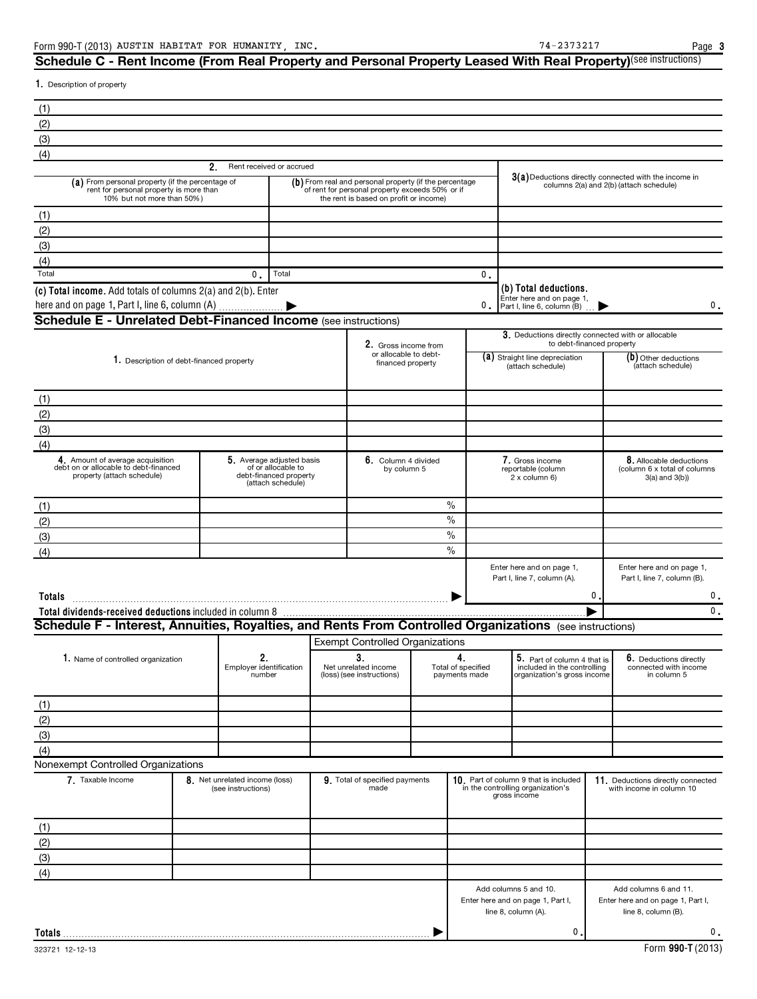| Schedule C - Rent Income (From Real Property and Personal Property Leased With Real Property) (see instructions) |
|------------------------------------------------------------------------------------------------------------------|
|------------------------------------------------------------------------------------------------------------------|

1. Description of property

| (1)                                                                                                                       |    |                                                      |                                                                                                                                                     |  |                                                         |               |                                           |                                                                                            |                                                                                                    |                                                                                   |
|---------------------------------------------------------------------------------------------------------------------------|----|------------------------------------------------------|-----------------------------------------------------------------------------------------------------------------------------------------------------|--|---------------------------------------------------------|---------------|-------------------------------------------|--------------------------------------------------------------------------------------------|----------------------------------------------------------------------------------------------------|-----------------------------------------------------------------------------------|
| (2)                                                                                                                       |    |                                                      |                                                                                                                                                     |  |                                                         |               |                                           |                                                                                            |                                                                                                    |                                                                                   |
| (3)                                                                                                                       |    |                                                      |                                                                                                                                                     |  |                                                         |               |                                           |                                                                                            |                                                                                                    |                                                                                   |
| (4)                                                                                                                       |    |                                                      |                                                                                                                                                     |  |                                                         |               |                                           |                                                                                            |                                                                                                    |                                                                                   |
|                                                                                                                           | 2. | Rent received or accrued                             |                                                                                                                                                     |  |                                                         |               |                                           |                                                                                            |                                                                                                    |                                                                                   |
| (a) From personal property (if the percentage of<br>rent for personal property is more than<br>10% but not more than 50%) |    |                                                      | (b) From real and personal property (if the percentage<br>of rent for personal property exceeds 50% or if<br>the rent is based on profit or income) |  |                                                         |               |                                           |                                                                                            | $3(a)$ Deductions directly connected with the income in<br>columns 2(a) and 2(b) (attach schedule) |                                                                                   |
| (1)                                                                                                                       |    |                                                      |                                                                                                                                                     |  |                                                         |               |                                           |                                                                                            |                                                                                                    |                                                                                   |
| (2)                                                                                                                       |    |                                                      |                                                                                                                                                     |  |                                                         |               |                                           |                                                                                            |                                                                                                    |                                                                                   |
| (3)                                                                                                                       |    |                                                      |                                                                                                                                                     |  |                                                         |               |                                           |                                                                                            |                                                                                                    |                                                                                   |
| (4)                                                                                                                       |    |                                                      |                                                                                                                                                     |  |                                                         |               |                                           |                                                                                            |                                                                                                    |                                                                                   |
| Total                                                                                                                     |    | $\mathbf{0}$ .                                       | Total                                                                                                                                               |  |                                                         |               | 0.                                        |                                                                                            |                                                                                                    |                                                                                   |
| (c) Total income. Add totals of columns 2(a) and 2(b). Enter<br>here and on page 1, Part I, line 6, column (A)            |    |                                                      |                                                                                                                                                     |  |                                                         |               | 0.                                        | (b) Total deductions.<br>Enter here and on page 1,<br>Part I, line 6, column (B)           |                                                                                                    | 0.                                                                                |
| <b>Schedule E - Unrelated Debt-Financed Income (see instructions)</b>                                                     |    |                                                      |                                                                                                                                                     |  |                                                         |               |                                           |                                                                                            |                                                                                                    |                                                                                   |
|                                                                                                                           |    |                                                      |                                                                                                                                                     |  |                                                         |               |                                           | 3. Deductions directly connected with or allocable                                         |                                                                                                    |                                                                                   |
|                                                                                                                           |    |                                                      |                                                                                                                                                     |  | 2. Gross income from<br>or allocable to debt-           |               |                                           | to debt-financed property                                                                  |                                                                                                    |                                                                                   |
| 1. Description of debt-financed property                                                                                  |    |                                                      |                                                                                                                                                     |  | financed property                                       |               |                                           | (a) Straight line depreciation<br>(attach schedule)                                        |                                                                                                    | $(b)$ Other deductions<br>(attach schedule)                                       |
| (1)                                                                                                                       |    |                                                      |                                                                                                                                                     |  |                                                         |               |                                           |                                                                                            |                                                                                                    |                                                                                   |
| (2)                                                                                                                       |    |                                                      |                                                                                                                                                     |  |                                                         |               |                                           |                                                                                            |                                                                                                    |                                                                                   |
| (3)                                                                                                                       |    |                                                      |                                                                                                                                                     |  |                                                         |               |                                           |                                                                                            |                                                                                                    |                                                                                   |
| (4)                                                                                                                       |    |                                                      |                                                                                                                                                     |  |                                                         |               |                                           |                                                                                            |                                                                                                    |                                                                                   |
| 4. Amount of average acquisition<br>debt on or allocable to debt-financed<br>property (attach schedule)                   |    |                                                      | 5. Average adjusted basis<br>of or allocable to<br>debt-financed property<br>(attach schedule)                                                      |  | 6. Column 4 divided<br>by column 5                      |               |                                           | 7. Gross income<br>reportable (column<br>2 x column 6)                                     |                                                                                                    | 8. Allocable deductions<br>(column 6 x total of columns<br>$3(a)$ and $3(b)$ )    |
|                                                                                                                           |    |                                                      |                                                                                                                                                     |  |                                                         | $\frac{0}{0}$ |                                           |                                                                                            |                                                                                                    |                                                                                   |
| (1)<br>(2)                                                                                                                |    |                                                      |                                                                                                                                                     |  |                                                         | $\frac{0}{0}$ |                                           |                                                                                            |                                                                                                    |                                                                                   |
|                                                                                                                           |    |                                                      |                                                                                                                                                     |  |                                                         | $\frac{0}{0}$ |                                           |                                                                                            |                                                                                                    |                                                                                   |
| (3)<br>(4)                                                                                                                |    |                                                      |                                                                                                                                                     |  |                                                         | $\frac{0}{0}$ |                                           |                                                                                            |                                                                                                    |                                                                                   |
|                                                                                                                           |    |                                                      |                                                                                                                                                     |  |                                                         |               |                                           | Enter here and on page 1,                                                                  |                                                                                                    | Enter here and on page 1,                                                         |
| Totals<br>Total dividends-received deductions included in column 8                                                        |    |                                                      |                                                                                                                                                     |  |                                                         |               |                                           | Part I, line 7, column (A).                                                                | 0                                                                                                  | Part I, line 7, column (B).<br>0.<br>0.                                           |
| Schedule F - Interest, Annuities, Royalties, and Rents From Controlled Organizations (see instructions)                   |    |                                                      |                                                                                                                                                     |  |                                                         |               |                                           |                                                                                            |                                                                                                    |                                                                                   |
|                                                                                                                           |    |                                                      |                                                                                                                                                     |  | <b>Exempt Controlled Organizations</b>                  |               |                                           |                                                                                            |                                                                                                    |                                                                                   |
| 1. Name of controlled organization                                                                                        |    | 2.<br>Employer identification<br>number              |                                                                                                                                                     |  | 3.<br>Net unrelated income<br>(loss) (see instructions) |               | 4.<br>Total of specified<br>payments made | 5. Part of column 4 that is<br>included in the controlling<br>organization's gross income  |                                                                                                    | 6. Deductions directly<br>connected with income<br>in column 5                    |
| (1)                                                                                                                       |    |                                                      |                                                                                                                                                     |  |                                                         |               |                                           |                                                                                            |                                                                                                    |                                                                                   |
| (2)                                                                                                                       |    |                                                      |                                                                                                                                                     |  |                                                         |               |                                           |                                                                                            |                                                                                                    |                                                                                   |
| (3)                                                                                                                       |    |                                                      |                                                                                                                                                     |  |                                                         |               |                                           |                                                                                            |                                                                                                    |                                                                                   |
| (4)                                                                                                                       |    |                                                      |                                                                                                                                                     |  |                                                         |               |                                           |                                                                                            |                                                                                                    |                                                                                   |
| Nonexempt Controlled Organizations                                                                                        |    |                                                      |                                                                                                                                                     |  |                                                         |               |                                           |                                                                                            |                                                                                                    |                                                                                   |
| 7. Taxable Income                                                                                                         |    | 8. Net unrelated income (loss)<br>(see instructions) |                                                                                                                                                     |  | 9. Total of specified payments<br>made                  |               |                                           | 10. Part of column 9 that is included<br>in the controlling organization's<br>gross income |                                                                                                    | 11. Deductions directly connected<br>with income in column 10                     |
| (1)                                                                                                                       |    |                                                      |                                                                                                                                                     |  |                                                         |               |                                           |                                                                                            |                                                                                                    |                                                                                   |
| (2)                                                                                                                       |    |                                                      |                                                                                                                                                     |  |                                                         |               |                                           |                                                                                            |                                                                                                    |                                                                                   |
| (3)                                                                                                                       |    |                                                      |                                                                                                                                                     |  |                                                         |               |                                           |                                                                                            |                                                                                                    |                                                                                   |
| (4)                                                                                                                       |    |                                                      |                                                                                                                                                     |  |                                                         |               |                                           |                                                                                            |                                                                                                    |                                                                                   |
|                                                                                                                           |    |                                                      |                                                                                                                                                     |  |                                                         |               |                                           | Add columns 5 and 10.<br>Enter here and on page 1, Part I,<br>line 8, column (A).          |                                                                                                    | Add columns 6 and 11.<br>Enter here and on page 1, Part I,<br>line 8, column (B). |
| Totals                                                                                                                    |    |                                                      |                                                                                                                                                     |  |                                                         |               |                                           | 0                                                                                          |                                                                                                    | 0.                                                                                |
|                                                                                                                           |    |                                                      |                                                                                                                                                     |  |                                                         |               |                                           |                                                                                            |                                                                                                    |                                                                                   |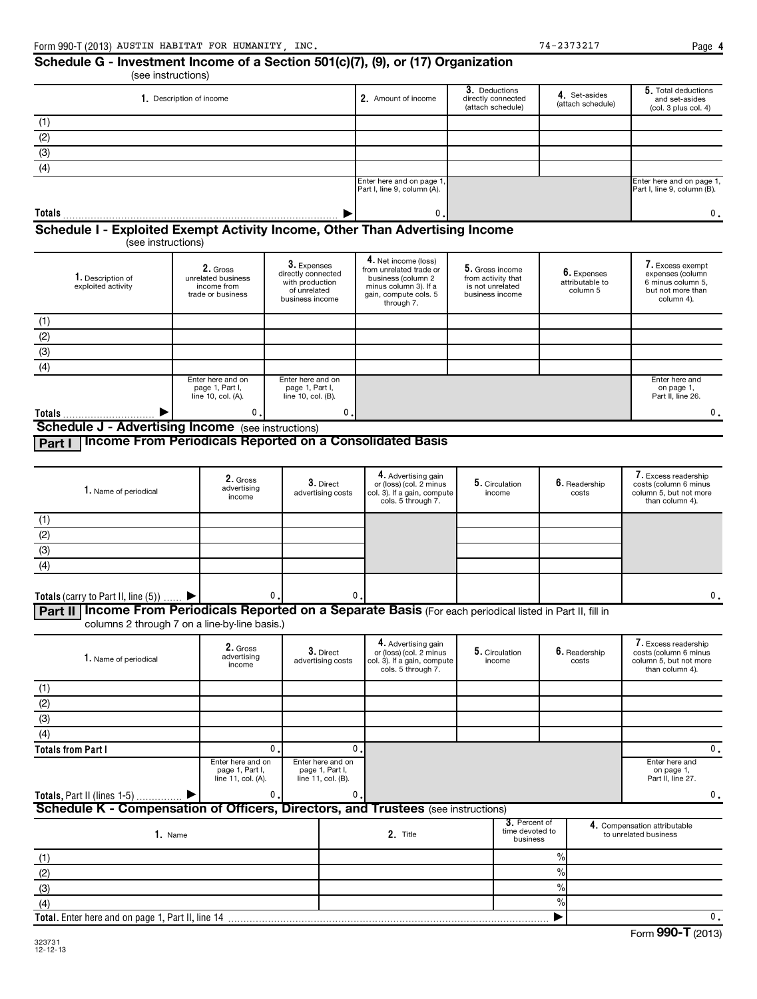### (see instructions) **Schedule G - Investment Income of a Section 501(c)(7), (9), or (17) Organization**

| 1. Description of income                                                     | 2. Amount of income                                      | 3. Deductions<br>directly connected<br>(attach schedule) | 4. Set-asides<br>(attach schedule) | 5. Total deductions<br>and set-asides<br>(col. 3 plus col. 4) |  |  |  |
|------------------------------------------------------------------------------|----------------------------------------------------------|----------------------------------------------------------|------------------------------------|---------------------------------------------------------------|--|--|--|
| (1)                                                                          |                                                          |                                                          |                                    |                                                               |  |  |  |
| (2)                                                                          |                                                          |                                                          |                                    |                                                               |  |  |  |
| (3)                                                                          |                                                          |                                                          |                                    |                                                               |  |  |  |
| (4)                                                                          |                                                          |                                                          |                                    |                                                               |  |  |  |
|                                                                              | Enter here and on page 1,<br>Part I, line 9, column (A). |                                                          |                                    | Enter here and on page 1,<br>Part I, line 9, column (B).      |  |  |  |
| Totals                                                                       | 0.                                                       |                                                          |                                    | 0.                                                            |  |  |  |
| Schedule I - Exploited Exempt Activity Income, Other Than Advertising Income |                                                          |                                                          |                                    |                                                               |  |  |  |

(see instructions)

|                                                                 | 2. Gross                              | $3.$ Expenses                         | 4. Net income (loss)                          | 5. Gross income    |                             | 7. Excess exempt                       |  |  |  |  |
|-----------------------------------------------------------------|---------------------------------------|---------------------------------------|-----------------------------------------------|--------------------|-----------------------------|----------------------------------------|--|--|--|--|
| 1. Description of                                               | unrelated business                    | directly connected                    | from unrelated trade or<br>business (column 2 | from activity that | $6.$ Expenses               | expenses (column                       |  |  |  |  |
| exploited activity                                              | income from                           | with production<br>of unrelated       | minus column 3). If a                         | is not unrelated   | attributable to<br>column 5 | 6 minus column 5.<br>but not more than |  |  |  |  |
|                                                                 | trade or business                     | business income                       | gain, compute cols. 5<br>through 7.           | business income    |                             | column 4).                             |  |  |  |  |
|                                                                 |                                       |                                       |                                               |                    |                             |                                        |  |  |  |  |
| (1)                                                             |                                       |                                       |                                               |                    |                             |                                        |  |  |  |  |
| (2)                                                             |                                       |                                       |                                               |                    |                             |                                        |  |  |  |  |
| (3)                                                             |                                       |                                       |                                               |                    |                             |                                        |  |  |  |  |
| (4)                                                             |                                       |                                       |                                               |                    |                             |                                        |  |  |  |  |
|                                                                 | Enter here and on                     | Enter here and on                     |                                               |                    |                             | Enter here and                         |  |  |  |  |
|                                                                 | page 1, Part I,<br>line 10, col. (A). | page 1, Part I,<br>line 10, col. (B). |                                               |                    |                             | on page 1,<br>Part II, line 26.        |  |  |  |  |
| <b>Totals</b>                                                   | 0.                                    | 0.1                                   |                                               |                    |                             | 0.                                     |  |  |  |  |
| Schodule J<br>$\mathsf{L}$ Advertising Income (essinaturational |                                       |                                       |                                               |                    |                             |                                        |  |  |  |  |

(see instructions) ng **Inc** 

**Part I Income From Periodicals Reported on a Consolidated Basis**

| 1. Name of periodical                                                                                           | 2. Gross<br>advertising<br>income | $3.$ Direct<br>advertising costs | 4. Advertising gain<br>or (loss) (col. 2 minus<br>col. 3). If a gain, compute<br>cols. 5 through 7. | 5. Circulation<br>income | 6. Readership<br>costs | I. Excess readership<br>costs (column 6 minus<br>column 5, but not more<br>than column 4). |  |  |  |
|-----------------------------------------------------------------------------------------------------------------|-----------------------------------|----------------------------------|-----------------------------------------------------------------------------------------------------|--------------------------|------------------------|--------------------------------------------------------------------------------------------|--|--|--|
| (1)                                                                                                             |                                   |                                  |                                                                                                     |                          |                        |                                                                                            |  |  |  |
| (2)                                                                                                             |                                   |                                  |                                                                                                     |                          |                        |                                                                                            |  |  |  |
| (3)                                                                                                             |                                   |                                  |                                                                                                     |                          |                        |                                                                                            |  |  |  |
| (4)                                                                                                             |                                   |                                  |                                                                                                     |                          |                        |                                                                                            |  |  |  |
|                                                                                                                 |                                   |                                  |                                                                                                     |                          |                        |                                                                                            |  |  |  |
| <b>Totals</b> (carry to Part II, line (5))                                                                      | 0.1                               | 0.                               |                                                                                                     |                          |                        | 0.                                                                                         |  |  |  |
| Income From Periodicals Reported on a Separate Basis (For each periodical listed in Part II, fill in<br>Part II |                                   |                                  |                                                                                                     |                          |                        |                                                                                            |  |  |  |

columns 2 through 7 on a line-by-line basis.)

| 1. Name of periodical                                                             | 2. Gross<br>advertising<br>income                          |  | 3. Direct<br>advertising costs                             | 4. Advertising gain<br>or (loss) (col. 2 minus<br>col. 3). If a gain, compute<br>cols. 5 through 7. | 5. Circulation<br>income                     |               | 6. Readership<br>costs | 7. Excess readership<br>costs (column 6 minus<br>column 5, but not more<br>than column 4). |
|-----------------------------------------------------------------------------------|------------------------------------------------------------|--|------------------------------------------------------------|-----------------------------------------------------------------------------------------------------|----------------------------------------------|---------------|------------------------|--------------------------------------------------------------------------------------------|
| (1)                                                                               |                                                            |  |                                                            |                                                                                                     |                                              |               |                        |                                                                                            |
| (2)                                                                               |                                                            |  |                                                            |                                                                                                     |                                              |               |                        |                                                                                            |
| (3)                                                                               |                                                            |  |                                                            |                                                                                                     |                                              |               |                        |                                                                                            |
| (4)                                                                               |                                                            |  |                                                            |                                                                                                     |                                              |               |                        |                                                                                            |
| <b>Totals from Part I</b>                                                         | $\mathbf{0}$ .                                             |  | $\mathbf{0}$ .                                             |                                                                                                     |                                              |               |                        | $\mathbf{0}$ .                                                                             |
|                                                                                   | Enter here and on<br>page 1, Part I,<br>line 11, col. (A). |  | Enter here and on<br>page 1, Part I,<br>line 11, col. (B). |                                                                                                     |                                              |               |                        | Enter here and<br>on page 1,<br>Part II, line 27.                                          |
| Totals, Part II (lines 1-5)  ▶                                                    | 0.                                                         |  | 0.                                                         |                                                                                                     |                                              |               |                        | $\mathfrak{o}$ .                                                                           |
| Schedule K - Compensation of Officers, Directors, and Trustees (see instructions) |                                                            |  |                                                            |                                                                                                     |                                              |               |                        |                                                                                            |
| 1. Name                                                                           |                                                            |  |                                                            | 2. Title                                                                                            | 3. Percent of<br>time devoted to<br>business |               |                        | 4. Compensation attributable<br>to unrelated business                                      |
| (1)                                                                               |                                                            |  |                                                            |                                                                                                     |                                              | $\frac{0}{0}$ |                        |                                                                                            |
| (2)                                                                               |                                                            |  |                                                            |                                                                                                     |                                              | $\frac{9}{6}$ |                        |                                                                                            |
| (3)                                                                               |                                                            |  |                                                            |                                                                                                     |                                              | $\frac{0}{0}$ |                        |                                                                                            |
| (4)                                                                               |                                                            |  |                                                            |                                                                                                     |                                              | $\frac{0}{0}$ |                        |                                                                                            |
| Total. Enter here and on page 1, Part II, line 14                                 |                                                            |  |                                                            |                                                                                                     |                                              |               |                        | $\mathbf{0}$ .                                                                             |
|                                                                                   |                                                            |  |                                                            |                                                                                                     |                                              |               |                        | $\sim$ $\sim$                                                                              |